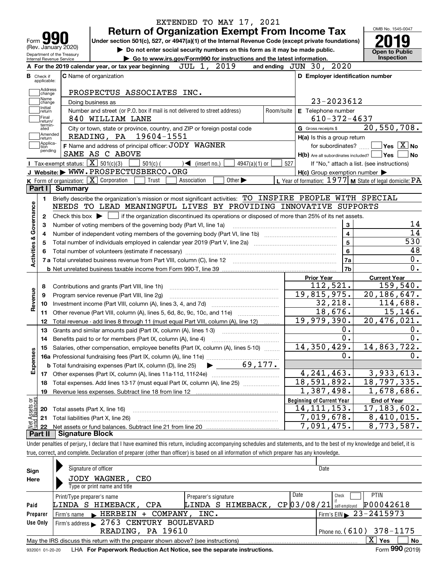| Form yy<br>(Rev. January 2020)                         | EXTENDED TO MAY 17, 2021<br><b>Return of Organization Exempt From Income Tax</b><br>Under section 501(c), 527, or 4947(a)(1) of the Internal Revenue Code (except private foundations)<br>Do not enter social security numbers on this form as it may be made public. |                                                                                                                    | OMB No. 1545-0047                                                   |
|--------------------------------------------------------|-----------------------------------------------------------------------------------------------------------------------------------------------------------------------------------------------------------------------------------------------------------------------|--------------------------------------------------------------------------------------------------------------------|---------------------------------------------------------------------|
| Department of the Treasury<br>Internal Revenue Service | Go to www.irs.gov/Form990 for instructions and the latest information.                                                                                                                                                                                                |                                                                                                                    | <b>Open to Public</b><br>Inspection                                 |
|                                                        | 2019<br>JUL 1,<br>A For the 2019 calendar year, or tax year beginning                                                                                                                                                                                                 | 2020<br>and ending $JUN$ 30,                                                                                       |                                                                     |
| <b>B</b> Check if<br>applicable:                       | <b>C</b> Name of organization                                                                                                                                                                                                                                         | D Employer identification number                                                                                   |                                                                     |
| Address                                                | PROSPECTUS ASSOCIATES INC.                                                                                                                                                                                                                                            |                                                                                                                    |                                                                     |
| change<br>Name<br>change                               | Doing business as                                                                                                                                                                                                                                                     | 23-2023612                                                                                                         |                                                                     |
| Initial<br>return                                      | Number and street (or P.O. box if mail is not delivered to street address)<br>Room/suite                                                                                                                                                                              | E Telephone number                                                                                                 |                                                                     |
| Final<br>return/                                       | 840 WILLIAM LANE                                                                                                                                                                                                                                                      | $610 - 372 - 4637$                                                                                                 |                                                                     |
| termin-<br>ated                                        | City or town, state or province, country, and ZIP or foreign postal code                                                                                                                                                                                              | G Gross receipts \$                                                                                                | 20,550,708.                                                         |
| Amended<br>return]                                     | READING, PA 19604-1551                                                                                                                                                                                                                                                | H(a) Is this a group return                                                                                        |                                                                     |
| Applica-<br>Ition<br>pending                           | F Name and address of principal officer: JODY WAGNER                                                                                                                                                                                                                  | for subordinates?                                                                                                  | $ {\mathsf Y}{\mathsf e}{\mathsf s} \:\:   \overline{{\rm X}}  $ No |
|                                                        | SAME AS C ABOVE                                                                                                                                                                                                                                                       | $H(b)$ Are all subordinates included? $\Box$ Yes                                                                   | No                                                                  |
|                                                        | Tax-exempt status: $\boxed{\mathbf{X}}$ 501(c)(3)<br>$501(c)$ (<br>$\sqrt{\bullet}$ (insert no.)<br>$4947(a)(1)$ or                                                                                                                                                   | 527                                                                                                                | If "No," attach a list. (see instructions)                          |
|                                                        | J Website: WWW.PROSPECTUSBERCO.ORG<br>$K$ Form of organization: $\boxed{X}$ Corporation<br>Other $\blacktriangleright$                                                                                                                                                | $H(c)$ Group exemption number $\blacktriangleright$<br>L Year of formation: $1977$ M State of legal domicile: $PA$ |                                                                     |
| Part I                                                 | Trust<br>Association<br>Summary                                                                                                                                                                                                                                       |                                                                                                                    |                                                                     |
|                                                        |                                                                                                                                                                                                                                                                       |                                                                                                                    |                                                                     |
| 1.                                                     | Briefly describe the organization's mission or most significant activities: TO INSPIRE PEOPLE WITH SPECIAL                                                                                                                                                            |                                                                                                                    |                                                                     |
| Activities & Governance                                | NEEDS TO LEAD MEANINGFUL LIVES BY PROVIDING INNOVATIVE SUPPORTS                                                                                                                                                                                                       |                                                                                                                    |                                                                     |
| 2                                                      | if the organization discontinued its operations or disposed of more than 25% of its net assets.<br>Check this box $\blacktriangleright$ $\Box$                                                                                                                        |                                                                                                                    | 14                                                                  |
| з                                                      | Number of voting members of the governing body (Part VI, line 1a)                                                                                                                                                                                                     | 3<br>$\overline{4}$                                                                                                | 14                                                                  |
| 4                                                      |                                                                                                                                                                                                                                                                       | 5                                                                                                                  | 530                                                                 |
| 5                                                      |                                                                                                                                                                                                                                                                       | 6                                                                                                                  | 48                                                                  |
|                                                        |                                                                                                                                                                                                                                                                       | 7a                                                                                                                 | 0.                                                                  |
|                                                        |                                                                                                                                                                                                                                                                       | 7b                                                                                                                 | 0.                                                                  |
|                                                        |                                                                                                                                                                                                                                                                       | <b>Prior Year</b>                                                                                                  | <b>Current Year</b>                                                 |
| 8                                                      | Contributions and grants (Part VIII, line 1h)                                                                                                                                                                                                                         | 112,521.                                                                                                           | 159,540.                                                            |
| Revenue<br>9                                           | Program service revenue (Part VIII, line 2g)                                                                                                                                                                                                                          | 19,815,975.                                                                                                        | 20, 186, 647.                                                       |
| 10                                                     |                                                                                                                                                                                                                                                                       | 32, 218.                                                                                                           | $\overline{114,}688.$                                               |
| 11                                                     | Other revenue (Part VIII, column (A), lines 5, 6d, 8c, 9c, 10c, and 11e)                                                                                                                                                                                              | 18,676.                                                                                                            | 15, 146.                                                            |
| 12                                                     | Total revenue - add lines 8 through 11 (must equal Part VIII, column (A), line 12)                                                                                                                                                                                    | 19,979,390.                                                                                                        | 20,476,021.                                                         |
| 13                                                     | Grants and similar amounts paid (Part IX, column (A), lines 1-3)                                                                                                                                                                                                      | 0.                                                                                                                 | 0.                                                                  |
|                                                        |                                                                                                                                                                                                                                                                       | 0.                                                                                                                 | 0.                                                                  |
|                                                        | 15 Salaries, other compensation, employee benefits (Part IX, column (A), lines 5-10)                                                                                                                                                                                  | 14,350,429.                                                                                                        | 14,863,722.                                                         |
|                                                        |                                                                                                                                                                                                                                                                       | 0.                                                                                                                 | 0.                                                                  |
| Expenses                                               | 69,177.<br><b>b</b> Total fundraising expenses (Part IX, column (D), line 25)                                                                                                                                                                                         |                                                                                                                    |                                                                     |
| 17                                                     |                                                                                                                                                                                                                                                                       | 4, 241, 463.                                                                                                       | 3,933,613.                                                          |
| 18                                                     | Total expenses. Add lines 13-17 (must equal Part IX, column (A), line 25)                                                                                                                                                                                             | 18,591,892.                                                                                                        | 18,797,335.                                                         |
| 19                                                     | Revenue less expenses. Subtract line 18 from line 12                                                                                                                                                                                                                  | 1,387,498.                                                                                                         | 1,678,686.                                                          |
|                                                        |                                                                                                                                                                                                                                                                       | <b>Beginning of Current Year</b>                                                                                   | <b>End of Year</b>                                                  |
| 20                                                     | Total assets (Part X, line 16)                                                                                                                                                                                                                                        | 14, 111, 153.                                                                                                      | 17, 183, 602.                                                       |
| t Assets or<br>d Balances<br>21                        | Total liabilities (Part X, line 26)                                                                                                                                                                                                                                   | 7,019,678.                                                                                                         | 8,410,015.                                                          |
| 혏<br>22                                                |                                                                                                                                                                                                                                                                       | 7,091,475.                                                                                                         | 8,773,587.                                                          |
| Part II                                                | <b>Signature Block</b>                                                                                                                                                                                                                                                |                                                                                                                    |                                                                     |
|                                                        | Under penalties of perjury, I declare that I have examined this return, including accompanying schedules and statements, and to the best of my knowledge and belief, it is                                                                                            |                                                                                                                    |                                                                     |
|                                                        | true, correct, and complete. Declaration of preparer (other than officer) is based on all information of which preparer has any knowledge.                                                                                                                            |                                                                                                                    |                                                                     |
|                                                        |                                                                                                                                                                                                                                                                       |                                                                                                                    |                                                                     |
| Sian                                                   | Signature of officer                                                                                                                                                                                                                                                  | Date                                                                                                               |                                                                     |
|                                                        |                                                                                                                                                                                                                                                                       |                                                                                                                    |                                                                     |

| Sign            | Signature of officer                                                              | Date                 |                                           |                           |  |  |  |  |  |  |  |
|-----------------|-----------------------------------------------------------------------------------|----------------------|-------------------------------------------|---------------------------|--|--|--|--|--|--|--|
| Here            | JODY WAGNER,<br>CEO                                                               |                      |                                           |                           |  |  |  |  |  |  |  |
|                 | Type or print name and title                                                      |                      |                                           |                           |  |  |  |  |  |  |  |
|                 | Print/Type preparer's name                                                        | Preparer's signature | Date<br>Check                             | <b>PTIN</b>               |  |  |  |  |  |  |  |
| Paid            | LINDA S HIMEBACK, CPA                                                             | LINDA S HIMEBACK,    | $CP$ 0 3 / 0 8 / 2 1 self-employed        | P00042618                 |  |  |  |  |  |  |  |
| Preparer        | Firm's name FIERBEIN<br>+ COMPANY, INC.                                           |                      | $\sqrt{5}$ Firm's EIN $\geq 23 - 2415973$ |                           |  |  |  |  |  |  |  |
| Use Only        | Firm's address 2763 CENTURY BOULEVARD                                             |                      |                                           |                           |  |  |  |  |  |  |  |
|                 | Phone no. (610) 378-1175<br>READING, PA 19610                                     |                      |                                           |                           |  |  |  |  |  |  |  |
|                 | May the IRS discuss this return with the preparer shown above? (see instructions) |                      |                                           | $\mathbf{x}$<br>No<br>Yes |  |  |  |  |  |  |  |
| 022001 01:20:20 | $IHA$ For Danarwork Reduction Act Notice, see the senarate instructions           |                      |                                           | $F_{\text{O}}$ 990 (2019) |  |  |  |  |  |  |  |

932001 01-20-20 **For Paperwork Reduction Act Notice, see the separate instructions.** LHA Form (2019)

**990**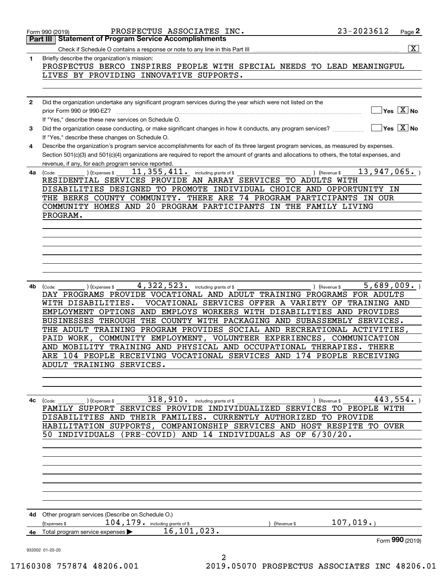|              |                                                                                                                                               | $\overline{\mathbf{X}}$                             |
|--------------|-----------------------------------------------------------------------------------------------------------------------------------------------|-----------------------------------------------------|
| 1.           | Briefly describe the organization's mission:                                                                                                  |                                                     |
|              | PROSPECTUS BERCO INSPIRES PEOPLE WITH SPECIAL NEEDS TO LEAD MEANINGFUL                                                                        |                                                     |
|              | LIVES BY PROVIDING INNOVATIVE SUPPORTS.                                                                                                       |                                                     |
|              |                                                                                                                                               |                                                     |
| $\mathbf{2}$ | Did the organization undertake any significant program services during the year which were not listed on the                                  |                                                     |
|              |                                                                                                                                               | $\blacksquare$ Yes $\boxed{\text{X}}$ No            |
|              | If "Yes," describe these new services on Schedule O.                                                                                          |                                                     |
| 3            | Did the organization cease conducting, or make significant changes in how it conducts, any program services?                                  | $\boxed{\phantom{1}}$ Yes $\boxed{\text{X}}$ No     |
|              | If "Yes," describe these changes on Schedule O.                                                                                               |                                                     |
| 4            | Describe the organization's program service accomplishments for each of its three largest program services, as measured by expenses.          |                                                     |
|              | Section 501(c)(3) and 501(c)(4) organizations are required to report the amount of grants and allocations to others, the total expenses, and  |                                                     |
|              | revenue, if any, for each program service reported.                                                                                           |                                                     |
| 4a           | 11, 355, 411. including grants of \$<br>(Expenses \$<br>(Code:                                                                                | 13,947,065.<br>) (Revenue \$                        |
|              | RESIDENTIAL SERVICES PROVIDE AN ARRAY SERVICES TO ADULTS WITH                                                                                 |                                                     |
|              | DISABILITIES DESIGNED TO PROMOTE INDIVIDUAL CHOICE AND OPPORTUNITY IN                                                                         |                                                     |
|              | THE BERKS COUNTY COMMUNITY. THERE ARE 74 PROGRAM PARTICIPANTS IN OUR<br>COMMUNITY HOMES AND 20 PROGRAM PARTICIPANTS IN THE FAMILY LIVING      |                                                     |
|              | PROGRAM.                                                                                                                                      |                                                     |
|              |                                                                                                                                               |                                                     |
|              |                                                                                                                                               |                                                     |
|              |                                                                                                                                               |                                                     |
|              |                                                                                                                                               |                                                     |
|              |                                                                                                                                               |                                                     |
|              |                                                                                                                                               |                                                     |
|              |                                                                                                                                               |                                                     |
| 4b           | $4,322,523$ $\cdot$ including grants of \$<br>) (Expenses \$<br>(Code:                                                                        | 5,689,009.<br>) (Revenue \$                         |
|              | DAY PROGRAMS PROVIDE VOCATIONAL AND ADULT TRAINING PROGRAMS FOR ADULTS                                                                        |                                                     |
|              | WITH DISABILITIES.                                                                                                                            | VOCATIONAL SERVICES OFFER A VARIETY OF TRAINING AND |
|              | EMPLOYMENT OPTIONS AND EMPLOYS WORKERS WITH DISABILITIES AND PROVIDES                                                                         |                                                     |
|              | BUSINESSES THROUGH THE COUNTY WITH PACKAGING AND SUBASSEMBLY SERVICES.                                                                        |                                                     |
|              | THE ADULT TRAINING PROGRAM PROVIDES SOCIAL AND RECREATIONAL ACTIVITIES,                                                                       |                                                     |
|              | PAID WORK, COMMUNITY EMPLOYMENT, VOLUNTEER EXPERIENCES, COMMUNICATION                                                                         |                                                     |
|              | AND MOBILITY TRAINING AND PHYSICAL AND OCCUPATIONAL THERAPIES. THERE<br>ARE 104 PEOPLE RECEIVING VOCATIONAL SERVICES AND 174 PEOPLE RECEIVING |                                                     |
|              | ADULT TRAINING SERVICES.                                                                                                                      |                                                     |
|              |                                                                                                                                               |                                                     |
|              |                                                                                                                                               |                                                     |
|              |                                                                                                                                               |                                                     |
| 4c           | 318,910.<br>including grants of \$<br>(Expenses \$<br>(Code:                                                                                  | 443,554.<br>(Revenue \$                             |
|              | FAMILY SUPPORT SERVICES PROVIDE INDIVIDUALIZED SERVICES TO PEOPLE WITH                                                                        |                                                     |
|              | DISABILITIES AND THEIR FAMILIES. CURRENTLY AUTHORIZED TO PROVIDE                                                                              |                                                     |
|              | HABILITATION SUPPORTS, COMPANIONSHIP SERVICES AND HOST RESPITE TO OVER                                                                        |                                                     |
|              | 50 INDIVIDUALS                                                                                                                                | (PRE-COVID) AND 14 INDIVIDUALS AS OF 6/30/20.       |
|              |                                                                                                                                               |                                                     |
|              |                                                                                                                                               |                                                     |
|              |                                                                                                                                               |                                                     |
|              |                                                                                                                                               |                                                     |
|              |                                                                                                                                               |                                                     |
|              |                                                                                                                                               |                                                     |
|              |                                                                                                                                               |                                                     |
| 4d -         | Other program services (Describe on Schedule O.)                                                                                              |                                                     |
|              | $104$ , $179$ $\cdot$ $\_$ including grants of \$<br>(Expenses \$                                                                             | 107,019.<br>(Revenue \$                             |
| 4е           | 16, 101, 023.<br>Total program service expenses                                                                                               |                                                     |
|              |                                                                                                                                               | Form 990 (2019)                                     |
|              |                                                                                                                                               |                                                     |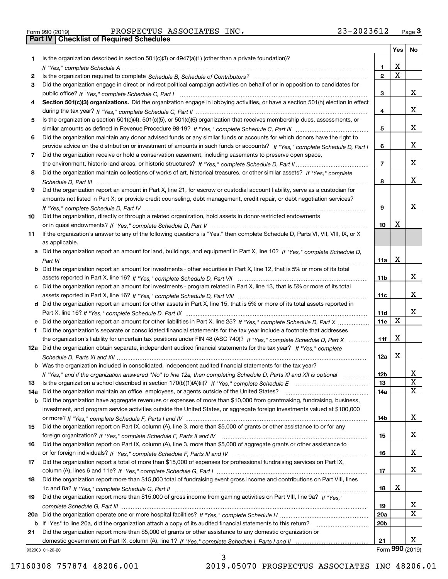Form 990 (2019) PROSPECTUS ASSOCIATES INC. 23-2023612 <sub>Page</sub> 3<br>**Part IV | Checklist of Required Schedules** 

|     |                                                                                                                                                                                                                                                           |                 | <b>Yes</b>              | No                         |
|-----|-----------------------------------------------------------------------------------------------------------------------------------------------------------------------------------------------------------------------------------------------------------|-----------------|-------------------------|----------------------------|
| 1.  | Is the organization described in section $501(c)(3)$ or $4947(a)(1)$ (other than a private foundation)?                                                                                                                                                   |                 |                         |                            |
|     |                                                                                                                                                                                                                                                           | 1               | х                       |                            |
| 2   |                                                                                                                                                                                                                                                           | 2               | $\overline{\mathbf{x}}$ |                            |
| 3   | Did the organization engage in direct or indirect political campaign activities on behalf of or in opposition to candidates for                                                                                                                           |                 |                         |                            |
|     |                                                                                                                                                                                                                                                           | 3               |                         | x                          |
| 4   | Section 501(c)(3) organizations. Did the organization engage in lobbying activities, or have a section 501(h) election in effect                                                                                                                          |                 |                         |                            |
|     |                                                                                                                                                                                                                                                           | 4               |                         | х                          |
| 5   | Is the organization a section 501(c)(4), 501(c)(5), or 501(c)(6) organization that receives membership dues, assessments, or                                                                                                                              |                 |                         | х                          |
|     |                                                                                                                                                                                                                                                           | 5               |                         |                            |
| 6   | Did the organization maintain any donor advised funds or any similar funds or accounts for which donors have the right to<br>provide advice on the distribution or investment of amounts in such funds or accounts? If "Yes," complete Schedule D, Part I | 6               |                         | x                          |
| 7   | Did the organization receive or hold a conservation easement, including easements to preserve open space,                                                                                                                                                 |                 |                         |                            |
|     |                                                                                                                                                                                                                                                           | $\overline{7}$  |                         | x                          |
| 8   | Did the organization maintain collections of works of art, historical treasures, or other similar assets? If "Yes," complete                                                                                                                              |                 |                         |                            |
|     |                                                                                                                                                                                                                                                           | 8               |                         | х                          |
| 9   | Did the organization report an amount in Part X, line 21, for escrow or custodial account liability, serve as a custodian for                                                                                                                             |                 |                         |                            |
|     | amounts not listed in Part X; or provide credit counseling, debt management, credit repair, or debt negotiation services?                                                                                                                                 |                 |                         |                            |
|     |                                                                                                                                                                                                                                                           | 9               |                         | x                          |
| 10  | Did the organization, directly or through a related organization, hold assets in donor-restricted endowments                                                                                                                                              |                 |                         |                            |
|     |                                                                                                                                                                                                                                                           | 10              | х                       |                            |
| 11  | If the organization's answer to any of the following questions is "Yes," then complete Schedule D, Parts VI, VII, VIII, IX, or X                                                                                                                          |                 |                         |                            |
|     | as applicable.                                                                                                                                                                                                                                            |                 |                         |                            |
|     | a Did the organization report an amount for land, buildings, and equipment in Part X, line 10? If "Yes," complete Schedule D,                                                                                                                             |                 |                         |                            |
|     |                                                                                                                                                                                                                                                           | 11a             | х                       |                            |
|     | <b>b</b> Did the organization report an amount for investments - other securities in Part X, line 12, that is 5% or more of its total                                                                                                                     |                 |                         |                            |
|     |                                                                                                                                                                                                                                                           | 11b             |                         | x                          |
|     | c Did the organization report an amount for investments - program related in Part X, line 13, that is 5% or more of its total                                                                                                                             | 11c             |                         | х                          |
|     | d Did the organization report an amount for other assets in Part X, line 15, that is 5% or more of its total assets reported in                                                                                                                           |                 |                         |                            |
|     |                                                                                                                                                                                                                                                           | 11d             |                         | х                          |
|     |                                                                                                                                                                                                                                                           | 11e             | X                       |                            |
| f.  | Did the organization's separate or consolidated financial statements for the tax year include a footnote that addresses                                                                                                                                   |                 |                         |                            |
|     | the organization's liability for uncertain tax positions under FIN 48 (ASC 740)? If "Yes," complete Schedule D, Part X                                                                                                                                    | 11f             | х                       |                            |
|     | 12a Did the organization obtain separate, independent audited financial statements for the tax year? If "Yes," complete                                                                                                                                   |                 |                         |                            |
|     |                                                                                                                                                                                                                                                           | 12a             | х                       |                            |
|     | <b>b</b> Was the organization included in consolidated, independent audited financial statements for the tax year?                                                                                                                                        |                 |                         |                            |
|     | If "Yes," and if the organization answered "No" to line 12a, then completing Schedule D, Parts XI and XII is optional                                                                                                                                     | <b>12b</b>      |                         | Y                          |
| 13  |                                                                                                                                                                                                                                                           | 13              |                         | $\mathbf X$<br>$\mathbf X$ |
| 14a | Did the organization maintain an office, employees, or agents outside of the United States?                                                                                                                                                               | 14a             |                         |                            |
|     | b Did the organization have aggregate revenues or expenses of more than \$10,000 from grantmaking, fundraising, business,                                                                                                                                 |                 |                         |                            |
|     | investment, and program service activities outside the United States, or aggregate foreign investments valued at \$100,000                                                                                                                                | 14b             |                         | x                          |
| 15  | Did the organization report on Part IX, column (A), line 3, more than \$5,000 of grants or other assistance to or for any                                                                                                                                 |                 |                         |                            |
|     |                                                                                                                                                                                                                                                           | 15              |                         | x                          |
| 16  | Did the organization report on Part IX, column (A), line 3, more than \$5,000 of aggregate grants or other assistance to                                                                                                                                  |                 |                         |                            |
|     |                                                                                                                                                                                                                                                           | 16              |                         | x                          |
| 17  | Did the organization report a total of more than \$15,000 of expenses for professional fundraising services on Part IX,                                                                                                                                   |                 |                         |                            |
|     |                                                                                                                                                                                                                                                           | 17              |                         | x                          |
| 18  | Did the organization report more than \$15,000 total of fundraising event gross income and contributions on Part VIII, lines                                                                                                                              |                 |                         |                            |
|     |                                                                                                                                                                                                                                                           | 18              | X                       |                            |
| 19  | Did the organization report more than \$15,000 of gross income from gaming activities on Part VIII, line 9a? If "Yes."                                                                                                                                    |                 |                         |                            |
|     |                                                                                                                                                                                                                                                           | 19              |                         | X                          |
|     |                                                                                                                                                                                                                                                           | 20a             |                         | X                          |
|     | b If "Yes" to line 20a, did the organization attach a copy of its audited financial statements to this return?                                                                                                                                            | 20 <sub>b</sub> |                         |                            |
| 21  | Did the organization report more than \$5,000 of grants or other assistance to any domestic organization or                                                                                                                                               |                 |                         |                            |
|     |                                                                                                                                                                                                                                                           | 21              |                         | х<br>Form 990 (2019)       |
|     | 932003 01-20-20                                                                                                                                                                                                                                           |                 |                         |                            |

932003 01-20-20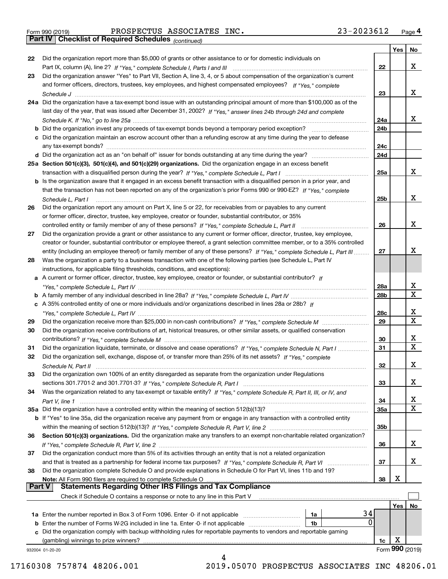| Form 990 (2019) |  |  |
|-----------------|--|--|

*(continued)*

|               |                                                                                                                              |                 | Yes | <b>No</b>       |
|---------------|------------------------------------------------------------------------------------------------------------------------------|-----------------|-----|-----------------|
| 22            | Did the organization report more than \$5,000 of grants or other assistance to or for domestic individuals on                |                 |     |                 |
|               |                                                                                                                              | 22              |     | x               |
| 23            | Did the organization answer "Yes" to Part VII, Section A, line 3, 4, or 5 about compensation of the organization's current   |                 |     |                 |
|               | and former officers, directors, trustees, key employees, and highest compensated employees? If "Yes," complete               |                 |     |                 |
|               |                                                                                                                              | 23              |     | х               |
|               | 24a Did the organization have a tax-exempt bond issue with an outstanding principal amount of more than \$100,000 as of the  |                 |     |                 |
|               | last day of the year, that was issued after December 31, 2002? If "Yes," answer lines 24b through 24d and complete           |                 |     |                 |
|               |                                                                                                                              | 24a             |     | x               |
|               | b Did the organization invest any proceeds of tax-exempt bonds beyond a temporary period exception?                          | 24b             |     |                 |
|               | c Did the organization maintain an escrow account other than a refunding escrow at any time during the year to defease       |                 |     |                 |
|               | any tax-exempt bonds?                                                                                                        | 24c             |     |                 |
|               | d Did the organization act as an "on behalf of" issuer for bonds outstanding at any time during the year?                    | 24d             |     |                 |
|               | 25a Section 501(c)(3), 501(c)(4), and 501(c)(29) organizations. Did the organization engage in an excess benefit             |                 |     |                 |
|               |                                                                                                                              | 25a             |     | x               |
|               | b Is the organization aware that it engaged in an excess benefit transaction with a disqualified person in a prior year, and |                 |     |                 |
|               | that the transaction has not been reported on any of the organization's prior Forms 990 or 990-EZ? If "Yes," complete        |                 |     |                 |
|               |                                                                                                                              |                 |     | х               |
|               | Schedule L. Part I                                                                                                           | 25b             |     |                 |
| 26            | Did the organization report any amount on Part X, line 5 or 22, for receivables from or payables to any current              |                 |     |                 |
|               | or former officer, director, trustee, key employee, creator or founder, substantial contributor, or 35%                      |                 |     |                 |
|               |                                                                                                                              | 26              |     | х               |
| 27            | Did the organization provide a grant or other assistance to any current or former officer, director, trustee, key employee,  |                 |     |                 |
|               | creator or founder, substantial contributor or employee thereof, a grant selection committee member, or to a 35% controlled  |                 |     |                 |
|               | entity (including an employee thereof) or family member of any of these persons? If "Yes," complete Schedule L, Part III     | 27              |     | х               |
| 28            | Was the organization a party to a business transaction with one of the following parties (see Schedule L, Part IV            |                 |     |                 |
|               | instructions, for applicable filing thresholds, conditions, and exceptions):                                                 |                 |     |                 |
|               | a A current or former officer, director, trustee, key employee, creator or founder, or substantial contributor? If           |                 |     |                 |
|               |                                                                                                                              | 28a             |     | x               |
|               |                                                                                                                              | 28b             |     | $\mathbf X$     |
|               | c A 35% controlled entity of one or more individuals and/or organizations described in lines 28a or 28b? If                  |                 |     |                 |
|               |                                                                                                                              | 28c             |     | х               |
| 29            |                                                                                                                              | 29              |     | $\mathbf X$     |
| 30            | Did the organization receive contributions of art, historical treasures, or other similar assets, or qualified conservation  |                 |     |                 |
|               |                                                                                                                              | 30              |     | x               |
| 31            | Did the organization liquidate, terminate, or dissolve and cease operations? If "Yes," complete Schedule N, Part I           | 31              |     | $\mathbf x$     |
| 32            | Did the organization sell, exchange, dispose of, or transfer more than 25% of its net assets? If "Yes," complete             |                 |     |                 |
|               |                                                                                                                              | 32              |     | x               |
| 33            | Did the organization own 100% of an entity disregarded as separate from the organization under Regulations                   |                 |     |                 |
|               |                                                                                                                              | 33              |     | х               |
| 34            | Was the organization related to any tax-exempt or taxable entity? If "Yes," complete Schedule R, Part II, III, or IV, and    |                 |     |                 |
|               |                                                                                                                              | 34              |     | х               |
|               | 35a Did the organization have a controlled entity within the meaning of section 512(b)(13)?                                  | 35a             |     | X               |
|               | b If "Yes" to line 35a, did the organization receive any payment from or engage in any transaction with a controlled entity  |                 |     |                 |
|               |                                                                                                                              | 35 <sub>b</sub> |     |                 |
| 36            | Section 501(c)(3) organizations. Did the organization make any transfers to an exempt non-charitable related organization?   |                 |     |                 |
|               |                                                                                                                              | 36              |     | x               |
| 37            | Did the organization conduct more than 5% of its activities through an entity that is not a related organization             |                 |     |                 |
|               | and that is treated as a partnership for federal income tax purposes? If "Yes," complete Schedule R, Part VI                 | 37              |     | x               |
| 38            | Did the organization complete Schedule O and provide explanations in Schedule O for Part VI, lines 11b and 19?               |                 |     |                 |
|               | Note: All Form 990 filers are required to complete Schedule O                                                                | 38              | х   |                 |
| <b>Part V</b> | <b>Statements Regarding Other IRS Filings and Tax Compliance</b>                                                             |                 |     |                 |
|               | Check if Schedule O contains a response or note to any line in this Part V                                                   |                 |     |                 |
|               |                                                                                                                              |                 | Yes | No              |
|               | 34<br><b>1a</b> Enter the number reported in Box 3 of Form 1096. Enter -0- if not applicable <i>manumumumum</i><br>1a        |                 |     |                 |
|               | 0<br><b>b</b> Enter the number of Forms W-2G included in line 1a. Enter -0- if not applicable<br>1b                          |                 |     |                 |
|               | c Did the organization comply with backup withholding rules for reportable payments to vendors and reportable gaming         |                 |     |                 |
|               | (gambling) winnings to prize winners?                                                                                        | 1c              | х   |                 |
|               | 932004 01-20-20                                                                                                              |                 |     | Form 990 (2019) |
|               |                                                                                                                              |                 |     |                 |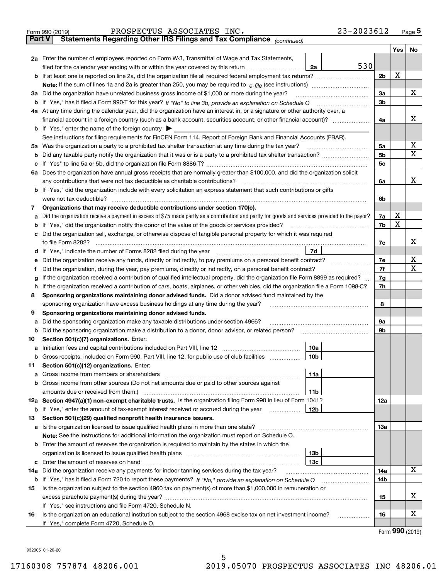|               | 23-2023612<br>PROSPECTUS ASSOCIATES INC.<br>Form 990 (2019)                                                                                                              |                |     | $_{\text{Page}}$ 5 |  |  |  |  |  |  |
|---------------|--------------------------------------------------------------------------------------------------------------------------------------------------------------------------|----------------|-----|--------------------|--|--|--|--|--|--|
| <b>Part V</b> | Statements Regarding Other IRS Filings and Tax Compliance (continued)                                                                                                    |                |     |                    |  |  |  |  |  |  |
|               |                                                                                                                                                                          |                | Yes | No                 |  |  |  |  |  |  |
|               | 2a Enter the number of employees reported on Form W-3, Transmittal of Wage and Tax Statements,                                                                           |                |     |                    |  |  |  |  |  |  |
|               | 530<br>filed for the calendar year ending with or within the year covered by this return<br>2a                                                                           |                |     |                    |  |  |  |  |  |  |
| b             |                                                                                                                                                                          |                |     |                    |  |  |  |  |  |  |
|               |                                                                                                                                                                          |                |     |                    |  |  |  |  |  |  |
| За            | Did the organization have unrelated business gross income of \$1,000 or more during the year?                                                                            |                |     |                    |  |  |  |  |  |  |
| b             |                                                                                                                                                                          | 3 <sub>b</sub> |     |                    |  |  |  |  |  |  |
|               | 4a At any time during the calendar year, did the organization have an interest in, or a signature or other authority over, a                                             |                |     |                    |  |  |  |  |  |  |
|               |                                                                                                                                                                          | 4a             |     | x                  |  |  |  |  |  |  |
|               | <b>b</b> If "Yes," enter the name of the foreign country $\blacktriangleright$                                                                                           |                |     |                    |  |  |  |  |  |  |
|               | See instructions for filing requirements for FinCEN Form 114, Report of Foreign Bank and Financial Accounts (FBAR).                                                      |                |     |                    |  |  |  |  |  |  |
| 5a            | Was the organization a party to a prohibited tax shelter transaction at any time during the tax year?                                                                    | 5a             |     | х                  |  |  |  |  |  |  |
| b             |                                                                                                                                                                          | 5 <sub>b</sub> |     | X                  |  |  |  |  |  |  |
| с             |                                                                                                                                                                          | 5c             |     |                    |  |  |  |  |  |  |
|               | 6a Does the organization have annual gross receipts that are normally greater than \$100,000, and did the organization solicit                                           |                |     |                    |  |  |  |  |  |  |
|               | any contributions that were not tax deductible as charitable contributions?                                                                                              | 6a             |     | x                  |  |  |  |  |  |  |
| b             | If "Yes," did the organization include with every solicitation an express statement that such contributions or gifts                                                     |                |     |                    |  |  |  |  |  |  |
|               | were not tax deductible?                                                                                                                                                 | 6b             |     |                    |  |  |  |  |  |  |
| 7             | Organizations that may receive deductible contributions under section 170(c).                                                                                            |                |     |                    |  |  |  |  |  |  |
| а             | Did the organization receive a payment in excess of \$75 made partly as a contribution and partly for goods and services provided to the payor?                          | 7a             | X   |                    |  |  |  |  |  |  |
| b             | If "Yes," did the organization notify the donor of the value of the goods or services provided?                                                                          | 7b             | X   |                    |  |  |  |  |  |  |
| с             | Did the organization sell, exchange, or otherwise dispose of tangible personal property for which it was required                                                        |                |     |                    |  |  |  |  |  |  |
|               |                                                                                                                                                                          | 7c             |     | х                  |  |  |  |  |  |  |
| d             | 7d                                                                                                                                                                       |                |     |                    |  |  |  |  |  |  |
| е             | Did the organization receive any funds, directly or indirectly, to pay premiums on a personal benefit contract?                                                          | 7e             |     | х                  |  |  |  |  |  |  |
| f             | Did the organization, during the year, pay premiums, directly or indirectly, on a personal benefit contract?                                                             | 7f             |     | X                  |  |  |  |  |  |  |
| g             | If the organization received a contribution of qualified intellectual property, did the organization file Form 8899 as required?                                         | 7g             |     |                    |  |  |  |  |  |  |
| h             | If the organization received a contribution of cars, boats, airplanes, or other vehicles, did the organization file a Form 1098-C?                                       | 7h             |     |                    |  |  |  |  |  |  |
| 8             | Sponsoring organizations maintaining donor advised funds. Did a donor advised fund maintained by the                                                                     |                |     |                    |  |  |  |  |  |  |
|               | sponsoring organization have excess business holdings at any time during the year?                                                                                       | 8              |     |                    |  |  |  |  |  |  |
| 9             | Sponsoring organizations maintaining donor advised funds.                                                                                                                |                |     |                    |  |  |  |  |  |  |
| а             | Did the sponsoring organization make any taxable distributions under section 4966?                                                                                       | 9а             |     |                    |  |  |  |  |  |  |
| b             | Did the sponsoring organization make a distribution to a donor, donor advisor, or related person?                                                                        | 9b             |     |                    |  |  |  |  |  |  |
| 10            | Section 501(c)(7) organizations. Enter:                                                                                                                                  |                |     |                    |  |  |  |  |  |  |
| а             | 10a                                                                                                                                                                      |                |     |                    |  |  |  |  |  |  |
|               | 10b <br>Gross receipts, included on Form 990, Part VIII, line 12, for public use of club facilities                                                                      |                |     |                    |  |  |  |  |  |  |
| 11            | Section 501(c)(12) organizations. Enter:                                                                                                                                 |                |     |                    |  |  |  |  |  |  |
| a             | 11a<br>Gross income from members or shareholders<br>Gross income from other sources (Do not net amounts due or paid to other sources against                             |                |     |                    |  |  |  |  |  |  |
| b             |                                                                                                                                                                          |                |     |                    |  |  |  |  |  |  |
|               | 11 <sub>b</sub><br>amounts due or received from them.)<br>12a Section 4947(a)(1) non-exempt charitable trusts. Is the organization filing Form 990 in lieu of Form 1041? | <b>12a</b>     |     |                    |  |  |  |  |  |  |
|               | b If "Yes," enter the amount of tax-exempt interest received or accrued during the year<br>12b                                                                           |                |     |                    |  |  |  |  |  |  |
| 13            | Section 501(c)(29) qualified nonprofit health insurance issuers.                                                                                                         |                |     |                    |  |  |  |  |  |  |
| a             | Is the organization licensed to issue qualified health plans in more than one state?                                                                                     | <b>13a</b>     |     |                    |  |  |  |  |  |  |
|               | Note: See the instructions for additional information the organization must report on Schedule O.                                                                        |                |     |                    |  |  |  |  |  |  |
| b             | Enter the amount of reserves the organization is required to maintain by the states in which the                                                                         |                |     |                    |  |  |  |  |  |  |
|               | 13 <sub>b</sub>                                                                                                                                                          |                |     |                    |  |  |  |  |  |  |
| с             | 13 <sub>c</sub>                                                                                                                                                          |                |     |                    |  |  |  |  |  |  |
| 14a           | Did the organization receive any payments for indoor tanning services during the tax year?                                                                               | 14a            |     | X                  |  |  |  |  |  |  |
|               | <b>b</b> If "Yes," has it filed a Form 720 to report these payments? If "No," provide an explanation on Schedule O                                                       | 14b            |     |                    |  |  |  |  |  |  |
| 15            | Is the organization subject to the section 4960 tax on payment(s) of more than \$1,000,000 in remuneration or                                                            |                |     |                    |  |  |  |  |  |  |
|               |                                                                                                                                                                          | 15             |     | х                  |  |  |  |  |  |  |
|               | If "Yes," see instructions and file Form 4720, Schedule N.                                                                                                               |                |     |                    |  |  |  |  |  |  |
| 16            | Is the organization an educational institution subject to the section 4968 excise tax on net investment income?                                                          | 16             |     | х                  |  |  |  |  |  |  |
|               | If "Yes," complete Form 4720, Schedule O.                                                                                                                                |                |     |                    |  |  |  |  |  |  |

Form (2019) **990**

932005 01-20-20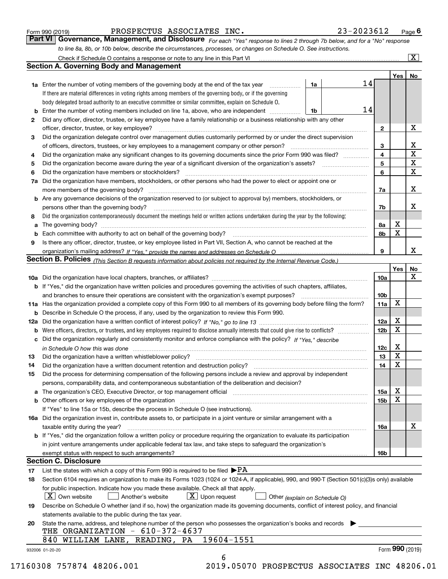| Form 990 (2019) |  |  |
|-----------------|--|--|
|                 |  |  |

*For each "Yes" response to lines 2 through 7b below, and for a "No" response to line 8a, 8b, or 10b below, describe the circumstances, processes, or changes on Schedule O. See instructions.* Form 990 (2019) **PROSPECTUS ASSOCIATES INC.** 23-2023612 Page 6<br>**Part VI Governance, Management, and Disclosure** For each "Yes" response to lines 2 through 7b below, and for a "No" response Check if Schedule O contains a response or note to any line in this Part VI

|    | <b>Section A. Governing Body and Management</b>                                                                                                                               |    |    |                 | Yes   No |             |
|----|-------------------------------------------------------------------------------------------------------------------------------------------------------------------------------|----|----|-----------------|----------|-------------|
|    | <b>1a</b> Enter the number of voting members of the governing body at the end of the tax year <i>manumum</i>                                                                  | 1a | 14 |                 |          |             |
|    | If there are material differences in voting rights among members of the governing body, or if the governing                                                                   |    |    |                 |          |             |
|    | body delegated broad authority to an executive committee or similar committee, explain on Schedule O.                                                                         |    |    |                 |          |             |
|    | <b>b</b> Enter the number of voting members included on line 1a, above, who are independent <i>manumum</i>                                                                    | 1b | 14 |                 |          |             |
| 2  | Did any officer, director, trustee, or key employee have a family relationship or a business relationship with any other                                                      |    |    |                 |          |             |
|    | officer, director, trustee, or key employee?                                                                                                                                  |    |    | $\mathbf{2}$    |          | X           |
| 3  | Did the organization delegate control over management duties customarily performed by or under the direct supervision                                                         |    |    |                 |          |             |
|    |                                                                                                                                                                               |    |    | 3               |          | X           |
| 4  | Did the organization make any significant changes to its governing documents since the prior Form 990 was filed?                                                              |    |    | $\overline{4}$  |          | $\mathbf X$ |
| 5  |                                                                                                                                                                               |    |    | 5               |          | $\mathbf X$ |
| 6  |                                                                                                                                                                               |    |    | 6               |          | $\mathbf X$ |
| 7a | Did the organization have members, stockholders, or other persons who had the power to elect or appoint one or                                                                |    |    |                 |          |             |
|    |                                                                                                                                                                               |    |    | 7a              |          | x           |
|    | <b>b</b> Are any governance decisions of the organization reserved to (or subject to approval by) members, stockholders, or                                                   |    |    |                 |          |             |
|    | persons other than the governing body?                                                                                                                                        |    |    | 7b              |          | х           |
| 8  | Did the organization contemporaneously document the meetings held or written actions undertaken during the year by the following:                                             |    |    |                 |          |             |
| a  |                                                                                                                                                                               |    |    | 8a              | X        |             |
|    |                                                                                                                                                                               |    |    | 8b              | X        |             |
| 9  | Is there any officer, director, trustee, or key employee listed in Part VII, Section A, who cannot be reached at the                                                          |    |    |                 |          |             |
|    |                                                                                                                                                                               |    |    | 9               |          | x           |
|    | Section B. Policies (This Section B requests information about policies not required by the Internal Revenue Code.)                                                           |    |    |                 |          |             |
|    |                                                                                                                                                                               |    |    |                 | Yes      | No          |
|    |                                                                                                                                                                               |    |    | 10a             |          | X           |
|    | <b>b</b> If "Yes," did the organization have written policies and procedures governing the activities of such chapters, affiliates,                                           |    |    |                 |          |             |
|    |                                                                                                                                                                               |    |    |                 |          |             |
|    |                                                                                                                                                                               |    |    | 10 <sub>b</sub> | X        |             |
|    | 11a Has the organization provided a complete copy of this Form 990 to all members of its governing body before filing the form?                                               |    |    | 11a             |          |             |
|    | <b>b</b> Describe in Schedule O the process, if any, used by the organization to review this Form 990.                                                                        |    |    |                 | X        |             |
|    |                                                                                                                                                                               |    |    | 12a             | X        |             |
| b  |                                                                                                                                                                               |    |    | 12 <sub>b</sub> |          |             |
|    | c Did the organization regularly and consistently monitor and enforce compliance with the policy? If "Yes." describe                                                          |    |    |                 |          |             |
|    | in Schedule O how this was done manufactured and continuum control of the Schedule O how this was done manufactured and continuum control of the Schedule O how this was done |    |    | 12c             | X        |             |
| 13 |                                                                                                                                                                               |    |    | 13              | X        |             |
| 14 | Did the organization have a written document retention and destruction policy? manufactured and the organization have a written document retention and destruction policy?    |    |    | 14              | X        |             |
| 15 | Did the process for determining compensation of the following persons include a review and approval by independent                                                            |    |    |                 |          |             |
|    | persons, comparability data, and contemporaneous substantiation of the deliberation and decision?                                                                             |    |    |                 |          |             |
|    |                                                                                                                                                                               |    |    | 15a             | X        |             |
|    |                                                                                                                                                                               |    |    | 15 <sub>b</sub> | X        |             |
|    | If "Yes" to line 15a or 15b, describe the process in Schedule O (see instructions).                                                                                           |    |    |                 |          |             |
|    | 16a Did the organization invest in, contribute assets to, or participate in a joint venture or similar arrangement with a                                                     |    |    |                 |          |             |
|    | taxable entity during the year?                                                                                                                                               |    |    | 16a             |          | X           |
|    | b If "Yes," did the organization follow a written policy or procedure requiring the organization to evaluate its participation                                                |    |    |                 |          |             |
|    | in joint venture arrangements under applicable federal tax law, and take steps to safeguard the organization's                                                                |    |    |                 |          |             |
|    | exempt status with respect to such arrangements?                                                                                                                              |    |    | 16 <sub>b</sub> |          |             |
|    | <b>Section C. Disclosure</b>                                                                                                                                                  |    |    |                 |          |             |
| 17 | List the states with which a copy of this Form 990 is required to be filed $\blacktriangleright$ PA                                                                           |    |    |                 |          |             |
| 18 | Section 6104 requires an organization to make its Forms 1023 (1024 or 1024-A, if applicable), 990, and 990-T (Section 501(c)(3)s only) available                              |    |    |                 |          |             |
|    | for public inspection. Indicate how you made these available. Check all that apply.                                                                                           |    |    |                 |          |             |
|    | $ X $ Own website<br>$\lfloor x \rfloor$ Upon request<br>Another's website<br>Other (explain on Schedule O)                                                                   |    |    |                 |          |             |
| 19 | Describe on Schedule O whether (and if so, how) the organization made its governing documents, conflict of interest policy, and financial                                     |    |    |                 |          |             |
|    | statements available to the public during the tax year.                                                                                                                       |    |    |                 |          |             |
| 20 | State the name, address, and telephone number of the person who possesses the organization's books and records                                                                |    |    |                 |          |             |
|    | THE ORGANIZATION $-610-372-4637$                                                                                                                                              |    |    |                 |          |             |
|    | 19604-1551                                                                                                                                                                    |    |    |                 |          |             |
|    | 840 WILLIAM LANE, READING, PA                                                                                                                                                 |    |    |                 |          |             |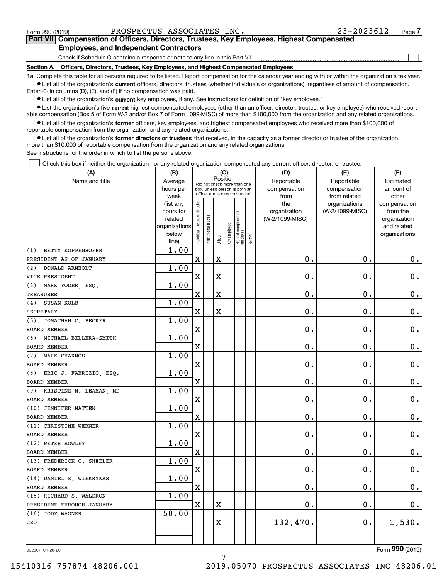$\mathcal{L}^{\text{max}}$ 

# **7Part VII Compensation of Officers, Directors, Trustees, Key Employees, Highest Compensated Employees, and Independent Contractors**

Check if Schedule O contains a response or note to any line in this Part VII

**Section A. Officers, Directors, Trustees, Key Employees, and Highest Compensated Employees**

**1a**  Complete this table for all persons required to be listed. Report compensation for the calendar year ending with or within the organization's tax year. **•** List all of the organization's current officers, directors, trustees (whether individuals or organizations), regardless of amount of compensation.

Enter -0- in columns (D), (E), and (F) if no compensation was paid.

 $\bullet$  List all of the organization's  $\,$ current key employees, if any. See instructions for definition of "key employee."

**•** List the organization's five current highest compensated employees (other than an officer, director, trustee, or key employee) who received reportable compensation (Box 5 of Form W-2 and/or Box 7 of Form 1099-MISC) of more than \$100,000 from the organization and any related organizations.

**•** List all of the organization's former officers, key employees, and highest compensated employees who received more than \$100,000 of reportable compensation from the organization and any related organizations.

**former directors or trustees**  ¥ List all of the organization's that received, in the capacity as a former director or trustee of the organization, more than \$10,000 of reportable compensation from the organization and any related organizations.

See instructions for the order in which to list the persons above.

Check this box if neither the organization nor any related organization compensated any current officer, director, or trustee.  $\mathcal{L}^{\text{max}}$ 

| (A)                           | (B)                    |                                |                                                                  | (C)                     |              |                                   |        | (D)             | (E)                              | (F)                      |
|-------------------------------|------------------------|--------------------------------|------------------------------------------------------------------|-------------------------|--------------|-----------------------------------|--------|-----------------|----------------------------------|--------------------------|
| Name and title                | Average                |                                | (do not check more than one                                      | Position                |              |                                   |        | Reportable      | Reportable                       | Estimated                |
|                               | hours per              |                                | box, unless person is both an<br>officer and a director/trustee) |                         |              |                                   |        | compensation    | compensation                     | amount of                |
|                               | week                   |                                |                                                                  |                         |              |                                   |        | from<br>the     | from related                     | other                    |
|                               | (list any<br>hours for | Individual trustee or director |                                                                  |                         |              |                                   |        | organization    | organizations<br>(W-2/1099-MISC) | compensation<br>from the |
|                               | related                |                                |                                                                  |                         |              |                                   |        | (W-2/1099-MISC) |                                  | organization             |
|                               | organizations          |                                |                                                                  |                         |              |                                   |        |                 |                                  | and related              |
|                               | below                  |                                | Institutional trustee                                            |                         | Key employee |                                   |        |                 |                                  | organizations            |
|                               | line)                  |                                |                                                                  | Officer                 |              | Highest compensated<br>  employee | Former |                 |                                  |                          |
| BETTY KOPPENHOFER<br>(1)      | 1.00                   |                                |                                                                  |                         |              |                                   |        |                 |                                  |                          |
| PRESIDENT AS OF JANUARY       |                        | $\mathbf X$                    |                                                                  | X                       |              |                                   |        | $\mathbf 0$ .   | $\mathbf 0$ .                    | $0_{.}$                  |
| (2)<br>DONALD ARNHOLT         | 1.00                   |                                |                                                                  |                         |              |                                   |        |                 |                                  |                          |
| VICE PRESIDENT                |                        | $\mathbf X$                    |                                                                  | $\overline{\textbf{X}}$ |              |                                   |        | $\mathbf 0$ .   | $\mathbf 0$ .                    | $0_{.}$                  |
| (3)<br>MARK YODER, ESQ.       | 1.00                   |                                |                                                                  |                         |              |                                   |        |                 |                                  |                          |
| <b>TREASURER</b>              |                        | $\mathbf x$                    |                                                                  | $\overline{\textbf{X}}$ |              |                                   |        | $\mathbf 0$ .   | $\mathbf 0$ .                    | $\mathbf 0$ .            |
| (4) SUSAN KOLB                | 1.00                   |                                |                                                                  |                         |              |                                   |        |                 |                                  |                          |
| <b>SECRETARY</b>              |                        | $\mathbf X$                    |                                                                  | $\overline{\textbf{X}}$ |              |                                   |        | $\mathbf 0$ .   | $\mathbf 0$ .                    | $\mathbf 0$ .            |
| JONATHAN C. BECKER<br>(5)     | 1.00                   |                                |                                                                  |                         |              |                                   |        |                 |                                  |                          |
| <b>BOARD MEMBER</b>           |                        | $\mathbf X$                    |                                                                  |                         |              |                                   |        | $\mathbf 0$ .   | $\mathbf 0$ .                    | $\mathbf 0$ .            |
| MICHAEL BILLERA-SMITH<br>(6)  | 1.00                   |                                |                                                                  |                         |              |                                   |        |                 |                                  |                          |
| <b>BOARD MEMBER</b>           |                        | $\mathbf X$                    |                                                                  |                         |              |                                   |        | $0$ .           | $\mathbf 0$ .                    | $\mathbf 0$ .            |
| MARK CHAKNOS<br>(7)           | 1.00                   |                                |                                                                  |                         |              |                                   |        |                 |                                  |                          |
| <b>BOARD MEMBER</b>           |                        | $\mathbf X$                    |                                                                  |                         |              |                                   |        | $\mathbf 0$ .   | $\mathbf 0$ .                    | $\pmb{0}$ .              |
| ERIC J. FABRIZIO, ESQ.<br>(8) | 1.00                   |                                |                                                                  |                         |              |                                   |        |                 |                                  |                          |
| <b>BOARD MEMBER</b>           |                        | $\overline{\textbf{X}}$        |                                                                  |                         |              |                                   |        | $\mathbf 0$ .   | $\mathbf 0$ .                    | $\mathbf 0$ .            |
| (9) KRISTINE M. LEAMAN, MD    | 1.00                   |                                |                                                                  |                         |              |                                   |        |                 |                                  |                          |
| <b>BOARD MEMBER</b>           |                        | $\mathbf X$                    |                                                                  |                         |              |                                   |        | $\mathbf 0$ .   | $\mathbf 0$ .                    | $\mathbf 0$ .            |
| (10) JENNIFER MATTEN          | 1.00                   |                                |                                                                  |                         |              |                                   |        |                 |                                  |                          |
| <b>BOARD MEMBER</b>           |                        | $\mathbf X$                    |                                                                  |                         |              |                                   |        | $0$ .           | $\mathbf 0$ .                    | $\mathbf 0$ .            |
| (11) CHRISTINE WERNER         | 1.00                   |                                |                                                                  |                         |              |                                   |        |                 |                                  |                          |
| <b>BOARD MEMBER</b>           |                        | $\mathbf x$                    |                                                                  |                         |              |                                   |        | $\mathbf{0}$ .  | $\mathbf 0$ .                    | $\mathbf 0$ .            |
| (12) PETER ROWLEY             | 1.00                   |                                |                                                                  |                         |              |                                   |        |                 |                                  |                          |
| <b>BOARD MEMBER</b>           |                        | $\mathbf X$                    |                                                                  |                         |              |                                   |        | $\mathbf 0$ .   | $\mathbf 0$ .                    | $\mathbf 0$ .            |
| (13) FREDERICK C. SHEELER     | 1.00                   |                                |                                                                  |                         |              |                                   |        |                 |                                  |                          |
| <b>BOARD MEMBER</b>           |                        | $\mathbf x$                    |                                                                  |                         |              |                                   |        | $\mathbf 0$ .   | $\mathbf 0$ .                    | $\mathbf 0$ .            |
| (14) DANIEL E. WIEKRYKAS      | 1.00                   |                                |                                                                  |                         |              |                                   |        |                 |                                  |                          |
| <b>BOARD MEMBER</b>           |                        | $\mathbf X$                    |                                                                  |                         |              |                                   |        | $\mathbf 0$ .   | $\mathbf 0$ .                    | $\mathbf 0$ .            |
| (15) RICHARD S. WALDRON       | 1.00                   |                                |                                                                  |                         |              |                                   |        |                 |                                  |                          |
| PRESIDENT THROUGH JANUARY     |                        | $\mathbf X$                    |                                                                  | X                       |              |                                   |        | $\mathbf 0$ .   | $\mathbf 0$ .                    | $\mathbf 0$ .            |
| (16) JODY WAGNER              | 50.00                  |                                |                                                                  |                         |              |                                   |        |                 |                                  |                          |
| CEO                           |                        |                                |                                                                  | X                       |              |                                   |        | 132,470.        | 0.                               | 1,530.                   |
|                               |                        |                                |                                                                  |                         |              |                                   |        |                 |                                  |                          |
|                               |                        |                                |                                                                  |                         |              |                                   |        |                 |                                  |                          |

932007 01-20-20

Form (2019) **990**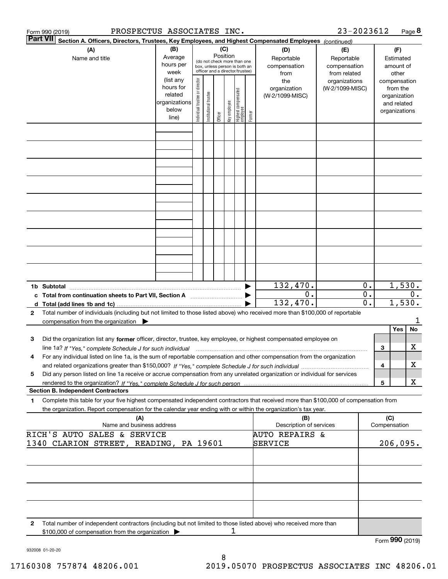|              | PROSPECTUS ASSOCIATES INC.<br>Form 990 (2019)                                                                                                                                                                                                                            |                                                                      |                                                                                                                    |                       |                                                   |              |                                  |                                        |                                                      | 23-2023612                       |             |              | Page 8                                                                   |         |
|--------------|--------------------------------------------------------------------------------------------------------------------------------------------------------------------------------------------------------------------------------------------------------------------------|----------------------------------------------------------------------|--------------------------------------------------------------------------------------------------------------------|-----------------------|---------------------------------------------------|--------------|----------------------------------|----------------------------------------|------------------------------------------------------|----------------------------------|-------------|--------------|--------------------------------------------------------------------------|---------|
|              | <b>Part VII</b><br>Section A. Officers, Directors, Trustees, Key Employees, and Highest Compensated Employees (continued)                                                                                                                                                |                                                                      |                                                                                                                    |                       |                                                   |              |                                  |                                        |                                                      |                                  |             |              |                                                                          |         |
|              | (A)<br>Name and title                                                                                                                                                                                                                                                    | (B)<br>Average<br>hours per<br>week                                  | (C)<br>Position<br>(do not check more than one<br>box, unless person is both an<br>officer and a director/trustee) |                       | (E)<br>Reportable<br>compensation<br>from related |              |                                  | (F)<br>Estimated<br>amount of<br>other |                                                      |                                  |             |              |                                                                          |         |
|              |                                                                                                                                                                                                                                                                          | (list any<br>hours for<br>related<br>organizations<br>below<br>line) | Individual trustee or director                                                                                     | Institutional trustee | Officer                                           | Key employee | Highest compensated<br> employee | Former                                 | the<br>organization<br>(W-2/1099-MISC)               | organizations<br>(W-2/1099-MISC) |             |              | compensation<br>from the<br>organization<br>and related<br>organizations |         |
|              |                                                                                                                                                                                                                                                                          |                                                                      |                                                                                                                    |                       |                                                   |              |                                  |                                        |                                                      |                                  |             |              |                                                                          |         |
|              |                                                                                                                                                                                                                                                                          |                                                                      |                                                                                                                    |                       |                                                   |              |                                  |                                        |                                                      |                                  |             |              |                                                                          |         |
|              |                                                                                                                                                                                                                                                                          |                                                                      |                                                                                                                    |                       |                                                   |              |                                  |                                        |                                                      |                                  |             |              |                                                                          |         |
|              |                                                                                                                                                                                                                                                                          |                                                                      |                                                                                                                    |                       |                                                   |              |                                  |                                        |                                                      |                                  |             |              |                                                                          |         |
|              | 1b Subtotal                                                                                                                                                                                                                                                              |                                                                      |                                                                                                                    |                       |                                                   |              |                                  |                                        | 132,470.                                             |                                  | 0.          |              | 1,530.                                                                   |         |
| $\mathbf{2}$ | c Total from continuation sheets to Part VII, Section A<br>Total number of individuals (including but not limited to those listed above) who received more than \$100,000 of reportable                                                                                  |                                                                      |                                                                                                                    |                       |                                                   |              |                                  |                                        | 0.<br>132,470.                                       |                                  | $0$ .<br>0. |              | 1,530.                                                                   | О.      |
|              | compensation from the organization $\blacktriangleright$                                                                                                                                                                                                                 |                                                                      |                                                                                                                    |                       |                                                   |              |                                  |                                        |                                                      |                                  |             |              | Yes                                                                      | 1<br>No |
| 3            | Did the organization list any former officer, director, trustee, key employee, or highest compensated employee on<br>line 1a? If "Yes," complete Schedule J for such individual manumanamental communities and the 1a? If "Yes," complete Schedule J for such individual |                                                                      |                                                                                                                    |                       |                                                   |              |                                  |                                        |                                                      |                                  |             | 3            |                                                                          | x       |
|              | For any individual listed on line 1a, is the sum of reportable compensation and other compensation from the organization                                                                                                                                                 |                                                                      |                                                                                                                    |                       |                                                   |              |                                  |                                        |                                                      |                                  |             | 4            |                                                                          | х       |
| 5            | Did any person listed on line 1a receive or accrue compensation from any unrelated organization or individual for services                                                                                                                                               |                                                                      |                                                                                                                    |                       |                                                   |              |                                  |                                        |                                                      |                                  |             | 5            |                                                                          | х       |
| 1            | <b>Section B. Independent Contractors</b><br>Complete this table for your five highest compensated independent contractors that received more than \$100,000 of compensation from                                                                                        |                                                                      |                                                                                                                    |                       |                                                   |              |                                  |                                        |                                                      |                                  |             |              |                                                                          |         |
|              | the organization. Report compensation for the calendar year ending with or within the organization's tax year.<br>(A)                                                                                                                                                    |                                                                      |                                                                                                                    |                       |                                                   |              |                                  |                                        | (B)                                                  |                                  |             | (C)          |                                                                          |         |
|              | Name and business address<br>RICH'S AUTO SALES & SERVICE                                                                                                                                                                                                                 |                                                                      |                                                                                                                    |                       |                                                   |              |                                  |                                        | Description of services<br><b>AUTO REPAIRS &amp;</b> |                                  |             | Compensation |                                                                          |         |
|              | 1340 CLARION STREET, READING, PA 19601                                                                                                                                                                                                                                   |                                                                      |                                                                                                                    |                       |                                                   |              |                                  |                                        | SERVICE                                              |                                  |             |              | 206,095.                                                                 |         |
|              |                                                                                                                                                                                                                                                                          |                                                                      |                                                                                                                    |                       |                                                   |              |                                  |                                        |                                                      |                                  |             |              |                                                                          |         |
|              |                                                                                                                                                                                                                                                                          |                                                                      |                                                                                                                    |                       |                                                   |              |                                  |                                        |                                                      |                                  |             |              |                                                                          |         |
| 2            | Total number of independent contractors (including but not limited to those listed above) who received more than<br>\$100,000 of compensation from the organization                                                                                                      |                                                                      |                                                                                                                    |                       |                                                   | 1            |                                  |                                        |                                                      |                                  |             |              |                                                                          |         |
|              |                                                                                                                                                                                                                                                                          |                                                                      |                                                                                                                    |                       |                                                   |              |                                  |                                        |                                                      |                                  |             |              | Form 990 (2019)                                                          |         |

932008 01-20-20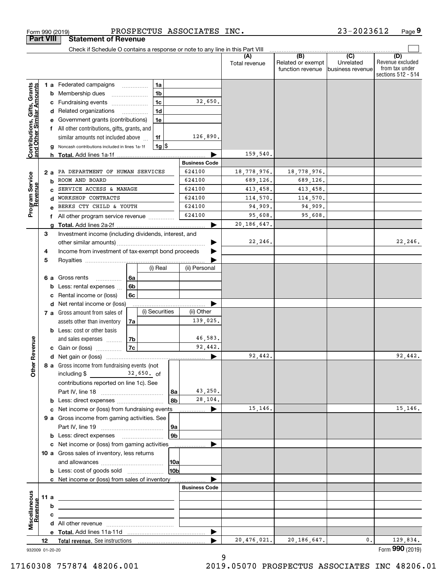| <b>Part VIII</b>                                          |    |        | <b>Statement of Revenue</b>                                                                                            |    |                |                      |                      |                      |                                       |                               |                                                                 |
|-----------------------------------------------------------|----|--------|------------------------------------------------------------------------------------------------------------------------|----|----------------|----------------------|----------------------|----------------------|---------------------------------------|-------------------------------|-----------------------------------------------------------------|
|                                                           |    |        | Check if Schedule O contains a response or note to any line in this Part VIII                                          |    |                |                      |                      | (A)                  | (B)                                   | $\overline{C}$                |                                                                 |
|                                                           |    |        |                                                                                                                        |    |                |                      |                      | Total revenue        | Related or exempt<br>function revenue | Unrelated<br>business revenue | (D)<br>Revenue excluded<br>from tax under<br>sections 512 - 514 |
|                                                           |    |        | 1 a Federated campaigns                                                                                                |    | 1a             |                      |                      |                      |                                       |                               |                                                                 |
|                                                           |    |        | <b>b</b> Membership dues                                                                                               |    | 1 <sub>b</sub> |                      |                      |                      |                                       |                               |                                                                 |
|                                                           |    |        | c Fundraising events                                                                                                   |    | 1 <sub>c</sub> |                      | 32,650.              |                      |                                       |                               |                                                                 |
| Contributions, Gifts, Grants<br>and Other Similar Amounts |    |        | d Related organizations                                                                                                | .  | 1 <sub>d</sub> |                      |                      |                      |                                       |                               |                                                                 |
|                                                           |    |        | e Government grants (contributions)                                                                                    |    | 1e             |                      |                      |                      |                                       |                               |                                                                 |
|                                                           |    |        | All other contributions, gifts, grants, and                                                                            |    |                |                      |                      |                      |                                       |                               |                                                                 |
|                                                           |    |        | similar amounts not included above                                                                                     |    | 1f             |                      | 126,890.             |                      |                                       |                               |                                                                 |
|                                                           |    |        | Noncash contributions included in lines 1a-1f                                                                          |    | $1g$ \$        |                      |                      |                      |                                       |                               |                                                                 |
|                                                           |    |        | <b>h</b> Total. Add lines 1a-1f                                                                                        |    |                |                      |                      | 159,540.             |                                       |                               |                                                                 |
|                                                           |    |        |                                                                                                                        |    |                |                      | <b>Business Code</b> |                      |                                       |                               |                                                                 |
|                                                           |    | 2а     | PA DEPARTMENT OF HUMAN SERVICES                                                                                        |    |                |                      | 624100               | 18,778,976.          | 18,778,976.                           |                               |                                                                 |
| Program Service<br>Revenue                                |    | b      | ROOM AND BOARD<br>SERVICE ACCESS & MANAGE                                                                              |    |                |                      | 624100<br>624100     | 689,126.             | 689,126.                              |                               |                                                                 |
|                                                           |    |        | WORKSHOP CONTRACTS                                                                                                     |    |                |                      | 624100               | 413,458.<br>114,570. | 413,458.<br>114,570.                  |                               |                                                                 |
|                                                           |    |        | BERKS CTY CHILD & YOUTH                                                                                                |    |                |                      | 624100               | 94,909.              | 94,909.                               |                               |                                                                 |
|                                                           |    |        |                                                                                                                        |    |                |                      | 624100               | 95,608.              | 95,608.                               |                               |                                                                 |
|                                                           |    | f<br>a | All other program service revenue                                                                                      |    |                |                      |                      | 20, 186, 647.        |                                       |                               |                                                                 |
|                                                           | 3  |        | Investment income (including dividends, interest, and                                                                  |    |                |                      |                      |                      |                                       |                               |                                                                 |
|                                                           |    |        |                                                                                                                        |    |                |                      |                      | 22,246.              |                                       |                               | 22,246.                                                         |
|                                                           | 4  |        | Income from investment of tax-exempt bond proceeds                                                                     |    |                |                      |                      |                      |                                       |                               |                                                                 |
|                                                           | 5  |        |                                                                                                                        |    |                |                      |                      |                      |                                       |                               |                                                                 |
|                                                           |    |        |                                                                                                                        |    | (i) Real       |                      | (ii) Personal        |                      |                                       |                               |                                                                 |
|                                                           |    | 6а     | Gross rents<br>.                                                                                                       | 6а |                |                      |                      |                      |                                       |                               |                                                                 |
|                                                           |    | b      | Less: rental expenses                                                                                                  | 6b |                |                      |                      |                      |                                       |                               |                                                                 |
|                                                           |    | c      | Rental income or (loss)                                                                                                | 6c |                |                      |                      |                      |                                       |                               |                                                                 |
|                                                           |    |        | d Net rental income or (loss)                                                                                          |    |                |                      |                      |                      |                                       |                               |                                                                 |
|                                                           |    |        | 7 a Gross amount from sales of                                                                                         |    | (i) Securities |                      | (ii) Other           |                      |                                       |                               |                                                                 |
|                                                           |    |        | assets other than inventory                                                                                            | 7a |                |                      | 139,025.             |                      |                                       |                               |                                                                 |
|                                                           |    |        | <b>b</b> Less: cost or other basis                                                                                     |    |                |                      |                      |                      |                                       |                               |                                                                 |
|                                                           |    |        | and sales expenses                                                                                                     | 7b |                |                      | 46,583.              |                      |                                       |                               |                                                                 |
| Revenue                                                   |    |        | <b>c</b> Gain or (loss)                                                                                                | 7c |                |                      | 92,442.              |                      |                                       |                               |                                                                 |
|                                                           |    |        |                                                                                                                        |    |                |                      |                      | 92,442.              |                                       |                               | 92,442.                                                         |
| Othe                                                      |    |        | 8 a Gross income from fundraising events (not                                                                          |    |                |                      |                      |                      |                                       |                               |                                                                 |
|                                                           |    |        | $32,650.$ of<br>including $$$                                                                                          |    |                |                      |                      |                      |                                       |                               |                                                                 |
|                                                           |    |        | contributions reported on line 1c). See                                                                                |    |                |                      |                      |                      |                                       |                               |                                                                 |
|                                                           |    |        |                                                                                                                        |    |                | 8a                   | 43,250.              |                      |                                       |                               |                                                                 |
|                                                           |    |        | <b>b</b> Less: direct expenses                                                                                         |    |                | 8b                   | 28,104.              | 15,146.              |                                       |                               |                                                                 |
|                                                           |    |        | c Net income or (loss) from fundraising events                                                                         |    |                |                      | ▶                    |                      |                                       |                               | 15, 146.                                                        |
|                                                           |    |        | 9 a Gross income from gaming activities. See                                                                           |    |                |                      |                      |                      |                                       |                               |                                                                 |
|                                                           |    |        | <b>b</b> Less: direct expenses <b>manually</b>                                                                         |    |                | 9a<br>9 <sub>b</sub> |                      |                      |                                       |                               |                                                                 |
|                                                           |    |        | c Net income or (loss) from gaming activities                                                                          |    |                |                      |                      |                      |                                       |                               |                                                                 |
|                                                           |    |        | 10 a Gross sales of inventory, less returns                                                                            |    |                |                      |                      |                      |                                       |                               |                                                                 |
|                                                           |    |        |                                                                                                                        |    |                | 10a                  |                      |                      |                                       |                               |                                                                 |
|                                                           |    |        | <b>b</b> Less: cost of goods sold                                                                                      |    |                | 10b                  |                      |                      |                                       |                               |                                                                 |
|                                                           |    |        | c Net income or (loss) from sales of inventory                                                                         |    |                |                      |                      |                      |                                       |                               |                                                                 |
|                                                           |    |        |                                                                                                                        |    |                |                      | <b>Business Code</b> |                      |                                       |                               |                                                                 |
|                                                           |    | 11 a   | <u> 1989 - Johann Barbara, martxa alemaniar amerikan a</u>                                                             |    |                |                      |                      |                      |                                       |                               |                                                                 |
|                                                           |    | b      |                                                                                                                        |    |                |                      |                      |                      |                                       |                               |                                                                 |
| Revenue                                                   |    | с      | <u> 1980 - Jan Sterling and Sterling and Sterling and Sterling and Sterling and Sterling and Sterling and Sterling</u> |    |                |                      |                      |                      |                                       |                               |                                                                 |
| Miscellaneous                                             |    |        |                                                                                                                        |    |                |                      |                      |                      |                                       |                               |                                                                 |
|                                                           |    |        |                                                                                                                        |    |                |                      | ▶                    |                      |                                       |                               |                                                                 |
|                                                           | 12 |        |                                                                                                                        |    |                |                      |                      | 20,476,021.          | 20, 186, 647.                         | 0.                            | 129,834.                                                        |
| 932009 01-20-20                                           |    |        |                                                                                                                        |    |                |                      |                      |                      |                                       |                               | Form 990 (2019)                                                 |

Form 990 (2019) PROSPECTUS ASSOCIATES INC . 23--2023612 Page

PROSPECTUS ASSOCIATES INC.

**9**

23-2023612

9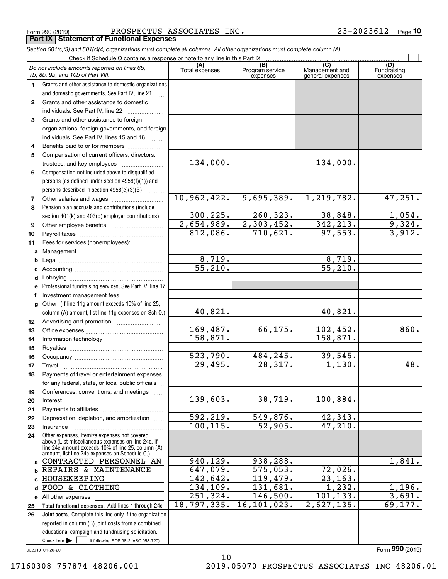Form 990 (2019) PROSPECTUS ASSOCIATES INC . 23-2023612 Page **Part IX Statement of Functional Expenses**

*Section 501(c)(3) and 501(c)(4) organizations must complete all columns. All other organizations must complete column (A).*

|    | Check if Schedule O contains a response or note to any line in this Part IX                                                                                                                                |                       |                                    |                                                      |                                |
|----|------------------------------------------------------------------------------------------------------------------------------------------------------------------------------------------------------------|-----------------------|------------------------------------|------------------------------------------------------|--------------------------------|
|    | Do not include amounts reported on lines 6b,<br>7b, 8b, 9b, and 10b of Part VIII.                                                                                                                          | (A)<br>Total expenses | (B)<br>Program service<br>expenses | $\overline{C}$<br>Management and<br>general expenses | (D)<br>Fundraising<br>expenses |
| 1  | Grants and other assistance to domestic organizations                                                                                                                                                      |                       |                                    |                                                      |                                |
|    | and domestic governments. See Part IV, line 21                                                                                                                                                             |                       |                                    |                                                      |                                |
| 2  | Grants and other assistance to domestic                                                                                                                                                                    |                       |                                    |                                                      |                                |
|    | individuals. See Part IV, line 22                                                                                                                                                                          |                       |                                    |                                                      |                                |
| 3  | Grants and other assistance to foreign                                                                                                                                                                     |                       |                                    |                                                      |                                |
|    | organizations, foreign governments, and foreign                                                                                                                                                            |                       |                                    |                                                      |                                |
|    | individuals. See Part IV, lines 15 and 16                                                                                                                                                                  |                       |                                    |                                                      |                                |
| 4  | Benefits paid to or for members                                                                                                                                                                            |                       |                                    |                                                      |                                |
| 5  | Compensation of current officers, directors,                                                                                                                                                               |                       |                                    |                                                      |                                |
|    | trustees, and key employees                                                                                                                                                                                | 134,000.              |                                    | 134,000.                                             |                                |
| 6  | Compensation not included above to disqualified                                                                                                                                                            |                       |                                    |                                                      |                                |
|    | persons (as defined under section 4958(f)(1)) and                                                                                                                                                          |                       |                                    |                                                      |                                |
|    | persons described in section 4958(c)(3)(B)                                                                                                                                                                 |                       |                                    |                                                      |                                |
| 7  | Other salaries and wages                                                                                                                                                                                   | 10,962,422.           | 9,695,389.                         | 1,219,782.                                           | 47,251.                        |
| 8  | Pension plan accruals and contributions (include                                                                                                                                                           |                       |                                    |                                                      |                                |
|    | section 401(k) and 403(b) employer contributions)                                                                                                                                                          | 300,225.              | 260, 323.                          | 38,848.                                              | $\frac{1,054.}{9,324.}$        |
| 9  |                                                                                                                                                                                                            | 2,654,989.            | $\overline{2,303,452.}$            | 342, 213.                                            |                                |
| 10 |                                                                                                                                                                                                            | 812,086.              | 710,621.                           | 97,553.                                              | 3,912.                         |
| 11 | Fees for services (nonemployees):                                                                                                                                                                          |                       |                                    |                                                      |                                |
| a  |                                                                                                                                                                                                            |                       |                                    |                                                      |                                |
| b  |                                                                                                                                                                                                            | 8,719.                |                                    | 8,719.                                               |                                |
| c  |                                                                                                                                                                                                            | $\overline{55,210}$ . |                                    | $\overline{55,210}$ .                                |                                |
| d  |                                                                                                                                                                                                            |                       |                                    |                                                      |                                |
|    | Professional fundraising services. See Part IV, line 17                                                                                                                                                    |                       |                                    |                                                      |                                |
| f  | Investment management fees                                                                                                                                                                                 |                       |                                    |                                                      |                                |
| a  | Other. (If line 11g amount exceeds 10% of line 25,                                                                                                                                                         |                       |                                    |                                                      |                                |
|    | column (A) amount, list line 11g expenses on Sch O.)                                                                                                                                                       | 40,821.               |                                    | 40,821.                                              |                                |
| 12 |                                                                                                                                                                                                            |                       |                                    |                                                      |                                |
| 13 |                                                                                                                                                                                                            | 169,487.              | 66,175.                            | 102,452.                                             | 860.                           |
| 14 |                                                                                                                                                                                                            | 158,871.              |                                    | 158,871.                                             |                                |
| 15 |                                                                                                                                                                                                            |                       |                                    |                                                      |                                |
| 16 |                                                                                                                                                                                                            | 523,790.              | 484,245.                           | 39,545.                                              |                                |
| 17 | Travel                                                                                                                                                                                                     | 29,495.               | $\overline{28,317}$ .              | 1,130.                                               | 48.                            |
| 18 | Payments of travel or entertainment expenses                                                                                                                                                               |                       |                                    |                                                      |                                |
|    | for any federal, state, or local public officials                                                                                                                                                          |                       |                                    |                                                      |                                |
| 19 | Conferences, conventions, and meetings                                                                                                                                                                     |                       |                                    |                                                      |                                |
| 20 | Interest                                                                                                                                                                                                   | 139,603.              | 38,719.                            | 100,884.                                             |                                |
| 21 |                                                                                                                                                                                                            |                       |                                    |                                                      |                                |
| 22 | Depreciation, depletion, and amortization                                                                                                                                                                  | 592, 219.             | 549,876.                           | 42,343.                                              |                                |
| 23 | Insurance                                                                                                                                                                                                  | 100, 115.             | 52,905.                            | 47,210.                                              |                                |
| 24 | Other expenses. Itemize expenses not covered<br>above (List miscellaneous expenses on line 24e. If<br>line 24e amount exceeds 10% of line 25, column (A)<br>amount, list line 24e expenses on Schedule 0.) |                       |                                    |                                                      |                                |
| a  | CONTRACTED PERSONNEL AN                                                                                                                                                                                    | 940,129.              | 938,288.                           |                                                      | 1,841.                         |
| b  | REPAIRS & MAINTENANCE                                                                                                                                                                                      | 647,079.              | 575,053.                           | 72,026.                                              |                                |
| C  | HOUSEKEEPING                                                                                                                                                                                               | 142,642.              | 119,479.                           | 23, 163.                                             |                                |
| d  | FOOD & CLOTHING                                                                                                                                                                                            | 134,109.              | 131,681.                           | 1,232.                                               | 1,196.                         |
| е  | All other expenses                                                                                                                                                                                         | 251, 324.             | 146,500.                           | 101, 133.                                            | 3,691.                         |
| 25 | Total functional expenses. Add lines 1 through 24e                                                                                                                                                         | 18,797,335.           | 16, 101, 023.                      | 2,627,135.                                           | 69,177.                        |
| 26 | Joint costs. Complete this line only if the organization                                                                                                                                                   |                       |                                    |                                                      |                                |
|    | reported in column (B) joint costs from a combined                                                                                                                                                         |                       |                                    |                                                      |                                |
|    | educational campaign and fundraising solicitation.                                                                                                                                                         |                       |                                    |                                                      |                                |
|    | Check here $\blacktriangleright$<br>if following SOP 98-2 (ASC 958-720)                                                                                                                                    |                       |                                    |                                                      |                                |

932010 01-20-20

10 17160308 757874 48206.001 2019.05070 PROSPECTUS ASSOCIATES INC 48206.01

Form (2019) **990**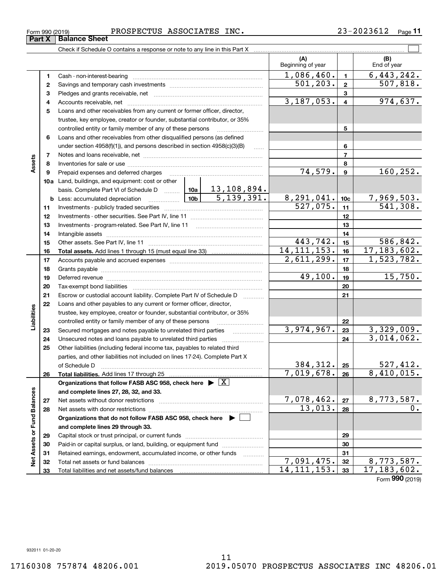**33**

Form (2019) **990**

| Form 990 (2019) |  | PROSPECTUS ASSOCIATES | INC. | 3-2023612 | Page |
|-----------------|--|-----------------------|------|-----------|------|
|-----------------|--|-----------------------|------|-----------|------|

Check if Schedule O contains a response or note to any line in this Part X

|                             |              |                                                                                    |  |              |                | (A)<br>Beginning of year |                 | (B)<br>End of year     |  |
|-----------------------------|--------------|------------------------------------------------------------------------------------|--|--------------|----------------|--------------------------|-----------------|------------------------|--|
|                             | 1            |                                                                                    |  |              |                | 1,086,460.               | $\mathbf{1}$    | 6,443,242.             |  |
|                             | $\mathbf{2}$ |                                                                                    |  |              |                | 501, 203.                | $\overline{2}$  | 507,818.               |  |
|                             | з            |                                                                                    |  |              | 3              |                          |                 |                        |  |
|                             | 4            |                                                                                    |  | 3, 187, 053. | $\overline{4}$ | 974,637.                 |                 |                        |  |
|                             | 5            | Loans and other receivables from any current or former officer, director,          |  |              |                |                          |                 |                        |  |
|                             |              | trustee, key employee, creator or founder, substantial contributor, or 35%         |  |              |                |                          |                 |                        |  |
|                             |              | controlled entity or family member of any of these persons                         |  |              | 5              |                          |                 |                        |  |
|                             | 6            | Loans and other receivables from other disqualified persons (as defined            |  |              |                |                          |                 |                        |  |
|                             |              | under section $4958(f)(1)$ , and persons described in section $4958(c)(3)(B)$      |  | 1.1.1.1      |                |                          | 6               |                        |  |
|                             | 7            |                                                                                    |  |              |                |                          | 7               |                        |  |
| Assets                      | 8            |                                                                                    |  |              |                |                          | 8               |                        |  |
|                             | 9            | Prepaid expenses and deferred charges                                              |  |              |                | 74,579.                  | $\mathbf{9}$    | 160, 252.              |  |
|                             |              | 10a Land, buildings, and equipment: cost or other                                  |  |              |                |                          |                 |                        |  |
|                             |              | basis. Complete Part VI of Schedule D    10a   13, 108, 894.                       |  |              |                |                          |                 |                        |  |
|                             |              | <u>  10b</u>  <br><b>b</b> Less: accumulated depreciation                          |  | 5,139,391.   |                | 8,291,041.               | 10 <sub>c</sub> | 7,969,503.             |  |
|                             | 11           |                                                                                    |  |              |                | 527,075.                 | 11              | $\overline{541,308}$ . |  |
|                             | 12           |                                                                                    |  |              |                |                          | 12              |                        |  |
|                             | 13           | Investments - program-related. See Part IV, line 11                                |  |              |                |                          | 13              |                        |  |
|                             | 14           |                                                                                    |  |              |                |                          | 14              |                        |  |
|                             | 15           |                                                                                    |  |              |                | 443,742.                 | 15              | 586, 842.              |  |
|                             | 16           |                                                                                    |  |              |                | 14, 111, 153.            | 16              | 17, 183, 602.          |  |
|                             | 17           |                                                                                    |  |              |                | 2,611,299.               | 17              | 1,523,782.             |  |
|                             | 18           |                                                                                    |  |              | 18             |                          |                 |                        |  |
|                             | 19           |                                                                                    |  |              |                | 49,100.                  | 19              | 15,750.                |  |
|                             | 20           |                                                                                    |  |              |                |                          | 20              |                        |  |
|                             | 21           | Escrow or custodial account liability. Complete Part IV of Schedule D              |  |              |                |                          | 21              |                        |  |
|                             | 22           | Loans and other payables to any current or former officer, director,               |  |              |                |                          |                 |                        |  |
| Liabilities                 |              | trustee, key employee, creator or founder, substantial contributor, or 35%         |  |              |                |                          |                 |                        |  |
|                             |              | controlled entity or family member of any of these persons                         |  |              |                |                          | 22              |                        |  |
|                             | 23           | Secured mortgages and notes payable to unrelated third parties                     |  |              |                | 3,974,967.               | 23              | 3,329,009.             |  |
|                             | 24           | Unsecured notes and loans payable to unrelated third parties                       |  |              |                |                          | 24              | 3,014,062.             |  |
|                             | 25           | Other liabilities (including federal income tax, payables to related third         |  |              |                |                          |                 |                        |  |
|                             |              | parties, and other liabilities not included on lines 17-24). Complete Part X       |  |              |                | 384,312.                 |                 | 527,412.               |  |
|                             |              | of Schedule D                                                                      |  |              |                | 7,019,678.               | 25              | 8,410,015.             |  |
|                             | 26           | Organizations that follow FASB ASC 958, check here $\blacktriangleright \boxed{X}$ |  |              |                |                          | 26              |                        |  |
|                             |              | and complete lines 27, 28, 32, and 33.                                             |  |              |                |                          |                 |                        |  |
|                             | 27           | Net assets without donor restrictions                                              |  |              |                | 7,078,462.               | 27              | 8,773,587.             |  |
|                             | 28           | Net assets with donor restrictions                                                 |  | 13,013.      | 28             |                          | 0.              |                        |  |
|                             |              | Organizations that do not follow FASB ASC 958, check here $\blacktriangleright$    |  |              |                |                          |                 |                        |  |
|                             |              | and complete lines 29 through 33.                                                  |  |              |                |                          |                 |                        |  |
|                             | 29           |                                                                                    |  |              |                |                          | 29              |                        |  |
| Net Assets or Fund Balances | 30           | Paid-in or capital surplus, or land, building, or equipment fund                   |  |              |                |                          | 30              |                        |  |
|                             | 31           | Retained earnings, endowment, accumulated income, or other funds                   |  |              |                |                          | 31              |                        |  |
|                             | 32           |                                                                                    |  |              |                | 7,091,475.               | 32              | 8,773,587.             |  |
|                             | 33           |                                                                                    |  |              |                | 14, 111, 153.            | 33              | 17, 183, 602.          |  |

 $\mathcal{L}^{\text{max}}$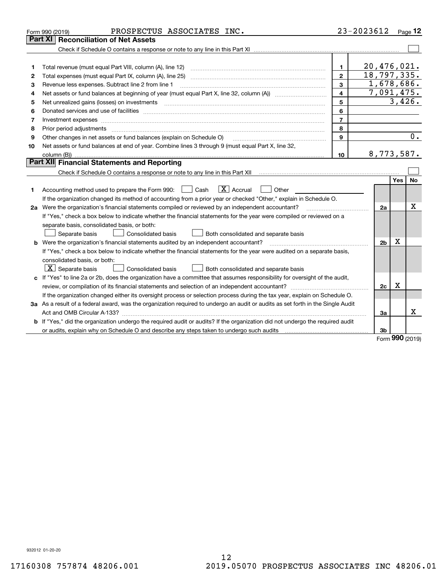|    | PROSPECTUS ASSOCIATES INC.<br>Form 990 (2019)                                                                                                                                                                                  |                | 23-2023612     |            | $_{\text{Page}}$ 12 |
|----|--------------------------------------------------------------------------------------------------------------------------------------------------------------------------------------------------------------------------------|----------------|----------------|------------|---------------------|
|    | <b>Reconciliation of Net Assets</b><br>Part XI                                                                                                                                                                                 |                |                |            |                     |
|    |                                                                                                                                                                                                                                |                |                |            |                     |
|    |                                                                                                                                                                                                                                |                |                |            |                     |
| 1  |                                                                                                                                                                                                                                | 1.             | 20, 476, 021.  |            |                     |
| 2  |                                                                                                                                                                                                                                | $\mathbf{2}$   | 18, 797, 335.  |            |                     |
| 3  | Revenue less expenses. Subtract line 2 from line 1                                                                                                                                                                             | 3              | 1,678,686.     |            |                     |
| 4  |                                                                                                                                                                                                                                | 4              | 7,091,475.     |            |                     |
| 5  | Net unrealized gains (losses) on investments                                                                                                                                                                                   | 5              |                |            | 3,426.              |
| 6  |                                                                                                                                                                                                                                | 6              |                |            |                     |
| 7  | Investment expenses www.communication.communication.com/www.communication.com/www.communication.com                                                                                                                            | $\overline{7}$ |                |            |                     |
| 8  | Prior period adjustments with an accommodal contract of the contract of the contract of the contract of the contract of the contract of the contract of the contract of the contract of the contract of the contract of the co | 8              |                |            |                     |
| 9  | Other changes in net assets or fund balances (explain on Schedule O)                                                                                                                                                           | 9              |                |            | 0.                  |
| 10 | Net assets or fund balances at end of year. Combine lines 3 through 9 (must equal Part X, line 32,                                                                                                                             |                |                |            |                     |
|    |                                                                                                                                                                                                                                | 10             | 8,773,587.     |            |                     |
|    | Part XII Financial Statements and Reporting                                                                                                                                                                                    |                |                |            |                     |
|    |                                                                                                                                                                                                                                |                |                |            |                     |
|    |                                                                                                                                                                                                                                |                |                | <b>Yes</b> | No                  |
| 1  | $\boxed{\mathbf{X}}$ Accrual<br>Accounting method used to prepare the Form 990: <u>I</u> Cash<br>Other                                                                                                                         |                |                |            |                     |
|    | If the organization changed its method of accounting from a prior year or checked "Other," explain in Schedule O.                                                                                                              |                |                |            |                     |
|    | 2a Were the organization's financial statements compiled or reviewed by an independent accountant?                                                                                                                             |                | 2a             |            | X                   |
|    | If "Yes," check a box below to indicate whether the financial statements for the year were compiled or reviewed on a                                                                                                           |                |                |            |                     |
|    | separate basis, consolidated basis, or both:                                                                                                                                                                                   |                |                |            |                     |
|    | Separate basis<br>Consolidated basis<br>Both consolidated and separate basis                                                                                                                                                   |                |                |            |                     |
|    | <b>b</b> Were the organization's financial statements audited by an independent accountant?                                                                                                                                    |                | 2 <sub>b</sub> | X          |                     |
|    | If "Yes," check a box below to indicate whether the financial statements for the year were audited on a separate basis,                                                                                                        |                |                |            |                     |
|    | consolidated basis, or both:                                                                                                                                                                                                   |                |                |            |                     |
|    | $\vert$ X $\vert$ Separate basis<br>Consolidated basis<br>Both consolidated and separate basis                                                                                                                                 |                |                |            |                     |
|    | c If "Yes" to line 2a or 2b, does the organization have a committee that assumes responsibility for oversight of the audit,                                                                                                    |                |                |            |                     |
|    |                                                                                                                                                                                                                                |                | 2c             | х          |                     |
|    | If the organization changed either its oversight process or selection process during the tax year, explain on Schedule O.                                                                                                      |                |                |            |                     |
|    | 3a As a result of a federal award, was the organization required to undergo an audit or audits as set forth in the Single Audit                                                                                                |                |                |            |                     |
|    |                                                                                                                                                                                                                                |                | За             |            | x                   |
|    | b If "Yes," did the organization undergo the required audit or audits? If the organization did not undergo the required audit                                                                                                  |                |                |            |                     |
|    |                                                                                                                                                                                                                                |                | 3b             |            |                     |

Form (2019) **990**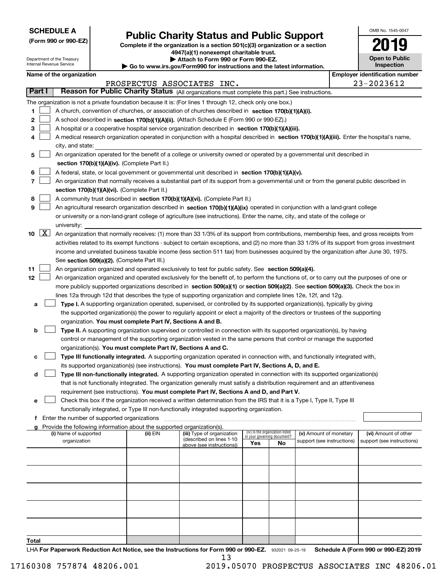| <b>SCHEDULE A</b> |
|-------------------|
|-------------------|

Department of the Treasury Internal Revenue Service

**(Form 990 or 990-EZ)**

# **Public Charity Status and Public Support**

**Complete if the organization is a section 501(c)(3) organization or a section 4947(a)(1) nonexempt charitable trust. | Attach to Form 990 or Form 990-EZ.** 

|  | ▶ Go to www.irs.gov/Form990 for instructions and the latest information |  |  |
|--|-------------------------------------------------------------------------|--|--|

| OMB No. 1545-0047                   |
|-------------------------------------|
| 2019                                |
| <b>Open to Public</b><br>Inspection |

# **Name of the organization Employer identification number**

|                           |                                                                                                                                                                                                                                                                                                                                                                                                                                                                                                                                                                                                                                                                                                                                                                                                                                                                                                                                                                                                                                                                                               |          | PROSPECTUS ASSOCIATES INC.                                                          |                                                                       |    |                                                      |  | 23-2023612                                         |  |
|---------------------------|-----------------------------------------------------------------------------------------------------------------------------------------------------------------------------------------------------------------------------------------------------------------------------------------------------------------------------------------------------------------------------------------------------------------------------------------------------------------------------------------------------------------------------------------------------------------------------------------------------------------------------------------------------------------------------------------------------------------------------------------------------------------------------------------------------------------------------------------------------------------------------------------------------------------------------------------------------------------------------------------------------------------------------------------------------------------------------------------------|----------|-------------------------------------------------------------------------------------|-----------------------------------------------------------------------|----|------------------------------------------------------|--|----------------------------------------------------|--|
| Part I                    | Reason for Public Charity Status (All organizations must complete this part.) See instructions.                                                                                                                                                                                                                                                                                                                                                                                                                                                                                                                                                                                                                                                                                                                                                                                                                                                                                                                                                                                               |          |                                                                                     |                                                                       |    |                                                      |  |                                                    |  |
| 1<br>2<br>з<br>4          | The organization is not a private foundation because it is: (For lines 1 through 12, check only one box.)<br>A church, convention of churches, or association of churches described in section 170(b)(1)(A)(i).<br>A school described in section 170(b)(1)(A)(ii). (Attach Schedule E (Form 990 or 990-EZ).)<br>A hospital or a cooperative hospital service organization described in section $170(b)(1)(A)(iii)$ .<br>A medical research organization operated in conjunction with a hospital described in section 170(b)(1)(A)(iii). Enter the hospital's name,<br>city, and state:                                                                                                                                                                                                                                                                                                                                                                                                                                                                                                        |          |                                                                                     |                                                                       |    |                                                      |  |                                                    |  |
| 5<br>6<br>7<br>8<br>9     | An organization operated for the benefit of a college or university owned or operated by a governmental unit described in<br>section 170(b)(1)(A)(iv). (Complete Part II.)<br>A federal, state, or local government or governmental unit described in section 170(b)(1)(A)(v).<br>An organization that normally receives a substantial part of its support from a governmental unit or from the general public described in<br>section 170(b)(1)(A)(vi). (Complete Part II.)<br>A community trust described in section 170(b)(1)(A)(vi). (Complete Part II.)<br>An agricultural research organization described in section 170(b)(1)(A)(ix) operated in conjunction with a land-grant college<br>or university or a non-land-grant college of agriculture (see instructions). Enter the name, city, and state of the college or                                                                                                                                                                                                                                                               |          |                                                                                     |                                                                       |    |                                                      |  |                                                    |  |
| $\lfloor x \rfloor$<br>10 | university:<br>An organization that normally receives: (1) more than 33 1/3% of its support from contributions, membership fees, and gross receipts from<br>activities related to its exempt functions - subject to certain exceptions, and (2) no more than 33 1/3% of its support from gross investment<br>income and unrelated business taxable income (less section 511 tax) from businesses acquired by the organization after June 30, 1975.<br>See section 509(a)(2). (Complete Part III.)                                                                                                                                                                                                                                                                                                                                                                                                                                                                                                                                                                                             |          |                                                                                     |                                                                       |    |                                                      |  |                                                    |  |
| 11<br>12<br>a<br>b        | An organization organized and operated exclusively to test for public safety. See section 509(a)(4).<br>An organization organized and operated exclusively for the benefit of, to perform the functions of, or to carry out the purposes of one or<br>more publicly supported organizations described in section 509(a)(1) or section 509(a)(2). See section 509(a)(3). Check the box in<br>lines 12a through 12d that describes the type of supporting organization and complete lines 12e, 12f, and 12g.<br>Type I. A supporting organization operated, supervised, or controlled by its supported organization(s), typically by giving<br>the supported organization(s) the power to regularly appoint or elect a majority of the directors or trustees of the supporting<br>organization. You must complete Part IV, Sections A and B.<br>Type II. A supporting organization supervised or controlled in connection with its supported organization(s), by having<br>control or management of the supporting organization vested in the same persons that control or manage the supported |          |                                                                                     |                                                                       |    |                                                      |  |                                                    |  |
| c<br>d<br>е               | organization(s). You must complete Part IV, Sections A and C.<br>Type III functionally integrated. A supporting organization operated in connection with, and functionally integrated with,<br>its supported organization(s) (see instructions). You must complete Part IV, Sections A, D, and E.<br>Type III non-functionally integrated. A supporting organization operated in connection with its supported organization(s)<br>that is not functionally integrated. The organization generally must satisfy a distribution requirement and an attentiveness<br>requirement (see instructions). You must complete Part IV, Sections A and D, and Part V.                                                                                                                                                                                                                                                                                                                                                                                                                                    |          |                                                                                     |                                                                       |    |                                                      |  |                                                    |  |
|                           | Check this box if the organization received a written determination from the IRS that it is a Type I, Type II, Type III<br>functionally integrated, or Type III non-functionally integrated supporting organization.                                                                                                                                                                                                                                                                                                                                                                                                                                                                                                                                                                                                                                                                                                                                                                                                                                                                          |          |                                                                                     |                                                                       |    |                                                      |  |                                                    |  |
|                           | Enter the number of supported organizations                                                                                                                                                                                                                                                                                                                                                                                                                                                                                                                                                                                                                                                                                                                                                                                                                                                                                                                                                                                                                                                   |          |                                                                                     |                                                                       |    |                                                      |  |                                                    |  |
| a                         | Provide the following information about the supported organization(s).<br>(i) Name of supported<br>organization                                                                                                                                                                                                                                                                                                                                                                                                                                                                                                                                                                                                                                                                                                                                                                                                                                                                                                                                                                               | (ii) EIN | (iii) Type of organization<br>(described on lines 1-10<br>above (see instructions)) | (iv) Is the organization listed<br>in your governing document?<br>Yes | No | (v) Amount of monetary<br>support (see instructions) |  | (vi) Amount of other<br>support (see instructions) |  |
|                           |                                                                                                                                                                                                                                                                                                                                                                                                                                                                                                                                                                                                                                                                                                                                                                                                                                                                                                                                                                                                                                                                                               |          |                                                                                     |                                                                       |    |                                                      |  |                                                    |  |
|                           |                                                                                                                                                                                                                                                                                                                                                                                                                                                                                                                                                                                                                                                                                                                                                                                                                                                                                                                                                                                                                                                                                               |          |                                                                                     |                                                                       |    |                                                      |  |                                                    |  |
|                           |                                                                                                                                                                                                                                                                                                                                                                                                                                                                                                                                                                                                                                                                                                                                                                                                                                                                                                                                                                                                                                                                                               |          |                                                                                     |                                                                       |    |                                                      |  |                                                    |  |
| <b>Total</b>              |                                                                                                                                                                                                                                                                                                                                                                                                                                                                                                                                                                                                                                                                                                                                                                                                                                                                                                                                                                                                                                                                                               |          |                                                                                     |                                                                       |    |                                                      |  |                                                    |  |
|                           |                                                                                                                                                                                                                                                                                                                                                                                                                                                                                                                                                                                                                                                                                                                                                                                                                                                                                                                                                                                                                                                                                               |          |                                                                                     |                                                                       |    |                                                      |  |                                                    |  |

LHA For Paperwork Reduction Act Notice, see the Instructions for Form 990 or 990-EZ. 932021 09-25-19 Schedule A (Form 990 or 990-EZ) 2019 13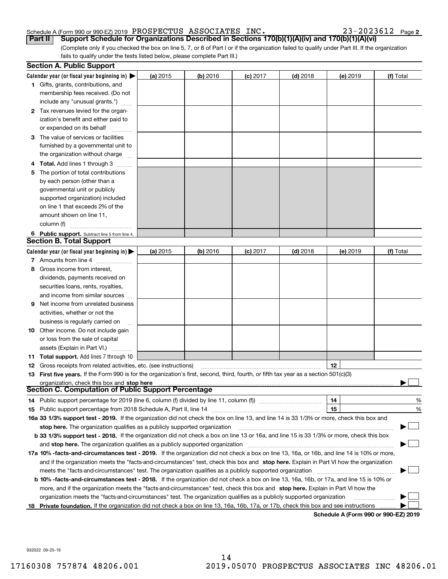23-2023612 Page 2

(Complete only if you checked the box on line 5, 7, or 8 of Part I or if the organization failed to qualify under Part III. If the organization fails to qualify under the tests listed below, please complete Part III.) **Part II Support Schedule for Organizations Described in Sections 170(b)(1)(A)(iv) and 170(b)(1)(A)(vi)**

|    | <b>Section A. Public Support</b>                                                                                                               |          |            |            |            |            |                                      |
|----|------------------------------------------------------------------------------------------------------------------------------------------------|----------|------------|------------|------------|------------|--------------------------------------|
|    | Calendar year (or fiscal year beginning in) $\blacktriangleright$                                                                              | (a) 2015 | $(b)$ 2016 | $(c)$ 2017 | $(d)$ 2018 | $(e)$ 2019 | (f) Total                            |
|    | <b>1</b> Gifts, grants, contributions, and                                                                                                     |          |            |            |            |            |                                      |
|    | membership fees received. (Do not                                                                                                              |          |            |            |            |            |                                      |
|    | include any "unusual grants.")                                                                                                                 |          |            |            |            |            |                                      |
|    | 2 Tax revenues levied for the organ-                                                                                                           |          |            |            |            |            |                                      |
|    | ization's benefit and either paid to                                                                                                           |          |            |            |            |            |                                      |
|    | or expended on its behalf                                                                                                                      |          |            |            |            |            |                                      |
|    | 3 The value of services or facilities                                                                                                          |          |            |            |            |            |                                      |
|    | furnished by a governmental unit to                                                                                                            |          |            |            |            |            |                                      |
|    | the organization without charge                                                                                                                |          |            |            |            |            |                                      |
|    | 4 Total. Add lines 1 through 3                                                                                                                 |          |            |            |            |            |                                      |
| 5  | The portion of total contributions                                                                                                             |          |            |            |            |            |                                      |
|    | by each person (other than a                                                                                                                   |          |            |            |            |            |                                      |
|    | governmental unit or publicly                                                                                                                  |          |            |            |            |            |                                      |
|    | supported organization) included                                                                                                               |          |            |            |            |            |                                      |
|    | on line 1 that exceeds 2% of the                                                                                                               |          |            |            |            |            |                                      |
|    | amount shown on line 11,                                                                                                                       |          |            |            |            |            |                                      |
|    | column (f)                                                                                                                                     |          |            |            |            |            |                                      |
|    | 6 Public support. Subtract line 5 from line 4.                                                                                                 |          |            |            |            |            |                                      |
|    | Section B. Total Support                                                                                                                       |          |            |            |            |            |                                      |
|    | Calendar year (or fiscal year beginning in) $\blacktriangleright$                                                                              | (a) 2015 | (b) 2016   | $(c)$ 2017 | $(d)$ 2018 | $(e)$ 2019 | (f) Total                            |
|    | 7 Amounts from line 4                                                                                                                          |          |            |            |            |            |                                      |
|    | 8 Gross income from interest,                                                                                                                  |          |            |            |            |            |                                      |
|    | dividends, payments received on                                                                                                                |          |            |            |            |            |                                      |
|    | securities loans, rents, royalties,                                                                                                            |          |            |            |            |            |                                      |
|    | and income from similar sources                                                                                                                |          |            |            |            |            |                                      |
| 9. | Net income from unrelated business                                                                                                             |          |            |            |            |            |                                      |
|    | activities, whether or not the                                                                                                                 |          |            |            |            |            |                                      |
|    | business is regularly carried on                                                                                                               |          |            |            |            |            |                                      |
|    | <b>10</b> Other income. Do not include gain                                                                                                    |          |            |            |            |            |                                      |
|    | or loss from the sale of capital                                                                                                               |          |            |            |            |            |                                      |
|    | assets (Explain in Part VI.)                                                                                                                   |          |            |            |            |            |                                      |
|    | 11 Total support. Add lines 7 through 10                                                                                                       |          |            |            |            |            |                                      |
|    | <b>12</b> Gross receipts from related activities, etc. (see instructions)                                                                      |          |            |            |            | 12         |                                      |
|    | 13 First five years. If the Form 990 is for the organization's first, second, third, fourth, or fifth tax year as a section 501(c)(3)          |          |            |            |            |            |                                      |
|    | organization, check this box and stop here                                                                                                     |          |            |            |            |            |                                      |
|    | Section C. Computation of Public Support Percentage                                                                                            |          |            |            |            |            |                                      |
|    | 14 Public support percentage for 2019 (line 6, column (f) divided by line 11, column (f) <i>manumumumumum</i>                                  |          |            |            |            | 14         | %                                    |
|    |                                                                                                                                                |          |            |            |            | 15         | %                                    |
|    | 16a 33 1/3% support test - 2019. If the organization did not check the box on line 13, and line 14 is 33 1/3% or more, check this box and      |          |            |            |            |            |                                      |
|    | stop here. The organization qualifies as a publicly supported organization                                                                     |          |            |            |            |            |                                      |
|    | b 33 1/3% support test - 2018. If the organization did not check a box on line 13 or 16a, and line 15 is 33 1/3% or more, check this box       |          |            |            |            |            |                                      |
|    | and stop here. The organization qualifies as a publicly supported organization                                                                 |          |            |            |            |            |                                      |
|    | 17a 10% -facts-and-circumstances test - 2019. If the organization did not check a box on line 13, 16a, or 16b, and line 14 is 10% or more,     |          |            |            |            |            |                                      |
|    | and if the organization meets the "facts-and-circumstances" test, check this box and stop here. Explain in Part VI how the organization        |          |            |            |            |            |                                      |
|    | meets the "facts-and-circumstances" test. The organization qualifies as a publicly supported organization                                      |          |            |            |            |            |                                      |
|    | <b>b 10% -facts-and-circumstances test - 2018.</b> If the organization did not check a box on line 13, 16a, 16b, or 17a, and line 15 is 10% or |          |            |            |            |            |                                      |
|    | more, and if the organization meets the "facts-and-circumstances" test, check this box and stop here. Explain in Part VI how the               |          |            |            |            |            |                                      |
|    | organization meets the "facts-and-circumstances" test. The organization qualifies as a publicly supported organization                         |          |            |            |            |            |                                      |
| 18 | Private foundation. If the organization did not check a box on line 13, 16a, 16b, 17a, or 17b, check this box and see instructions             |          |            |            |            |            |                                      |
|    |                                                                                                                                                |          |            |            |            |            | Schodule A (Form 000 or 000 F7) 2010 |

**Schedule A (Form 990 or 990-EZ) 2019**

932022 09-25-19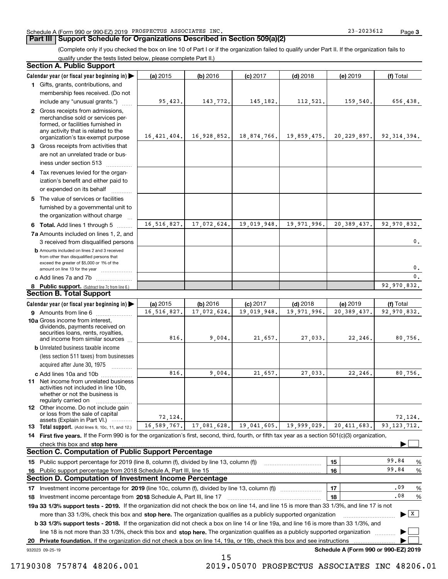### **Part III Support Schedule for Organizations Described in Section 509(a)(2)**

(Complete only if you checked the box on line 10 of Part I or if the organization failed to qualify under Part II. If the organization fails to qualify under the tests listed below, please complete Part II.)

| <b>Section A. Public Support</b>                                                                                                                                                         |             |             |             |             |                                      |                                      |
|------------------------------------------------------------------------------------------------------------------------------------------------------------------------------------------|-------------|-------------|-------------|-------------|--------------------------------------|--------------------------------------|
| Calendar year (or fiscal year beginning in)                                                                                                                                              | (a) 2015    | (b) 2016    | $(c)$ 2017  | $(d)$ 2018  | (e) 2019                             | (f) Total                            |
| 1 Gifts, grants, contributions, and                                                                                                                                                      |             |             |             |             |                                      |                                      |
| membership fees received. (Do not                                                                                                                                                        |             |             |             |             |                                      |                                      |
| include any "unusual grants.")                                                                                                                                                           | 95,423.     | 143,772.    | 145,182.    | 112,521.    | 159,540.                             | 656,438.                             |
| 2 Gross receipts from admissions,<br>merchandise sold or services per-<br>formed, or facilities furnished in<br>any activity that is related to the<br>organization's tax-exempt purpose | 16,421,404. | 16,928,852. | 18,874,766. | 19,859,475. |                                      | 20, 229, 897.   92, 314, 394.        |
| 3 Gross receipts from activities that<br>are not an unrelated trade or bus-                                                                                                              |             |             |             |             |                                      |                                      |
| iness under section 513                                                                                                                                                                  |             |             |             |             |                                      |                                      |
| 4 Tax revenues levied for the organ-<br>ization's benefit and either paid to<br>or expended on its behalf                                                                                |             |             |             |             |                                      |                                      |
| 5 The value of services or facilities<br>furnished by a governmental unit to                                                                                                             |             |             |             |             |                                      |                                      |
| the organization without charge                                                                                                                                                          |             |             |             |             |                                      |                                      |
| 6 Total. Add lines 1 through 5                                                                                                                                                           | 16,516,827. | 17,072,624. | 19,019,948. | 19,971,996. | 20, 389, 437.                        | 92,970,832.                          |
| 7a Amounts included on lines 1, 2, and<br>3 received from disqualified persons                                                                                                           |             |             |             |             |                                      | 0.                                   |
| <b>b</b> Amounts included on lines 2 and 3 received<br>from other than disqualified persons that<br>exceed the greater of \$5,000 or 1% of the                                           |             |             |             |             |                                      | 0.                                   |
| amount on line 13 for the year<br>c Add lines 7a and 7b                                                                                                                                  |             |             |             |             |                                      | $\mathbf{0}$ .                       |
|                                                                                                                                                                                          |             |             |             |             |                                      | 92,970,832.                          |
| 8 Public support. (Subtract line 7c from line 6.)<br><b>Section B. Total Support</b>                                                                                                     |             |             |             |             |                                      |                                      |
| Calendar year (or fiscal year beginning in)                                                                                                                                              | (a) 2015    | (b) 2016    | $(c)$ 2017  | $(d)$ 2018  | (e) 2019                             | (f) Total                            |
| <b>9</b> Amounts from line 6                                                                                                                                                             | 16,516,827. | 17,072,624. | 19,019,948. | 19,971,996. | 20, 389, 437.                        | 92,970,832.                          |
| 10a Gross income from interest,<br>dividends, payments received on<br>securities loans, rents, royalties,<br>and income from similar sources                                             | 816.        | 9,004.      | 21,657.     | 27,033.     | 22,246.                              | 80,756.                              |
| <b>b</b> Unrelated business taxable income<br>(less section 511 taxes) from businesses                                                                                                   |             |             |             |             |                                      |                                      |
| acquired after June 30, 1975                                                                                                                                                             |             |             |             |             |                                      |                                      |
| c Add lines 10a and 10b<br>11 Net income from unrelated business<br>activities not included in line 10b,<br>whether or not the business is<br>regularly carried on                       | 816         | 9,004.      | 21,657.     | 27,033.     | 22,246.                              | 80,756.                              |
| <b>12</b> Other income. Do not include gain<br>or loss from the sale of capital<br>assets (Explain in Part VI.)                                                                          | 72.124.     |             |             |             |                                      | 72,124.                              |
| 13 Total support. (Add lines 9, 10c, 11, and 12.)                                                                                                                                        | 16,589,767. | 17,081,628. | 19,041,605. | 19,999,029. | 20, 411, 683.                        | 93.123.712.                          |
| 14 First five years. If the Form 990 is for the organization's first, second, third, fourth, or fifth tax year as a section 501(c)(3) organization,                                      |             |             |             |             |                                      |                                      |
| check this box and stop here                                                                                                                                                             |             |             |             |             |                                      |                                      |
| <b>Section C. Computation of Public Support Percentage</b>                                                                                                                               |             |             |             |             |                                      |                                      |
| 15 Public support percentage for 2019 (line 8, column (f), divided by line 13, column (f))                                                                                               |             |             |             |             | 15                                   | 99.84<br>%                           |
| 16 Public support percentage from 2018 Schedule A, Part III, line 15                                                                                                                     |             |             |             |             | 16                                   | 99.84<br>$\%$                        |
| <b>Section D. Computation of Investment Income Percentage</b>                                                                                                                            |             |             |             |             |                                      |                                      |
| 17 Investment income percentage for 2019 (line 10c, column (f), divided by line 13, column (f))                                                                                          |             |             |             |             | 17                                   | .09<br>%                             |
| 18 Investment income percentage from 2018 Schedule A, Part III, line 17                                                                                                                  |             |             |             |             | 18                                   | .08<br>%                             |
| 19a 33 1/3% support tests - 2019. If the organization did not check the box on line 14, and line 15 is more than 33 1/3%, and line 17 is not                                             |             |             |             |             |                                      |                                      |
| more than 33 1/3%, check this box and stop here. The organization qualifies as a publicly supported organization                                                                         |             |             |             |             |                                      | $\blacktriangleright$ $\overline{X}$ |
| <b>b 33 1/3% support tests - 2018.</b> If the organization did not check a box on line 14 or line 19a, and line 16 is more than 33 1/3%, and                                             |             |             |             |             |                                      |                                      |
| line 18 is not more than 33 1/3%, check this box and stop here. The organization qualifies as a publicly supported organization                                                          |             |             |             |             |                                      |                                      |
| 20 Private foundation. If the organization did not check a box on line 14, 19a, or 19b, check this box and see instructions<br>932023 09-25-19                                           |             |             |             |             | Schedule A (Form 990 or 990-EZ) 2019 |                                      |
|                                                                                                                                                                                          |             |             |             |             |                                      |                                      |

15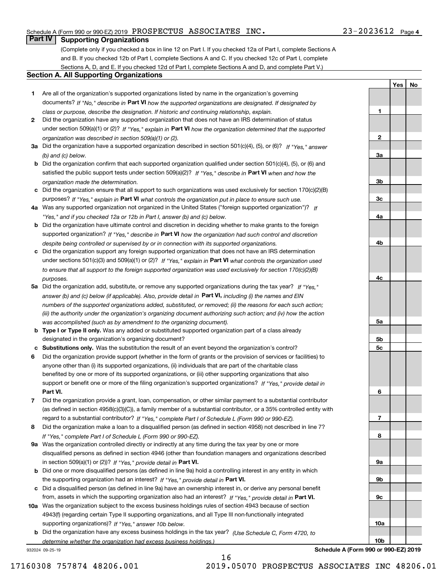# **Part IV Supporting Organizations**

(Complete only if you checked a box in line 12 on Part I. If you checked 12a of Part I, complete Sections A and B. If you checked 12b of Part I, complete Sections A and C. If you checked 12c of Part I, complete Sections A, D, and E. If you checked 12d of Part I, complete Sections A and D, and complete Part V.)

#### **Section A. All Supporting Organizations**

- **1** Are all of the organization's supported organizations listed by name in the organization's governing documents? If "No," describe in **Part VI** how the supported organizations are designated. If designated by *class or purpose, describe the designation. If historic and continuing relationship, explain.*
- **2** Did the organization have any supported organization that does not have an IRS determination of status under section 509(a)(1) or (2)? If "Yes," explain in Part VI how the organization determined that the supported *organization was described in section 509(a)(1) or (2).*
- **3a** Did the organization have a supported organization described in section 501(c)(4), (5), or (6)? If "Yes," answer *(b) and (c) below.*
- **b** Did the organization confirm that each supported organization qualified under section 501(c)(4), (5), or (6) and satisfied the public support tests under section 509(a)(2)? If "Yes," describe in **Part VI** when and how the *organization made the determination.*
- **c**Did the organization ensure that all support to such organizations was used exclusively for section 170(c)(2)(B) purposes? If "Yes," explain in **Part VI** what controls the organization put in place to ensure such use.
- **4a***If* Was any supported organization not organized in the United States ("foreign supported organization")? *"Yes," and if you checked 12a or 12b in Part I, answer (b) and (c) below.*
- **b** Did the organization have ultimate control and discretion in deciding whether to make grants to the foreign supported organization? If "Yes," describe in **Part VI** how the organization had such control and discretion *despite being controlled or supervised by or in connection with its supported organizations.*
- **c** Did the organization support any foreign supported organization that does not have an IRS determination under sections 501(c)(3) and 509(a)(1) or (2)? If "Yes," explain in **Part VI** what controls the organization used *to ensure that all support to the foreign supported organization was used exclusively for section 170(c)(2)(B) purposes.*
- **5a** Did the organization add, substitute, or remove any supported organizations during the tax year? If "Yes," answer (b) and (c) below (if applicable). Also, provide detail in **Part VI,** including (i) the names and EIN *numbers of the supported organizations added, substituted, or removed; (ii) the reasons for each such action; (iii) the authority under the organization's organizing document authorizing such action; and (iv) how the action was accomplished (such as by amendment to the organizing document).*
- **b** Type I or Type II only. Was any added or substituted supported organization part of a class already designated in the organization's organizing document?
- **cSubstitutions only.**  Was the substitution the result of an event beyond the organization's control?
- **6** Did the organization provide support (whether in the form of grants or the provision of services or facilities) to **Part VI.** *If "Yes," provide detail in* support or benefit one or more of the filing organization's supported organizations? anyone other than (i) its supported organizations, (ii) individuals that are part of the charitable class benefited by one or more of its supported organizations, or (iii) other supporting organizations that also
- **7**Did the organization provide a grant, loan, compensation, or other similar payment to a substantial contributor *If "Yes," complete Part I of Schedule L (Form 990 or 990-EZ).* regard to a substantial contributor? (as defined in section 4958(c)(3)(C)), a family member of a substantial contributor, or a 35% controlled entity with
- **8** Did the organization make a loan to a disqualified person (as defined in section 4958) not described in line 7? *If "Yes," complete Part I of Schedule L (Form 990 or 990-EZ).*
- **9a** Was the organization controlled directly or indirectly at any time during the tax year by one or more in section 509(a)(1) or (2))? If "Yes," *provide detail in* <code>Part VI.</code> disqualified persons as defined in section 4946 (other than foundation managers and organizations described
- **b** Did one or more disqualified persons (as defined in line 9a) hold a controlling interest in any entity in which the supporting organization had an interest? If "Yes," provide detail in P**art VI**.
- **c**Did a disqualified person (as defined in line 9a) have an ownership interest in, or derive any personal benefit from, assets in which the supporting organization also had an interest? If "Yes," provide detail in P**art VI.**
- **10a** Was the organization subject to the excess business holdings rules of section 4943 because of section supporting organizations)? If "Yes," answer 10b below. 4943(f) (regarding certain Type II supporting organizations, and all Type III non-functionally integrated
- **b** Did the organization have any excess business holdings in the tax year? (Use Schedule C, Form 4720, to *determine whether the organization had excess business holdings.)*

16

932024 09-25-19

**Schedule A (Form 990 or 990-EZ) 2019**

**YesNo**

**1**

**2**

**3a**

**3b**

**3c**

**4a**

**4b**

**4c**

**5a**

**5b5c**

**6**

**789a 9b9c10a10b**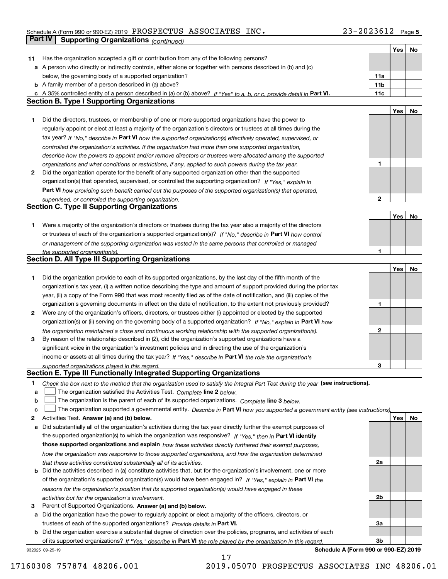|    | Part IV<br><b>Supporting Organizations (continued)</b>                                                                                                       |                 |     |    |
|----|--------------------------------------------------------------------------------------------------------------------------------------------------------------|-----------------|-----|----|
|    |                                                                                                                                                              |                 | Yes | No |
| 11 | Has the organization accepted a gift or contribution from any of the following persons?                                                                      |                 |     |    |
|    | a A person who directly or indirectly controls, either alone or together with persons described in (b) and (c)                                               |                 |     |    |
|    | below, the governing body of a supported organization?                                                                                                       | 11a             |     |    |
|    | <b>b</b> A family member of a person described in (a) above?                                                                                                 | 11 <sub>b</sub> |     |    |
|    | c A 35% controlled entity of a person described in (a) or (b) above? If "Yes" to a, b, or c, provide detail in Part VI.                                      | 11c             |     |    |
|    | <b>Section B. Type I Supporting Organizations</b>                                                                                                            |                 |     |    |
|    |                                                                                                                                                              |                 | Yes | No |
| 1. | Did the directors, trustees, or membership of one or more supported organizations have the power to                                                          |                 |     |    |
|    | regularly appoint or elect at least a majority of the organization's directors or trustees at all times during the                                           |                 |     |    |
|    | tax year? If "No," describe in Part VI how the supported organization(s) effectively operated, supervised, or                                                |                 |     |    |
|    | controlled the organization's activities. If the organization had more than one supported organization,                                                      |                 |     |    |
|    | describe how the powers to appoint and/or remove directors or trustees were allocated among the supported                                                    |                 |     |    |
|    | organizations and what conditions or restrictions, if any, applied to such powers during the tax year.                                                       | 1               |     |    |
| 2  | Did the organization operate for the benefit of any supported organization other than the supported                                                          |                 |     |    |
|    | organization(s) that operated, supervised, or controlled the supporting organization? If "Yes," explain in                                                   |                 |     |    |
|    | Part VI how providing such benefit carried out the purposes of the supported organization(s) that operated,                                                  |                 |     |    |
|    | supervised, or controlled the supporting organization.                                                                                                       | $\mathbf{2}$    |     |    |
|    | <b>Section C. Type II Supporting Organizations</b>                                                                                                           |                 |     |    |
|    |                                                                                                                                                              |                 | Yes | No |
| 1. | Were a majority of the organization's directors or trustees during the tax year also a majority of the directors                                             |                 |     |    |
|    | or trustees of each of the organization's supported organization(s)? If "No," describe in Part VI how control                                                |                 |     |    |
|    | or management of the supporting organization was vested in the same persons that controlled or managed                                                       |                 |     |    |
|    | the supported organization(s).                                                                                                                               | 1               |     |    |
|    | <b>Section D. All Type III Supporting Organizations</b>                                                                                                      |                 |     |    |
|    |                                                                                                                                                              |                 | Yes | No |
| 1  | Did the organization provide to each of its supported organizations, by the last day of the fifth month of the                                               |                 |     |    |
|    | organization's tax year, (i) a written notice describing the type and amount of support provided during the prior tax                                        |                 |     |    |
|    | year, (ii) a copy of the Form 990 that was most recently filed as of the date of notification, and (iii) copies of the                                       |                 |     |    |
|    | organization's governing documents in effect on the date of notification, to the extent not previously provided?                                             | 1               |     |    |
| 2  | Were any of the organization's officers, directors, or trustees either (i) appointed or elected by the supported                                             |                 |     |    |
|    | organization(s) or (ii) serving on the governing body of a supported organization? If "No," explain in Part VI how                                           |                 |     |    |
|    | the organization maintained a close and continuous working relationship with the supported organization(s).                                                  | $\mathbf{2}$    |     |    |
| 3  | By reason of the relationship described in (2), did the organization's supported organizations have a                                                        |                 |     |    |
|    | significant voice in the organization's investment policies and in directing the use of the organization's                                                   |                 |     |    |
|    | income or assets at all times during the tax year? If "Yes," describe in Part VI the role the organization's                                                 |                 |     |    |
|    | supported organizations played in this regard.                                                                                                               | 3               |     |    |
|    | Section E. Type III Functionally Integrated Supporting Organizations                                                                                         |                 |     |    |
| 1  | Check the box next to the method that the organization used to satisfy the Integral Part Test during the year (see instructions).                            |                 |     |    |
| a  | The organization satisfied the Activities Test. Complete line 2 below.                                                                                       |                 |     |    |
| b  | The organization is the parent of each of its supported organizations. Complete line 3 below.                                                                |                 |     |    |
| c  | The organization supported a governmental entity. Describe in Part VI how you supported a government entity (see instructions),                              |                 |     |    |
| 2  | Activities Test. Answer (a) and (b) below.                                                                                                                   |                 | Yes | No |
| а  | Did substantially all of the organization's activities during the tax year directly further the exempt purposes of                                           |                 |     |    |
|    | the supported organization(s) to which the organization was responsive? If "Yes," then in Part VI identify                                                   |                 |     |    |
|    | those supported organizations and explain how these activities directly furthered their exempt purposes,                                                     |                 |     |    |
|    | how the organization was responsive to those supported organizations, and how the organization determined                                                    |                 |     |    |
|    | that these activities constituted substantially all of its activities.                                                                                       | 2a              |     |    |
| b  | Did the activities described in (a) constitute activities that, but for the organization's involvement, one or more                                          |                 |     |    |
|    | of the organization's supported organization(s) would have been engaged in? If "Yes," explain in Part VI the                                                 |                 |     |    |
|    |                                                                                                                                                              |                 |     |    |
|    | reasons for the organization's position that its supported organization(s) would have engaged in these<br>activities but for the organization's involvement. | 2b              |     |    |
| 3  | Parent of Supported Organizations. Answer (a) and (b) below.                                                                                                 |                 |     |    |
| а  | Did the organization have the power to regularly appoint or elect a majority of the officers, directors, or                                                  |                 |     |    |
|    | trustees of each of the supported organizations? Provide details in Part VI.                                                                                 | За              |     |    |
|    | <b>b</b> Did the organization exercise a substantial degree of direction over the policies, programs, and activities of each                                 |                 |     |    |
|    | of its supported organizations? If "Yes," describe in Part VI the role played by the organization in this regard.                                            | 3b              |     |    |
|    |                                                                                                                                                              |                 |     |    |

17

932025 09-25-19

**Schedule A (Form 990 or 990-EZ) 2019**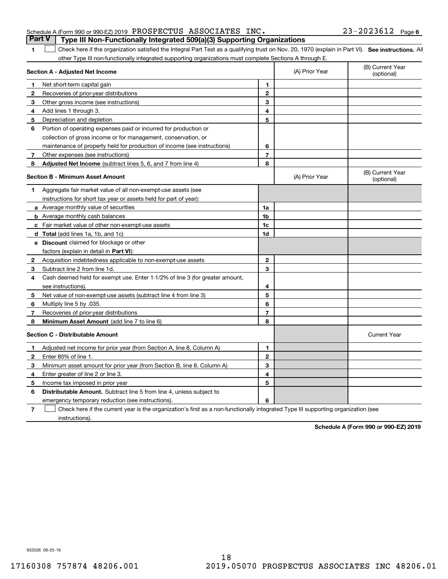| Part V   Type III Non-Functionally Integrated 509(a)(3) Supporting Organizations           |  |                       |  |
|--------------------------------------------------------------------------------------------|--|-----------------------|--|
| Schedule A (Form 990 or 990-EZ) 2019 $\,$ PROSPECTUS $\,$ ASSOCIATES $\,$ INC $_{\bullet}$ |  | $23 - 2023612$ Page 6 |  |

**SEP 10. See instructions.** All antegral Part Test as a qualifying trust on Nov. 20, 1970 (explain in Part VI). See instructions. All other Type III non-functionally integrated supporting organizations must complete Sections A through E.  $\overline{\phantom{a}}$ 

|    | Section A - Adjusted Net Income                                              |                | (A) Prior Year | (B) Current Year<br>(optional) |
|----|------------------------------------------------------------------------------|----------------|----------------|--------------------------------|
| 1. | Net short-term capital gain                                                  | 1              |                |                                |
| 2  | Recoveries of prior-year distributions                                       | $\overline{2}$ |                |                                |
| 3  | Other gross income (see instructions)                                        | 3              |                |                                |
| 4  | Add lines 1 through 3.                                                       | 4              |                |                                |
| 5  | Depreciation and depletion                                                   | 5              |                |                                |
| 6  | Portion of operating expenses paid or incurred for production or             |                |                |                                |
|    | collection of gross income or for management, conservation, or               |                |                |                                |
|    | maintenance of property held for production of income (see instructions)     | 6              |                |                                |
| 7  | Other expenses (see instructions)                                            | $\overline{7}$ |                |                                |
| 8  | Adjusted Net Income (subtract lines 5, 6, and 7 from line 4)                 | 8              |                |                                |
|    | <b>Section B - Minimum Asset Amount</b>                                      |                | (A) Prior Year | (B) Current Year<br>(optional) |
| 1  | Aggregate fair market value of all non-exempt-use assets (see                |                |                |                                |
|    | instructions for short tax year or assets held for part of year):            |                |                |                                |
|    | a Average monthly value of securities                                        | 1a             |                |                                |
|    | <b>b</b> Average monthly cash balances                                       | 1b             |                |                                |
|    | c Fair market value of other non-exempt-use assets                           | 1c             |                |                                |
|    | <b>d</b> Total (add lines 1a, 1b, and 1c)                                    | 1d             |                |                                |
|    | e Discount claimed for blockage or other                                     |                |                |                                |
|    | factors (explain in detail in Part VI):                                      |                |                |                                |
| 2  | Acquisition indebtedness applicable to non-exempt-use assets                 | $\mathbf{2}$   |                |                                |
| З  | Subtract line 2 from line 1d.                                                | 3              |                |                                |
| 4  | Cash deemed held for exempt use. Enter 1-1/2% of line 3 (for greater amount, |                |                |                                |
|    | see instructions)                                                            | 4              |                |                                |
| 5  | Net value of non-exempt-use assets (subtract line 4 from line 3)             | 5              |                |                                |
| 6  | Multiply line 5 by .035.                                                     | 6              |                |                                |
| 7  | Recoveries of prior-year distributions                                       | $\overline{7}$ |                |                                |
| 8  | Minimum Asset Amount (add line 7 to line 6)                                  | 8              |                |                                |
|    | <b>Section C - Distributable Amount</b>                                      |                |                | <b>Current Year</b>            |
| 1  | Adjusted net income for prior year (from Section A, line 8, Column A)        | 1              |                |                                |
| 2  | Enter 85% of line 1                                                          | $\mathbf 2$    |                |                                |
| 3  | Minimum asset amount for prior year (from Section B, line 8, Column A)       | 3              |                |                                |
| 4  | Enter greater of line 2 or line 3.                                           | 4              |                |                                |
| 5  | Income tax imposed in prior year                                             | 5              |                |                                |
| 6  | <b>Distributable Amount.</b> Subtract line 5 from line 4, unless subject to  |                |                |                                |
|    | emergency temporary reduction (see instructions).                            | 6              |                |                                |
|    |                                                                              |                |                |                                |

**7**Check here if the current year is the organization's first as a non-functionally integrated Type III supporting organization (see instructions).

**Schedule A (Form 990 or 990-EZ) 2019**

932026 09-25-19

**1**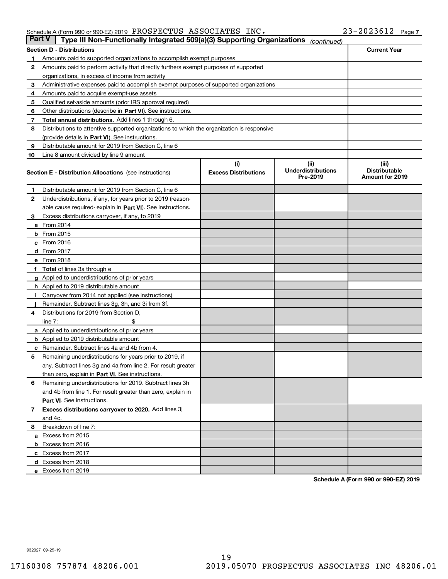| <b>Part V</b> | Type III Non-Functionally Integrated 509(a)(3) Supporting Organizations                    |                                    | (continued)                                    |                                                  |
|---------------|--------------------------------------------------------------------------------------------|------------------------------------|------------------------------------------------|--------------------------------------------------|
|               | <b>Section D - Distributions</b>                                                           |                                    |                                                | <b>Current Year</b>                              |
| 1             | Amounts paid to supported organizations to accomplish exempt purposes                      |                                    |                                                |                                                  |
| 2             | Amounts paid to perform activity that directly furthers exempt purposes of supported       |                                    |                                                |                                                  |
|               | organizations, in excess of income from activity                                           |                                    |                                                |                                                  |
| 3             | Administrative expenses paid to accomplish exempt purposes of supported organizations      |                                    |                                                |                                                  |
| 4             | Amounts paid to acquire exempt-use assets                                                  |                                    |                                                |                                                  |
| 5             | Qualified set-aside amounts (prior IRS approval required)                                  |                                    |                                                |                                                  |
| 6             | Other distributions (describe in Part VI). See instructions.                               |                                    |                                                |                                                  |
| 7             | <b>Total annual distributions.</b> Add lines 1 through 6.                                  |                                    |                                                |                                                  |
| 8             | Distributions to attentive supported organizations to which the organization is responsive |                                    |                                                |                                                  |
|               | (provide details in Part VI). See instructions.                                            |                                    |                                                |                                                  |
| 9             | Distributable amount for 2019 from Section C, line 6                                       |                                    |                                                |                                                  |
| 10            | Line 8 amount divided by line 9 amount                                                     |                                    |                                                |                                                  |
|               | <b>Section E - Distribution Allocations</b> (see instructions)                             | (i)<br><b>Excess Distributions</b> | (iii)<br><b>Underdistributions</b><br>Pre-2019 | (iii)<br><b>Distributable</b><br>Amount for 2019 |
| 1             | Distributable amount for 2019 from Section C, line 6                                       |                                    |                                                |                                                  |
| 2             | Underdistributions, if any, for years prior to 2019 (reason-                               |                                    |                                                |                                                  |
|               | able cause required- explain in Part VI). See instructions.                                |                                    |                                                |                                                  |
| З             | Excess distributions carryover, if any, to 2019                                            |                                    |                                                |                                                  |
|               | <b>a</b> From 2014                                                                         |                                    |                                                |                                                  |
|               | <b>b</b> From 2015                                                                         |                                    |                                                |                                                  |
|               | $c$ From 2016                                                                              |                                    |                                                |                                                  |
|               | d From 2017                                                                                |                                    |                                                |                                                  |
|               | e From 2018                                                                                |                                    |                                                |                                                  |
|               | Total of lines 3a through e                                                                |                                    |                                                |                                                  |
| g             | Applied to underdistributions of prior years                                               |                                    |                                                |                                                  |
|               | <b>h</b> Applied to 2019 distributable amount                                              |                                    |                                                |                                                  |
|               | Carryover from 2014 not applied (see instructions)                                         |                                    |                                                |                                                  |
|               | Remainder. Subtract lines 3g, 3h, and 3i from 3f.                                          |                                    |                                                |                                                  |
| 4             | Distributions for 2019 from Section D,                                                     |                                    |                                                |                                                  |
|               | line $7:$                                                                                  |                                    |                                                |                                                  |
|               | <b>a</b> Applied to underdistributions of prior years                                      |                                    |                                                |                                                  |
|               | <b>b</b> Applied to 2019 distributable amount                                              |                                    |                                                |                                                  |
|               | c Remainder. Subtract lines 4a and 4b from 4.                                              |                                    |                                                |                                                  |
| 5             | Remaining underdistributions for years prior to 2019, if                                   |                                    |                                                |                                                  |
|               | any. Subtract lines 3g and 4a from line 2. For result greater                              |                                    |                                                |                                                  |
|               | than zero, explain in Part VI. See instructions.                                           |                                    |                                                |                                                  |
| 6             | Remaining underdistributions for 2019. Subtract lines 3h                                   |                                    |                                                |                                                  |
|               | and 4b from line 1. For result greater than zero, explain in                               |                                    |                                                |                                                  |
|               | Part VI. See instructions.                                                                 |                                    |                                                |                                                  |
| 7             | Excess distributions carryover to 2020. Add lines 3j                                       |                                    |                                                |                                                  |
|               | and 4c.                                                                                    |                                    |                                                |                                                  |
| 8             | Breakdown of line 7:                                                                       |                                    |                                                |                                                  |
|               | a Excess from 2015                                                                         |                                    |                                                |                                                  |
|               | <b>b</b> Excess from 2016                                                                  |                                    |                                                |                                                  |
|               | c Excess from 2017                                                                         |                                    |                                                |                                                  |
|               | d Excess from 2018                                                                         |                                    |                                                |                                                  |
|               | e Excess from 2019                                                                         |                                    |                                                |                                                  |

**Schedule A (Form 990 or 990-EZ) 2019**

932027 09-25-19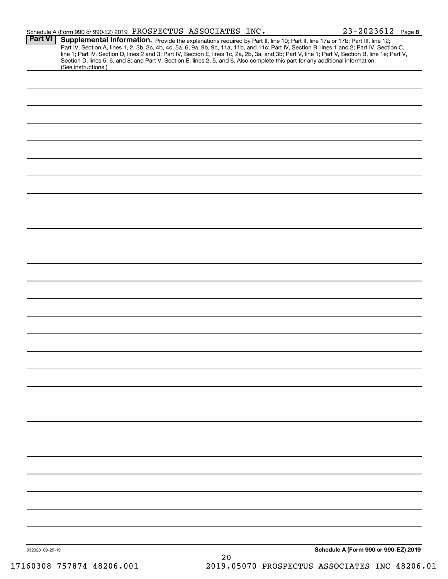|                 | Schedule A (Form 990 or 990-EZ) 2019 PROSPECTUS ASSOCIATES INC.                                                                                                                                                                                                                                                                                                                                                                                                                                                               |    | $23 - 2023612$ Page 8                |
|-----------------|-------------------------------------------------------------------------------------------------------------------------------------------------------------------------------------------------------------------------------------------------------------------------------------------------------------------------------------------------------------------------------------------------------------------------------------------------------------------------------------------------------------------------------|----|--------------------------------------|
| <b>Part VI</b>  | <b>Supplemental Information.</b> Provide the explanations required by Part II, line 10; Part II, line 17a or 17b; Part III, line 12;<br>Part IV, Section A, lines 1, 2, 3b, 3c, 4b, 4c, 5a, 6, 9a, 9b, 9c, 11a, 11b, and 11c; Part IV,<br>line 1; Part IV, Section D, lines 2 and 3; Part IV, Section E, lines 1c, 2a, 2b, 3a, and 3b; Part V, line 1; Part V, Section B, line 1e; Part V,<br>Section D, lines 5, 6, and 8; and Part V, Section E, lines 2, 5, and 6. Also complete this part for any additional information. |    |                                      |
|                 | (See instructions.)                                                                                                                                                                                                                                                                                                                                                                                                                                                                                                           |    |                                      |
|                 |                                                                                                                                                                                                                                                                                                                                                                                                                                                                                                                               |    |                                      |
|                 |                                                                                                                                                                                                                                                                                                                                                                                                                                                                                                                               |    |                                      |
|                 |                                                                                                                                                                                                                                                                                                                                                                                                                                                                                                                               |    |                                      |
|                 |                                                                                                                                                                                                                                                                                                                                                                                                                                                                                                                               |    |                                      |
|                 |                                                                                                                                                                                                                                                                                                                                                                                                                                                                                                                               |    |                                      |
|                 |                                                                                                                                                                                                                                                                                                                                                                                                                                                                                                                               |    |                                      |
|                 |                                                                                                                                                                                                                                                                                                                                                                                                                                                                                                                               |    |                                      |
|                 |                                                                                                                                                                                                                                                                                                                                                                                                                                                                                                                               |    |                                      |
|                 |                                                                                                                                                                                                                                                                                                                                                                                                                                                                                                                               |    |                                      |
|                 |                                                                                                                                                                                                                                                                                                                                                                                                                                                                                                                               |    |                                      |
|                 |                                                                                                                                                                                                                                                                                                                                                                                                                                                                                                                               |    |                                      |
|                 |                                                                                                                                                                                                                                                                                                                                                                                                                                                                                                                               |    |                                      |
|                 |                                                                                                                                                                                                                                                                                                                                                                                                                                                                                                                               |    |                                      |
|                 |                                                                                                                                                                                                                                                                                                                                                                                                                                                                                                                               |    |                                      |
|                 |                                                                                                                                                                                                                                                                                                                                                                                                                                                                                                                               |    |                                      |
|                 |                                                                                                                                                                                                                                                                                                                                                                                                                                                                                                                               |    |                                      |
|                 |                                                                                                                                                                                                                                                                                                                                                                                                                                                                                                                               |    |                                      |
|                 |                                                                                                                                                                                                                                                                                                                                                                                                                                                                                                                               |    |                                      |
|                 |                                                                                                                                                                                                                                                                                                                                                                                                                                                                                                                               |    |                                      |
|                 |                                                                                                                                                                                                                                                                                                                                                                                                                                                                                                                               |    |                                      |
|                 |                                                                                                                                                                                                                                                                                                                                                                                                                                                                                                                               |    |                                      |
|                 |                                                                                                                                                                                                                                                                                                                                                                                                                                                                                                                               |    |                                      |
|                 |                                                                                                                                                                                                                                                                                                                                                                                                                                                                                                                               |    |                                      |
|                 |                                                                                                                                                                                                                                                                                                                                                                                                                                                                                                                               |    |                                      |
|                 |                                                                                                                                                                                                                                                                                                                                                                                                                                                                                                                               |    |                                      |
|                 |                                                                                                                                                                                                                                                                                                                                                                                                                                                                                                                               |    |                                      |
|                 |                                                                                                                                                                                                                                                                                                                                                                                                                                                                                                                               |    |                                      |
|                 |                                                                                                                                                                                                                                                                                                                                                                                                                                                                                                                               |    |                                      |
|                 |                                                                                                                                                                                                                                                                                                                                                                                                                                                                                                                               |    |                                      |
|                 |                                                                                                                                                                                                                                                                                                                                                                                                                                                                                                                               |    |                                      |
| 932028 09-25-19 |                                                                                                                                                                                                                                                                                                                                                                                                                                                                                                                               | 20 | Schedule A (Form 990 or 990-EZ) 2019 |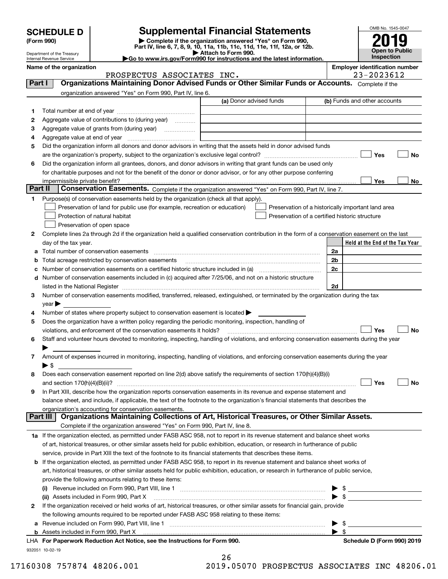| <b>SCHEDULE D</b> |  |
|-------------------|--|
|-------------------|--|

| (Form 990) |  |
|------------|--|
|------------|--|

# **Supplemental Financial Statements**

(Form 990)<br>
Pepartment of the Treasury<br>
Department of the Treasury<br>
Department of the Treasury<br>
Department of the Treasury<br> **Co to www.irs.gov/Form990 for instructions and the latest information.**<br> **Co to www.irs.gov/Form9** 



Department of the Treasury Internal Revenue Service

|                                                                  | ____________________ |  |
|------------------------------------------------------------------|----------------------|--|
| Go to www.irs.gov/Form990 for instructions and the latest inform |                      |  |
|                                                                  |                      |  |

**Name of the organization**<br> **ROSPECTIIS ASSOCTATES TNC**<br>
23-2023612

| Organizations Maintaining Donor Advised Funds or Other Similar Funds or Accounts. Complete if the<br>Part I<br>organization answered "Yes" on Form 990, Part IV, line 6.<br>(a) Donor advised funds<br>(b) Funds and other accounts<br>1<br>Aggregate value of contributions to (during year)<br>2<br>Aggregate value of grants from (during year)<br>з<br>4<br>Did the organization inform all donors and donor advisors in writing that the assets held in donor advised funds<br>5<br>Yes<br>No<br>Did the organization inform all grantees, donors, and donor advisors in writing that grant funds can be used only<br>6<br>for charitable purposes and not for the benefit of the donor or donor advisor, or for any other purpose conferring<br>Yes<br>impermissible private benefit?<br>No<br>Part II<br><b>Conservation Easements.</b> Complete if the organization answered "Yes" on Form 990, Part IV, line 7.<br>Purpose(s) of conservation easements held by the organization (check all that apply).<br>1.<br>Preservation of land for public use (for example, recreation or education)<br>Preservation of a historically important land area<br>Preservation of a certified historic structure<br>Protection of natural habitat<br>Preservation of open space<br>Complete lines 2a through 2d if the organization held a qualified conservation contribution in the form of a conservation easement on the last<br>2<br>day of the tax year.<br>Held at the End of the Tax Year<br>2a<br>2 <sub>b</sub><br>Total acreage restricted by conservation easements<br>2c<br>Number of conservation easements on a certified historic structure included in (a) <i>mummumumumum</i><br>с<br>d Number of conservation easements included in (c) acquired after 7/25/06, and not on a historic structure<br>2d<br>listed in the National Register [11, 1200] [12] The National Register [11, 1200] [12] The National Register [11, 1200] [12] The National Register [11, 1200] [12] The National Register [11, 1200] [12] The National Register<br>Number of conservation easements modified, transferred, released, extinguished, or terminated by the organization during the tax<br>3<br>$year \blacktriangleright$<br>Number of states where property subject to conservation easement is located ><br>4<br>Does the organization have a written policy regarding the periodic monitoring, inspection, handling of<br>5<br>Yes<br>No<br>violations, and enforcement of the conservation easements it holds?<br>Staff and volunteer hours devoted to monitoring, inspecting, handling of violations, and enforcing conservation easements during the year<br>6<br>Amount of expenses incurred in monitoring, inspecting, handling of violations, and enforcing conservation easements during the year<br>7<br>$\blacktriangleright$ s<br>Does each conservation easement reported on line 2(d) above satisfy the requirements of section 170(h)(4)(B)(i)<br>8<br>Yes<br>No<br>and section $170(h)(4)(B)(ii)?$<br>In Part XIII, describe how the organization reports conservation easements in its revenue and expense statement and<br>9<br>balance sheet, and include, if applicable, the text of the footnote to the organization's financial statements that describes the<br>organization's accounting for conservation easements.<br>Organizations Maintaining Collections of Art, Historical Treasures, or Other Similar Assets.<br>Part III<br>Complete if the organization answered "Yes" on Form 990, Part IV, line 8.<br>1a If the organization elected, as permitted under FASB ASC 958, not to report in its revenue statement and balance sheet works<br>of art, historical treasures, or other similar assets held for public exhibition, education, or research in furtherance of public<br>service, provide in Part XIII the text of the footnote to its financial statements that describes these items.<br><b>b</b> If the organization elected, as permitted under FASB ASC 958, to report in its revenue statement and balance sheet works of<br>art, historical treasures, or other similar assets held for public exhibition, education, or research in furtherance of public service,<br>provide the following amounts relating to these items:<br>Revenue included on Form 990, Part VIII, line 1 [2000] [2000] [2000] [2000] [2000] [2000] [2000] [2000] [2000<br>$\blacktriangleright$ s<br>(ii) Assets included in Form 990, Part X<br>If the organization received or held works of art, historical treasures, or other similar assets for financial gain, provide<br>2<br>the following amounts required to be reported under FASB ASC 958 relating to these items:<br>\$<br>а<br>$\blacktriangleright$ s<br>LHA For Paperwork Reduction Act Notice, see the Instructions for Form 990.<br>Schedule D (Form 990) 2019 | PROSPECTUS ASSOCIATES INC. | 23-2023612 |  |
|---------------------------------------------------------------------------------------------------------------------------------------------------------------------------------------------------------------------------------------------------------------------------------------------------------------------------------------------------------------------------------------------------------------------------------------------------------------------------------------------------------------------------------------------------------------------------------------------------------------------------------------------------------------------------------------------------------------------------------------------------------------------------------------------------------------------------------------------------------------------------------------------------------------------------------------------------------------------------------------------------------------------------------------------------------------------------------------------------------------------------------------------------------------------------------------------------------------------------------------------------------------------------------------------------------------------------------------------------------------------------------------------------------------------------------------------------------------------------------------------------------------------------------------------------------------------------------------------------------------------------------------------------------------------------------------------------------------------------------------------------------------------------------------------------------------------------------------------------------------------------------------------------------------------------------------------------------------------------------------------------------------------------------------------------------------------------------------------------------------------------------------------------------------------------------------------------------------------------------------------------------------------------------------------------------------------------------------------------------------------------------------------------------------------------------------------------------------------------------------------------------------------------------------------------------------------------------------------------------------------------------------------------------------------------------------------------------------------------------------------------------------------------------------------------------------------------------------------------------------------------------------------------------------------------------------------------------------------------------------------------------------------------------------------------------------------------------------------------------------------------------------------------------------------------------------------------------------------------------------------------------------------------------------------------------------------------------------------------------------------------------------------------------------------------------------------------------------------------------------------------------------------------------------------------------------------------------------------------------------------------------------------------------------------------------------------------------------------------------------------------------------------------------------------------------------------------------------------------------------------------------------------------------------------------------------------------------------------------------------------------------------------------------------------------------------------------------------------------------------------------------------------------------------------------------------------------------------------------------------------------------------------------------------------------------------------------------------------------------------------------------------------------------------------------------------------------------------------------------------------------------------------------------------------------------------------------------------------------------------------------------------------------------------------------------------------------------------------------------------------------------------------------------------------------------------------------------------------------------------|----------------------------|------------|--|
|                                                                                                                                                                                                                                                                                                                                                                                                                                                                                                                                                                                                                                                                                                                                                                                                                                                                                                                                                                                                                                                                                                                                                                                                                                                                                                                                                                                                                                                                                                                                                                                                                                                                                                                                                                                                                                                                                                                                                                                                                                                                                                                                                                                                                                                                                                                                                                                                                                                                                                                                                                                                                                                                                                                                                                                                                                                                                                                                                                                                                                                                                                                                                                                                                                                                                                                                                                                                                                                                                                                                                                                                                                                                                                                                                                                                                                                                                                                                                                                                                                                                                                                                                                                                                                                                                                                                                                                                                                                                                                                                                                                                                                                                                                                                                                                                                                                               |                            |            |  |
|                                                                                                                                                                                                                                                                                                                                                                                                                                                                                                                                                                                                                                                                                                                                                                                                                                                                                                                                                                                                                                                                                                                                                                                                                                                                                                                                                                                                                                                                                                                                                                                                                                                                                                                                                                                                                                                                                                                                                                                                                                                                                                                                                                                                                                                                                                                                                                                                                                                                                                                                                                                                                                                                                                                                                                                                                                                                                                                                                                                                                                                                                                                                                                                                                                                                                                                                                                                                                                                                                                                                                                                                                                                                                                                                                                                                                                                                                                                                                                                                                                                                                                                                                                                                                                                                                                                                                                                                                                                                                                                                                                                                                                                                                                                                                                                                                                                               |                            |            |  |
|                                                                                                                                                                                                                                                                                                                                                                                                                                                                                                                                                                                                                                                                                                                                                                                                                                                                                                                                                                                                                                                                                                                                                                                                                                                                                                                                                                                                                                                                                                                                                                                                                                                                                                                                                                                                                                                                                                                                                                                                                                                                                                                                                                                                                                                                                                                                                                                                                                                                                                                                                                                                                                                                                                                                                                                                                                                                                                                                                                                                                                                                                                                                                                                                                                                                                                                                                                                                                                                                                                                                                                                                                                                                                                                                                                                                                                                                                                                                                                                                                                                                                                                                                                                                                                                                                                                                                                                                                                                                                                                                                                                                                                                                                                                                                                                                                                                               |                            |            |  |
|                                                                                                                                                                                                                                                                                                                                                                                                                                                                                                                                                                                                                                                                                                                                                                                                                                                                                                                                                                                                                                                                                                                                                                                                                                                                                                                                                                                                                                                                                                                                                                                                                                                                                                                                                                                                                                                                                                                                                                                                                                                                                                                                                                                                                                                                                                                                                                                                                                                                                                                                                                                                                                                                                                                                                                                                                                                                                                                                                                                                                                                                                                                                                                                                                                                                                                                                                                                                                                                                                                                                                                                                                                                                                                                                                                                                                                                                                                                                                                                                                                                                                                                                                                                                                                                                                                                                                                                                                                                                                                                                                                                                                                                                                                                                                                                                                                                               |                            |            |  |
|                                                                                                                                                                                                                                                                                                                                                                                                                                                                                                                                                                                                                                                                                                                                                                                                                                                                                                                                                                                                                                                                                                                                                                                                                                                                                                                                                                                                                                                                                                                                                                                                                                                                                                                                                                                                                                                                                                                                                                                                                                                                                                                                                                                                                                                                                                                                                                                                                                                                                                                                                                                                                                                                                                                                                                                                                                                                                                                                                                                                                                                                                                                                                                                                                                                                                                                                                                                                                                                                                                                                                                                                                                                                                                                                                                                                                                                                                                                                                                                                                                                                                                                                                                                                                                                                                                                                                                                                                                                                                                                                                                                                                                                                                                                                                                                                                                                               |                            |            |  |
|                                                                                                                                                                                                                                                                                                                                                                                                                                                                                                                                                                                                                                                                                                                                                                                                                                                                                                                                                                                                                                                                                                                                                                                                                                                                                                                                                                                                                                                                                                                                                                                                                                                                                                                                                                                                                                                                                                                                                                                                                                                                                                                                                                                                                                                                                                                                                                                                                                                                                                                                                                                                                                                                                                                                                                                                                                                                                                                                                                                                                                                                                                                                                                                                                                                                                                                                                                                                                                                                                                                                                                                                                                                                                                                                                                                                                                                                                                                                                                                                                                                                                                                                                                                                                                                                                                                                                                                                                                                                                                                                                                                                                                                                                                                                                                                                                                                               |                            |            |  |
|                                                                                                                                                                                                                                                                                                                                                                                                                                                                                                                                                                                                                                                                                                                                                                                                                                                                                                                                                                                                                                                                                                                                                                                                                                                                                                                                                                                                                                                                                                                                                                                                                                                                                                                                                                                                                                                                                                                                                                                                                                                                                                                                                                                                                                                                                                                                                                                                                                                                                                                                                                                                                                                                                                                                                                                                                                                                                                                                                                                                                                                                                                                                                                                                                                                                                                                                                                                                                                                                                                                                                                                                                                                                                                                                                                                                                                                                                                                                                                                                                                                                                                                                                                                                                                                                                                                                                                                                                                                                                                                                                                                                                                                                                                                                                                                                                                                               |                            |            |  |
|                                                                                                                                                                                                                                                                                                                                                                                                                                                                                                                                                                                                                                                                                                                                                                                                                                                                                                                                                                                                                                                                                                                                                                                                                                                                                                                                                                                                                                                                                                                                                                                                                                                                                                                                                                                                                                                                                                                                                                                                                                                                                                                                                                                                                                                                                                                                                                                                                                                                                                                                                                                                                                                                                                                                                                                                                                                                                                                                                                                                                                                                                                                                                                                                                                                                                                                                                                                                                                                                                                                                                                                                                                                                                                                                                                                                                                                                                                                                                                                                                                                                                                                                                                                                                                                                                                                                                                                                                                                                                                                                                                                                                                                                                                                                                                                                                                                               |                            |            |  |
|                                                                                                                                                                                                                                                                                                                                                                                                                                                                                                                                                                                                                                                                                                                                                                                                                                                                                                                                                                                                                                                                                                                                                                                                                                                                                                                                                                                                                                                                                                                                                                                                                                                                                                                                                                                                                                                                                                                                                                                                                                                                                                                                                                                                                                                                                                                                                                                                                                                                                                                                                                                                                                                                                                                                                                                                                                                                                                                                                                                                                                                                                                                                                                                                                                                                                                                                                                                                                                                                                                                                                                                                                                                                                                                                                                                                                                                                                                                                                                                                                                                                                                                                                                                                                                                                                                                                                                                                                                                                                                                                                                                                                                                                                                                                                                                                                                                               |                            |            |  |
|                                                                                                                                                                                                                                                                                                                                                                                                                                                                                                                                                                                                                                                                                                                                                                                                                                                                                                                                                                                                                                                                                                                                                                                                                                                                                                                                                                                                                                                                                                                                                                                                                                                                                                                                                                                                                                                                                                                                                                                                                                                                                                                                                                                                                                                                                                                                                                                                                                                                                                                                                                                                                                                                                                                                                                                                                                                                                                                                                                                                                                                                                                                                                                                                                                                                                                                                                                                                                                                                                                                                                                                                                                                                                                                                                                                                                                                                                                                                                                                                                                                                                                                                                                                                                                                                                                                                                                                                                                                                                                                                                                                                                                                                                                                                                                                                                                                               |                            |            |  |
|                                                                                                                                                                                                                                                                                                                                                                                                                                                                                                                                                                                                                                                                                                                                                                                                                                                                                                                                                                                                                                                                                                                                                                                                                                                                                                                                                                                                                                                                                                                                                                                                                                                                                                                                                                                                                                                                                                                                                                                                                                                                                                                                                                                                                                                                                                                                                                                                                                                                                                                                                                                                                                                                                                                                                                                                                                                                                                                                                                                                                                                                                                                                                                                                                                                                                                                                                                                                                                                                                                                                                                                                                                                                                                                                                                                                                                                                                                                                                                                                                                                                                                                                                                                                                                                                                                                                                                                                                                                                                                                                                                                                                                                                                                                                                                                                                                                               |                            |            |  |
|                                                                                                                                                                                                                                                                                                                                                                                                                                                                                                                                                                                                                                                                                                                                                                                                                                                                                                                                                                                                                                                                                                                                                                                                                                                                                                                                                                                                                                                                                                                                                                                                                                                                                                                                                                                                                                                                                                                                                                                                                                                                                                                                                                                                                                                                                                                                                                                                                                                                                                                                                                                                                                                                                                                                                                                                                                                                                                                                                                                                                                                                                                                                                                                                                                                                                                                                                                                                                                                                                                                                                                                                                                                                                                                                                                                                                                                                                                                                                                                                                                                                                                                                                                                                                                                                                                                                                                                                                                                                                                                                                                                                                                                                                                                                                                                                                                                               |                            |            |  |
|                                                                                                                                                                                                                                                                                                                                                                                                                                                                                                                                                                                                                                                                                                                                                                                                                                                                                                                                                                                                                                                                                                                                                                                                                                                                                                                                                                                                                                                                                                                                                                                                                                                                                                                                                                                                                                                                                                                                                                                                                                                                                                                                                                                                                                                                                                                                                                                                                                                                                                                                                                                                                                                                                                                                                                                                                                                                                                                                                                                                                                                                                                                                                                                                                                                                                                                                                                                                                                                                                                                                                                                                                                                                                                                                                                                                                                                                                                                                                                                                                                                                                                                                                                                                                                                                                                                                                                                                                                                                                                                                                                                                                                                                                                                                                                                                                                                               |                            |            |  |
|                                                                                                                                                                                                                                                                                                                                                                                                                                                                                                                                                                                                                                                                                                                                                                                                                                                                                                                                                                                                                                                                                                                                                                                                                                                                                                                                                                                                                                                                                                                                                                                                                                                                                                                                                                                                                                                                                                                                                                                                                                                                                                                                                                                                                                                                                                                                                                                                                                                                                                                                                                                                                                                                                                                                                                                                                                                                                                                                                                                                                                                                                                                                                                                                                                                                                                                                                                                                                                                                                                                                                                                                                                                                                                                                                                                                                                                                                                                                                                                                                                                                                                                                                                                                                                                                                                                                                                                                                                                                                                                                                                                                                                                                                                                                                                                                                                                               |                            |            |  |
|                                                                                                                                                                                                                                                                                                                                                                                                                                                                                                                                                                                                                                                                                                                                                                                                                                                                                                                                                                                                                                                                                                                                                                                                                                                                                                                                                                                                                                                                                                                                                                                                                                                                                                                                                                                                                                                                                                                                                                                                                                                                                                                                                                                                                                                                                                                                                                                                                                                                                                                                                                                                                                                                                                                                                                                                                                                                                                                                                                                                                                                                                                                                                                                                                                                                                                                                                                                                                                                                                                                                                                                                                                                                                                                                                                                                                                                                                                                                                                                                                                                                                                                                                                                                                                                                                                                                                                                                                                                                                                                                                                                                                                                                                                                                                                                                                                                               |                            |            |  |
|                                                                                                                                                                                                                                                                                                                                                                                                                                                                                                                                                                                                                                                                                                                                                                                                                                                                                                                                                                                                                                                                                                                                                                                                                                                                                                                                                                                                                                                                                                                                                                                                                                                                                                                                                                                                                                                                                                                                                                                                                                                                                                                                                                                                                                                                                                                                                                                                                                                                                                                                                                                                                                                                                                                                                                                                                                                                                                                                                                                                                                                                                                                                                                                                                                                                                                                                                                                                                                                                                                                                                                                                                                                                                                                                                                                                                                                                                                                                                                                                                                                                                                                                                                                                                                                                                                                                                                                                                                                                                                                                                                                                                                                                                                                                                                                                                                                               |                            |            |  |
|                                                                                                                                                                                                                                                                                                                                                                                                                                                                                                                                                                                                                                                                                                                                                                                                                                                                                                                                                                                                                                                                                                                                                                                                                                                                                                                                                                                                                                                                                                                                                                                                                                                                                                                                                                                                                                                                                                                                                                                                                                                                                                                                                                                                                                                                                                                                                                                                                                                                                                                                                                                                                                                                                                                                                                                                                                                                                                                                                                                                                                                                                                                                                                                                                                                                                                                                                                                                                                                                                                                                                                                                                                                                                                                                                                                                                                                                                                                                                                                                                                                                                                                                                                                                                                                                                                                                                                                                                                                                                                                                                                                                                                                                                                                                                                                                                                                               |                            |            |  |
|                                                                                                                                                                                                                                                                                                                                                                                                                                                                                                                                                                                                                                                                                                                                                                                                                                                                                                                                                                                                                                                                                                                                                                                                                                                                                                                                                                                                                                                                                                                                                                                                                                                                                                                                                                                                                                                                                                                                                                                                                                                                                                                                                                                                                                                                                                                                                                                                                                                                                                                                                                                                                                                                                                                                                                                                                                                                                                                                                                                                                                                                                                                                                                                                                                                                                                                                                                                                                                                                                                                                                                                                                                                                                                                                                                                                                                                                                                                                                                                                                                                                                                                                                                                                                                                                                                                                                                                                                                                                                                                                                                                                                                                                                                                                                                                                                                                               |                            |            |  |
|                                                                                                                                                                                                                                                                                                                                                                                                                                                                                                                                                                                                                                                                                                                                                                                                                                                                                                                                                                                                                                                                                                                                                                                                                                                                                                                                                                                                                                                                                                                                                                                                                                                                                                                                                                                                                                                                                                                                                                                                                                                                                                                                                                                                                                                                                                                                                                                                                                                                                                                                                                                                                                                                                                                                                                                                                                                                                                                                                                                                                                                                                                                                                                                                                                                                                                                                                                                                                                                                                                                                                                                                                                                                                                                                                                                                                                                                                                                                                                                                                                                                                                                                                                                                                                                                                                                                                                                                                                                                                                                                                                                                                                                                                                                                                                                                                                                               |                            |            |  |
|                                                                                                                                                                                                                                                                                                                                                                                                                                                                                                                                                                                                                                                                                                                                                                                                                                                                                                                                                                                                                                                                                                                                                                                                                                                                                                                                                                                                                                                                                                                                                                                                                                                                                                                                                                                                                                                                                                                                                                                                                                                                                                                                                                                                                                                                                                                                                                                                                                                                                                                                                                                                                                                                                                                                                                                                                                                                                                                                                                                                                                                                                                                                                                                                                                                                                                                                                                                                                                                                                                                                                                                                                                                                                                                                                                                                                                                                                                                                                                                                                                                                                                                                                                                                                                                                                                                                                                                                                                                                                                                                                                                                                                                                                                                                                                                                                                                               |                            |            |  |
|                                                                                                                                                                                                                                                                                                                                                                                                                                                                                                                                                                                                                                                                                                                                                                                                                                                                                                                                                                                                                                                                                                                                                                                                                                                                                                                                                                                                                                                                                                                                                                                                                                                                                                                                                                                                                                                                                                                                                                                                                                                                                                                                                                                                                                                                                                                                                                                                                                                                                                                                                                                                                                                                                                                                                                                                                                                                                                                                                                                                                                                                                                                                                                                                                                                                                                                                                                                                                                                                                                                                                                                                                                                                                                                                                                                                                                                                                                                                                                                                                                                                                                                                                                                                                                                                                                                                                                                                                                                                                                                                                                                                                                                                                                                                                                                                                                                               |                            |            |  |
|                                                                                                                                                                                                                                                                                                                                                                                                                                                                                                                                                                                                                                                                                                                                                                                                                                                                                                                                                                                                                                                                                                                                                                                                                                                                                                                                                                                                                                                                                                                                                                                                                                                                                                                                                                                                                                                                                                                                                                                                                                                                                                                                                                                                                                                                                                                                                                                                                                                                                                                                                                                                                                                                                                                                                                                                                                                                                                                                                                                                                                                                                                                                                                                                                                                                                                                                                                                                                                                                                                                                                                                                                                                                                                                                                                                                                                                                                                                                                                                                                                                                                                                                                                                                                                                                                                                                                                                                                                                                                                                                                                                                                                                                                                                                                                                                                                                               |                            |            |  |
|                                                                                                                                                                                                                                                                                                                                                                                                                                                                                                                                                                                                                                                                                                                                                                                                                                                                                                                                                                                                                                                                                                                                                                                                                                                                                                                                                                                                                                                                                                                                                                                                                                                                                                                                                                                                                                                                                                                                                                                                                                                                                                                                                                                                                                                                                                                                                                                                                                                                                                                                                                                                                                                                                                                                                                                                                                                                                                                                                                                                                                                                                                                                                                                                                                                                                                                                                                                                                                                                                                                                                                                                                                                                                                                                                                                                                                                                                                                                                                                                                                                                                                                                                                                                                                                                                                                                                                                                                                                                                                                                                                                                                                                                                                                                                                                                                                                               |                            |            |  |
|                                                                                                                                                                                                                                                                                                                                                                                                                                                                                                                                                                                                                                                                                                                                                                                                                                                                                                                                                                                                                                                                                                                                                                                                                                                                                                                                                                                                                                                                                                                                                                                                                                                                                                                                                                                                                                                                                                                                                                                                                                                                                                                                                                                                                                                                                                                                                                                                                                                                                                                                                                                                                                                                                                                                                                                                                                                                                                                                                                                                                                                                                                                                                                                                                                                                                                                                                                                                                                                                                                                                                                                                                                                                                                                                                                                                                                                                                                                                                                                                                                                                                                                                                                                                                                                                                                                                                                                                                                                                                                                                                                                                                                                                                                                                                                                                                                                               |                            |            |  |
|                                                                                                                                                                                                                                                                                                                                                                                                                                                                                                                                                                                                                                                                                                                                                                                                                                                                                                                                                                                                                                                                                                                                                                                                                                                                                                                                                                                                                                                                                                                                                                                                                                                                                                                                                                                                                                                                                                                                                                                                                                                                                                                                                                                                                                                                                                                                                                                                                                                                                                                                                                                                                                                                                                                                                                                                                                                                                                                                                                                                                                                                                                                                                                                                                                                                                                                                                                                                                                                                                                                                                                                                                                                                                                                                                                                                                                                                                                                                                                                                                                                                                                                                                                                                                                                                                                                                                                                                                                                                                                                                                                                                                                                                                                                                                                                                                                                               |                            |            |  |
|                                                                                                                                                                                                                                                                                                                                                                                                                                                                                                                                                                                                                                                                                                                                                                                                                                                                                                                                                                                                                                                                                                                                                                                                                                                                                                                                                                                                                                                                                                                                                                                                                                                                                                                                                                                                                                                                                                                                                                                                                                                                                                                                                                                                                                                                                                                                                                                                                                                                                                                                                                                                                                                                                                                                                                                                                                                                                                                                                                                                                                                                                                                                                                                                                                                                                                                                                                                                                                                                                                                                                                                                                                                                                                                                                                                                                                                                                                                                                                                                                                                                                                                                                                                                                                                                                                                                                                                                                                                                                                                                                                                                                                                                                                                                                                                                                                                               |                            |            |  |
|                                                                                                                                                                                                                                                                                                                                                                                                                                                                                                                                                                                                                                                                                                                                                                                                                                                                                                                                                                                                                                                                                                                                                                                                                                                                                                                                                                                                                                                                                                                                                                                                                                                                                                                                                                                                                                                                                                                                                                                                                                                                                                                                                                                                                                                                                                                                                                                                                                                                                                                                                                                                                                                                                                                                                                                                                                                                                                                                                                                                                                                                                                                                                                                                                                                                                                                                                                                                                                                                                                                                                                                                                                                                                                                                                                                                                                                                                                                                                                                                                                                                                                                                                                                                                                                                                                                                                                                                                                                                                                                                                                                                                                                                                                                                                                                                                                                               |                            |            |  |
|                                                                                                                                                                                                                                                                                                                                                                                                                                                                                                                                                                                                                                                                                                                                                                                                                                                                                                                                                                                                                                                                                                                                                                                                                                                                                                                                                                                                                                                                                                                                                                                                                                                                                                                                                                                                                                                                                                                                                                                                                                                                                                                                                                                                                                                                                                                                                                                                                                                                                                                                                                                                                                                                                                                                                                                                                                                                                                                                                                                                                                                                                                                                                                                                                                                                                                                                                                                                                                                                                                                                                                                                                                                                                                                                                                                                                                                                                                                                                                                                                                                                                                                                                                                                                                                                                                                                                                                                                                                                                                                                                                                                                                                                                                                                                                                                                                                               |                            |            |  |
|                                                                                                                                                                                                                                                                                                                                                                                                                                                                                                                                                                                                                                                                                                                                                                                                                                                                                                                                                                                                                                                                                                                                                                                                                                                                                                                                                                                                                                                                                                                                                                                                                                                                                                                                                                                                                                                                                                                                                                                                                                                                                                                                                                                                                                                                                                                                                                                                                                                                                                                                                                                                                                                                                                                                                                                                                                                                                                                                                                                                                                                                                                                                                                                                                                                                                                                                                                                                                                                                                                                                                                                                                                                                                                                                                                                                                                                                                                                                                                                                                                                                                                                                                                                                                                                                                                                                                                                                                                                                                                                                                                                                                                                                                                                                                                                                                                                               |                            |            |  |
|                                                                                                                                                                                                                                                                                                                                                                                                                                                                                                                                                                                                                                                                                                                                                                                                                                                                                                                                                                                                                                                                                                                                                                                                                                                                                                                                                                                                                                                                                                                                                                                                                                                                                                                                                                                                                                                                                                                                                                                                                                                                                                                                                                                                                                                                                                                                                                                                                                                                                                                                                                                                                                                                                                                                                                                                                                                                                                                                                                                                                                                                                                                                                                                                                                                                                                                                                                                                                                                                                                                                                                                                                                                                                                                                                                                                                                                                                                                                                                                                                                                                                                                                                                                                                                                                                                                                                                                                                                                                                                                                                                                                                                                                                                                                                                                                                                                               |                            |            |  |
|                                                                                                                                                                                                                                                                                                                                                                                                                                                                                                                                                                                                                                                                                                                                                                                                                                                                                                                                                                                                                                                                                                                                                                                                                                                                                                                                                                                                                                                                                                                                                                                                                                                                                                                                                                                                                                                                                                                                                                                                                                                                                                                                                                                                                                                                                                                                                                                                                                                                                                                                                                                                                                                                                                                                                                                                                                                                                                                                                                                                                                                                                                                                                                                                                                                                                                                                                                                                                                                                                                                                                                                                                                                                                                                                                                                                                                                                                                                                                                                                                                                                                                                                                                                                                                                                                                                                                                                                                                                                                                                                                                                                                                                                                                                                                                                                                                                               |                            |            |  |
|                                                                                                                                                                                                                                                                                                                                                                                                                                                                                                                                                                                                                                                                                                                                                                                                                                                                                                                                                                                                                                                                                                                                                                                                                                                                                                                                                                                                                                                                                                                                                                                                                                                                                                                                                                                                                                                                                                                                                                                                                                                                                                                                                                                                                                                                                                                                                                                                                                                                                                                                                                                                                                                                                                                                                                                                                                                                                                                                                                                                                                                                                                                                                                                                                                                                                                                                                                                                                                                                                                                                                                                                                                                                                                                                                                                                                                                                                                                                                                                                                                                                                                                                                                                                                                                                                                                                                                                                                                                                                                                                                                                                                                                                                                                                                                                                                                                               |                            |            |  |
|                                                                                                                                                                                                                                                                                                                                                                                                                                                                                                                                                                                                                                                                                                                                                                                                                                                                                                                                                                                                                                                                                                                                                                                                                                                                                                                                                                                                                                                                                                                                                                                                                                                                                                                                                                                                                                                                                                                                                                                                                                                                                                                                                                                                                                                                                                                                                                                                                                                                                                                                                                                                                                                                                                                                                                                                                                                                                                                                                                                                                                                                                                                                                                                                                                                                                                                                                                                                                                                                                                                                                                                                                                                                                                                                                                                                                                                                                                                                                                                                                                                                                                                                                                                                                                                                                                                                                                                                                                                                                                                                                                                                                                                                                                                                                                                                                                                               |                            |            |  |
|                                                                                                                                                                                                                                                                                                                                                                                                                                                                                                                                                                                                                                                                                                                                                                                                                                                                                                                                                                                                                                                                                                                                                                                                                                                                                                                                                                                                                                                                                                                                                                                                                                                                                                                                                                                                                                                                                                                                                                                                                                                                                                                                                                                                                                                                                                                                                                                                                                                                                                                                                                                                                                                                                                                                                                                                                                                                                                                                                                                                                                                                                                                                                                                                                                                                                                                                                                                                                                                                                                                                                                                                                                                                                                                                                                                                                                                                                                                                                                                                                                                                                                                                                                                                                                                                                                                                                                                                                                                                                                                                                                                                                                                                                                                                                                                                                                                               |                            |            |  |
|                                                                                                                                                                                                                                                                                                                                                                                                                                                                                                                                                                                                                                                                                                                                                                                                                                                                                                                                                                                                                                                                                                                                                                                                                                                                                                                                                                                                                                                                                                                                                                                                                                                                                                                                                                                                                                                                                                                                                                                                                                                                                                                                                                                                                                                                                                                                                                                                                                                                                                                                                                                                                                                                                                                                                                                                                                                                                                                                                                                                                                                                                                                                                                                                                                                                                                                                                                                                                                                                                                                                                                                                                                                                                                                                                                                                                                                                                                                                                                                                                                                                                                                                                                                                                                                                                                                                                                                                                                                                                                                                                                                                                                                                                                                                                                                                                                                               |                            |            |  |
|                                                                                                                                                                                                                                                                                                                                                                                                                                                                                                                                                                                                                                                                                                                                                                                                                                                                                                                                                                                                                                                                                                                                                                                                                                                                                                                                                                                                                                                                                                                                                                                                                                                                                                                                                                                                                                                                                                                                                                                                                                                                                                                                                                                                                                                                                                                                                                                                                                                                                                                                                                                                                                                                                                                                                                                                                                                                                                                                                                                                                                                                                                                                                                                                                                                                                                                                                                                                                                                                                                                                                                                                                                                                                                                                                                                                                                                                                                                                                                                                                                                                                                                                                                                                                                                                                                                                                                                                                                                                                                                                                                                                                                                                                                                                                                                                                                                               |                            |            |  |
|                                                                                                                                                                                                                                                                                                                                                                                                                                                                                                                                                                                                                                                                                                                                                                                                                                                                                                                                                                                                                                                                                                                                                                                                                                                                                                                                                                                                                                                                                                                                                                                                                                                                                                                                                                                                                                                                                                                                                                                                                                                                                                                                                                                                                                                                                                                                                                                                                                                                                                                                                                                                                                                                                                                                                                                                                                                                                                                                                                                                                                                                                                                                                                                                                                                                                                                                                                                                                                                                                                                                                                                                                                                                                                                                                                                                                                                                                                                                                                                                                                                                                                                                                                                                                                                                                                                                                                                                                                                                                                                                                                                                                                                                                                                                                                                                                                                               |                            |            |  |
|                                                                                                                                                                                                                                                                                                                                                                                                                                                                                                                                                                                                                                                                                                                                                                                                                                                                                                                                                                                                                                                                                                                                                                                                                                                                                                                                                                                                                                                                                                                                                                                                                                                                                                                                                                                                                                                                                                                                                                                                                                                                                                                                                                                                                                                                                                                                                                                                                                                                                                                                                                                                                                                                                                                                                                                                                                                                                                                                                                                                                                                                                                                                                                                                                                                                                                                                                                                                                                                                                                                                                                                                                                                                                                                                                                                                                                                                                                                                                                                                                                                                                                                                                                                                                                                                                                                                                                                                                                                                                                                                                                                                                                                                                                                                                                                                                                                               |                            |            |  |
|                                                                                                                                                                                                                                                                                                                                                                                                                                                                                                                                                                                                                                                                                                                                                                                                                                                                                                                                                                                                                                                                                                                                                                                                                                                                                                                                                                                                                                                                                                                                                                                                                                                                                                                                                                                                                                                                                                                                                                                                                                                                                                                                                                                                                                                                                                                                                                                                                                                                                                                                                                                                                                                                                                                                                                                                                                                                                                                                                                                                                                                                                                                                                                                                                                                                                                                                                                                                                                                                                                                                                                                                                                                                                                                                                                                                                                                                                                                                                                                                                                                                                                                                                                                                                                                                                                                                                                                                                                                                                                                                                                                                                                                                                                                                                                                                                                                               |                            |            |  |
|                                                                                                                                                                                                                                                                                                                                                                                                                                                                                                                                                                                                                                                                                                                                                                                                                                                                                                                                                                                                                                                                                                                                                                                                                                                                                                                                                                                                                                                                                                                                                                                                                                                                                                                                                                                                                                                                                                                                                                                                                                                                                                                                                                                                                                                                                                                                                                                                                                                                                                                                                                                                                                                                                                                                                                                                                                                                                                                                                                                                                                                                                                                                                                                                                                                                                                                                                                                                                                                                                                                                                                                                                                                                                                                                                                                                                                                                                                                                                                                                                                                                                                                                                                                                                                                                                                                                                                                                                                                                                                                                                                                                                                                                                                                                                                                                                                                               |                            |            |  |
|                                                                                                                                                                                                                                                                                                                                                                                                                                                                                                                                                                                                                                                                                                                                                                                                                                                                                                                                                                                                                                                                                                                                                                                                                                                                                                                                                                                                                                                                                                                                                                                                                                                                                                                                                                                                                                                                                                                                                                                                                                                                                                                                                                                                                                                                                                                                                                                                                                                                                                                                                                                                                                                                                                                                                                                                                                                                                                                                                                                                                                                                                                                                                                                                                                                                                                                                                                                                                                                                                                                                                                                                                                                                                                                                                                                                                                                                                                                                                                                                                                                                                                                                                                                                                                                                                                                                                                                                                                                                                                                                                                                                                                                                                                                                                                                                                                                               |                            |            |  |
|                                                                                                                                                                                                                                                                                                                                                                                                                                                                                                                                                                                                                                                                                                                                                                                                                                                                                                                                                                                                                                                                                                                                                                                                                                                                                                                                                                                                                                                                                                                                                                                                                                                                                                                                                                                                                                                                                                                                                                                                                                                                                                                                                                                                                                                                                                                                                                                                                                                                                                                                                                                                                                                                                                                                                                                                                                                                                                                                                                                                                                                                                                                                                                                                                                                                                                                                                                                                                                                                                                                                                                                                                                                                                                                                                                                                                                                                                                                                                                                                                                                                                                                                                                                                                                                                                                                                                                                                                                                                                                                                                                                                                                                                                                                                                                                                                                                               |                            |            |  |
|                                                                                                                                                                                                                                                                                                                                                                                                                                                                                                                                                                                                                                                                                                                                                                                                                                                                                                                                                                                                                                                                                                                                                                                                                                                                                                                                                                                                                                                                                                                                                                                                                                                                                                                                                                                                                                                                                                                                                                                                                                                                                                                                                                                                                                                                                                                                                                                                                                                                                                                                                                                                                                                                                                                                                                                                                                                                                                                                                                                                                                                                                                                                                                                                                                                                                                                                                                                                                                                                                                                                                                                                                                                                                                                                                                                                                                                                                                                                                                                                                                                                                                                                                                                                                                                                                                                                                                                                                                                                                                                                                                                                                                                                                                                                                                                                                                                               |                            |            |  |
|                                                                                                                                                                                                                                                                                                                                                                                                                                                                                                                                                                                                                                                                                                                                                                                                                                                                                                                                                                                                                                                                                                                                                                                                                                                                                                                                                                                                                                                                                                                                                                                                                                                                                                                                                                                                                                                                                                                                                                                                                                                                                                                                                                                                                                                                                                                                                                                                                                                                                                                                                                                                                                                                                                                                                                                                                                                                                                                                                                                                                                                                                                                                                                                                                                                                                                                                                                                                                                                                                                                                                                                                                                                                                                                                                                                                                                                                                                                                                                                                                                                                                                                                                                                                                                                                                                                                                                                                                                                                                                                                                                                                                                                                                                                                                                                                                                                               |                            |            |  |
|                                                                                                                                                                                                                                                                                                                                                                                                                                                                                                                                                                                                                                                                                                                                                                                                                                                                                                                                                                                                                                                                                                                                                                                                                                                                                                                                                                                                                                                                                                                                                                                                                                                                                                                                                                                                                                                                                                                                                                                                                                                                                                                                                                                                                                                                                                                                                                                                                                                                                                                                                                                                                                                                                                                                                                                                                                                                                                                                                                                                                                                                                                                                                                                                                                                                                                                                                                                                                                                                                                                                                                                                                                                                                                                                                                                                                                                                                                                                                                                                                                                                                                                                                                                                                                                                                                                                                                                                                                                                                                                                                                                                                                                                                                                                                                                                                                                               |                            |            |  |
|                                                                                                                                                                                                                                                                                                                                                                                                                                                                                                                                                                                                                                                                                                                                                                                                                                                                                                                                                                                                                                                                                                                                                                                                                                                                                                                                                                                                                                                                                                                                                                                                                                                                                                                                                                                                                                                                                                                                                                                                                                                                                                                                                                                                                                                                                                                                                                                                                                                                                                                                                                                                                                                                                                                                                                                                                                                                                                                                                                                                                                                                                                                                                                                                                                                                                                                                                                                                                                                                                                                                                                                                                                                                                                                                                                                                                                                                                                                                                                                                                                                                                                                                                                                                                                                                                                                                                                                                                                                                                                                                                                                                                                                                                                                                                                                                                                                               |                            |            |  |
|                                                                                                                                                                                                                                                                                                                                                                                                                                                                                                                                                                                                                                                                                                                                                                                                                                                                                                                                                                                                                                                                                                                                                                                                                                                                                                                                                                                                                                                                                                                                                                                                                                                                                                                                                                                                                                                                                                                                                                                                                                                                                                                                                                                                                                                                                                                                                                                                                                                                                                                                                                                                                                                                                                                                                                                                                                                                                                                                                                                                                                                                                                                                                                                                                                                                                                                                                                                                                                                                                                                                                                                                                                                                                                                                                                                                                                                                                                                                                                                                                                                                                                                                                                                                                                                                                                                                                                                                                                                                                                                                                                                                                                                                                                                                                                                                                                                               |                            |            |  |
|                                                                                                                                                                                                                                                                                                                                                                                                                                                                                                                                                                                                                                                                                                                                                                                                                                                                                                                                                                                                                                                                                                                                                                                                                                                                                                                                                                                                                                                                                                                                                                                                                                                                                                                                                                                                                                                                                                                                                                                                                                                                                                                                                                                                                                                                                                                                                                                                                                                                                                                                                                                                                                                                                                                                                                                                                                                                                                                                                                                                                                                                                                                                                                                                                                                                                                                                                                                                                                                                                                                                                                                                                                                                                                                                                                                                                                                                                                                                                                                                                                                                                                                                                                                                                                                                                                                                                                                                                                                                                                                                                                                                                                                                                                                                                                                                                                                               |                            |            |  |
|                                                                                                                                                                                                                                                                                                                                                                                                                                                                                                                                                                                                                                                                                                                                                                                                                                                                                                                                                                                                                                                                                                                                                                                                                                                                                                                                                                                                                                                                                                                                                                                                                                                                                                                                                                                                                                                                                                                                                                                                                                                                                                                                                                                                                                                                                                                                                                                                                                                                                                                                                                                                                                                                                                                                                                                                                                                                                                                                                                                                                                                                                                                                                                                                                                                                                                                                                                                                                                                                                                                                                                                                                                                                                                                                                                                                                                                                                                                                                                                                                                                                                                                                                                                                                                                                                                                                                                                                                                                                                                                                                                                                                                                                                                                                                                                                                                                               |                            |            |  |
|                                                                                                                                                                                                                                                                                                                                                                                                                                                                                                                                                                                                                                                                                                                                                                                                                                                                                                                                                                                                                                                                                                                                                                                                                                                                                                                                                                                                                                                                                                                                                                                                                                                                                                                                                                                                                                                                                                                                                                                                                                                                                                                                                                                                                                                                                                                                                                                                                                                                                                                                                                                                                                                                                                                                                                                                                                                                                                                                                                                                                                                                                                                                                                                                                                                                                                                                                                                                                                                                                                                                                                                                                                                                                                                                                                                                                                                                                                                                                                                                                                                                                                                                                                                                                                                                                                                                                                                                                                                                                                                                                                                                                                                                                                                                                                                                                                                               |                            |            |  |
|                                                                                                                                                                                                                                                                                                                                                                                                                                                                                                                                                                                                                                                                                                                                                                                                                                                                                                                                                                                                                                                                                                                                                                                                                                                                                                                                                                                                                                                                                                                                                                                                                                                                                                                                                                                                                                                                                                                                                                                                                                                                                                                                                                                                                                                                                                                                                                                                                                                                                                                                                                                                                                                                                                                                                                                                                                                                                                                                                                                                                                                                                                                                                                                                                                                                                                                                                                                                                                                                                                                                                                                                                                                                                                                                                                                                                                                                                                                                                                                                                                                                                                                                                                                                                                                                                                                                                                                                                                                                                                                                                                                                                                                                                                                                                                                                                                                               |                            |            |  |
|                                                                                                                                                                                                                                                                                                                                                                                                                                                                                                                                                                                                                                                                                                                                                                                                                                                                                                                                                                                                                                                                                                                                                                                                                                                                                                                                                                                                                                                                                                                                                                                                                                                                                                                                                                                                                                                                                                                                                                                                                                                                                                                                                                                                                                                                                                                                                                                                                                                                                                                                                                                                                                                                                                                                                                                                                                                                                                                                                                                                                                                                                                                                                                                                                                                                                                                                                                                                                                                                                                                                                                                                                                                                                                                                                                                                                                                                                                                                                                                                                                                                                                                                                                                                                                                                                                                                                                                                                                                                                                                                                                                                                                                                                                                                                                                                                                                               |                            |            |  |

932051 10-02-19

| 26 |          |  |
|----|----------|--|
|    | 10 AFAHA |  |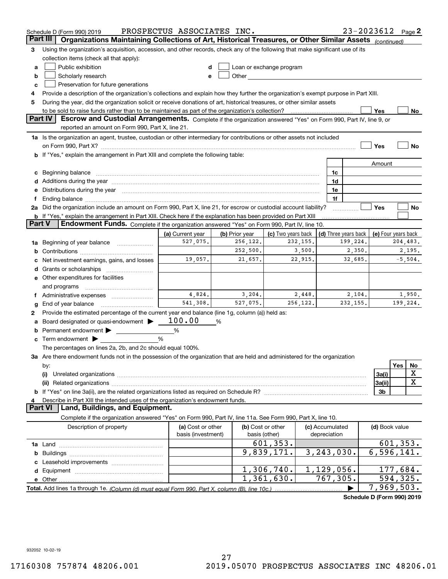|        | Schedule D (Form 990) 2019                                                                                                                                                                                                     | PROSPECTUS ASSOCIATES INC.              |                |                                                                                                                                                                                                                                |           |                                 |                      | $23 - 2023612$ Page 2 |           |             |
|--------|--------------------------------------------------------------------------------------------------------------------------------------------------------------------------------------------------------------------------------|-----------------------------------------|----------------|--------------------------------------------------------------------------------------------------------------------------------------------------------------------------------------------------------------------------------|-----------|---------------------------------|----------------------|-----------------------|-----------|-------------|
|        | Part III<br>Organizations Maintaining Collections of Art, Historical Treasures, or Other Similar Assets (continued)                                                                                                            |                                         |                |                                                                                                                                                                                                                                |           |                                 |                      |                       |           |             |
| з      | Using the organization's acquisition, accession, and other records, check any of the following that make significant use of its                                                                                                |                                         |                |                                                                                                                                                                                                                                |           |                                 |                      |                       |           |             |
|        | collection items (check all that apply):                                                                                                                                                                                       |                                         |                |                                                                                                                                                                                                                                |           |                                 |                      |                       |           |             |
| a      | Public exhibition                                                                                                                                                                                                              |                                         |                | Loan or exchange program                                                                                                                                                                                                       |           |                                 |                      |                       |           |             |
| b      | Scholarly research                                                                                                                                                                                                             | е                                       |                | Other the contract of the contract of the contract of the contract of the contract of the contract of the contract of the contract of the contract of the contract of the contract of the contract of the contract of the cont |           |                                 |                      |                       |           |             |
| c      | Preservation for future generations                                                                                                                                                                                            |                                         |                |                                                                                                                                                                                                                                |           |                                 |                      |                       |           |             |
| 4      | Provide a description of the organization's collections and explain how they further the organization's exempt purpose in Part XIII.                                                                                           |                                         |                |                                                                                                                                                                                                                                |           |                                 |                      |                       |           |             |
| 5      | During the year, did the organization solicit or receive donations of art, historical treasures, or other similar assets                                                                                                       |                                         |                |                                                                                                                                                                                                                                |           |                                 |                      |                       |           |             |
|        | to be sold to raise funds rather than to be maintained as part of the organization's collection?                                                                                                                               |                                         |                |                                                                                                                                                                                                                                |           |                                 |                      | Yes                   |           | No          |
|        | <b>Part IV</b><br>Escrow and Custodial Arrangements. Complete if the organization answered "Yes" on Form 990, Part IV, line 9, or                                                                                              |                                         |                |                                                                                                                                                                                                                                |           |                                 |                      |                       |           |             |
|        | reported an amount on Form 990, Part X, line 21.                                                                                                                                                                               |                                         |                |                                                                                                                                                                                                                                |           |                                 |                      |                       |           |             |
|        | 1a Is the organization an agent, trustee, custodian or other intermediary for contributions or other assets not included                                                                                                       |                                         |                |                                                                                                                                                                                                                                |           |                                 |                      |                       |           |             |
|        |                                                                                                                                                                                                                                |                                         |                |                                                                                                                                                                                                                                |           |                                 |                      | Yes                   |           | No          |
|        | b If "Yes," explain the arrangement in Part XIII and complete the following table:                                                                                                                                             |                                         |                |                                                                                                                                                                                                                                |           |                                 |                      |                       |           |             |
|        |                                                                                                                                                                                                                                |                                         |                |                                                                                                                                                                                                                                |           |                                 |                      | Amount                |           |             |
| c      | Beginning balance material continuum contracts and contact the contract of the contract of the contract of the                                                                                                                 |                                         |                |                                                                                                                                                                                                                                |           | 1c                              |                      |                       |           |             |
|        |                                                                                                                                                                                                                                |                                         |                |                                                                                                                                                                                                                                |           | 1d                              |                      |                       |           |             |
|        | e Distributions during the year manufactured and an according to the year manufactured and the year manufactur                                                                                                                 |                                         |                |                                                                                                                                                                                                                                |           | 1e                              |                      |                       |           |             |
| Ť.     | Ending balance manufactured and contact the contract of the contract of the contract of the contract of the contract of the contract of the contract of the contract of the contract of the contract of the contract of the co |                                         |                |                                                                                                                                                                                                                                |           | 1f                              |                      |                       |           |             |
|        | 2a Did the organization include an amount on Form 990, Part X, line 21, for escrow or custodial account liability?                                                                                                             |                                         |                |                                                                                                                                                                                                                                |           |                                 |                      | Yes                   |           | No          |
| Part V | <b>b</b> If "Yes," explain the arrangement in Part XIII. Check here if the explanation has been provided on Part XIII<br>Endowment Funds. Complete if the organization answered "Yes" on Form 990, Part IV, line 10.           |                                         |                |                                                                                                                                                                                                                                |           |                                 |                      |                       |           |             |
|        |                                                                                                                                                                                                                                | (a) Current year                        | (b) Prior year | (c) Two years back                                                                                                                                                                                                             |           |                                 | (d) Three years back | (e) Four years back   |           |             |
| 1a     | Beginning of year balance                                                                                                                                                                                                      | 527,075.                                | 256,122.       |                                                                                                                                                                                                                                | 232, 155. |                                 | 199,224.             |                       | 204,483.  |             |
|        |                                                                                                                                                                                                                                |                                         | 252,500.       |                                                                                                                                                                                                                                | 3,500.    |                                 | 2,350.               |                       |           | 2,195.      |
|        | Net investment earnings, gains, and losses                                                                                                                                                                                     | 19,057.                                 | 21,657.        |                                                                                                                                                                                                                                | 22,915.   |                                 | 32,685.              |                       |           | $-5,504.$   |
| d      |                                                                                                                                                                                                                                |                                         |                |                                                                                                                                                                                                                                |           |                                 |                      |                       |           |             |
|        | e Other expenditures for facilities                                                                                                                                                                                            |                                         |                |                                                                                                                                                                                                                                |           |                                 |                      |                       |           |             |
|        | and programs                                                                                                                                                                                                                   |                                         |                |                                                                                                                                                                                                                                |           |                                 |                      |                       |           |             |
|        |                                                                                                                                                                                                                                | 4,824.                                  | 3,204.         |                                                                                                                                                                                                                                | 2,448.    |                                 | 2,104.               |                       |           | 1,950.      |
| g      | End of year balance                                                                                                                                                                                                            | 541.308.                                | 527,075.       |                                                                                                                                                                                                                                | 256,122.  |                                 | 232,155.             |                       | 199,224.  |             |
| 2      | Provide the estimated percentage of the current year end balance (line 1g, column (a)) held as:                                                                                                                                |                                         |                |                                                                                                                                                                                                                                |           |                                 |                      |                       |           |             |
| а      | Board designated or quasi-endowment >                                                                                                                                                                                          | 100.00                                  | %              |                                                                                                                                                                                                                                |           |                                 |                      |                       |           |             |
|        | Permanent endowment                                                                                                                                                                                                            | %                                       |                |                                                                                                                                                                                                                                |           |                                 |                      |                       |           |             |
|        | $\mathbf c$ Term endowment $\blacktriangleright$                                                                                                                                                                               | %                                       |                |                                                                                                                                                                                                                                |           |                                 |                      |                       |           |             |
|        | The percentages on lines 2a, 2b, and 2c should equal 100%.                                                                                                                                                                     |                                         |                |                                                                                                                                                                                                                                |           |                                 |                      |                       |           |             |
|        | 3a Are there endowment funds not in the possession of the organization that are held and administered for the organization                                                                                                     |                                         |                |                                                                                                                                                                                                                                |           |                                 |                      |                       |           |             |
|        | by:                                                                                                                                                                                                                            |                                         |                |                                                                                                                                                                                                                                |           |                                 |                      |                       | Yes       | No          |
|        | (i)                                                                                                                                                                                                                            |                                         |                |                                                                                                                                                                                                                                |           |                                 |                      | 3a(i)                 |           | X           |
|        |                                                                                                                                                                                                                                |                                         |                |                                                                                                                                                                                                                                |           |                                 |                      | 3a(ii)                |           | $\mathbf X$ |
|        |                                                                                                                                                                                                                                |                                         |                |                                                                                                                                                                                                                                |           |                                 |                      | 3b                    |           |             |
| 4      | Describe in Part XIII the intended uses of the organization's endowment funds.                                                                                                                                                 |                                         |                |                                                                                                                                                                                                                                |           |                                 |                      |                       |           |             |
|        | Land, Buildings, and Equipment.<br>Part VI                                                                                                                                                                                     |                                         |                |                                                                                                                                                                                                                                |           |                                 |                      |                       |           |             |
|        | Complete if the organization answered "Yes" on Form 990, Part IV, line 11a. See Form 990, Part X, line 10.                                                                                                                     |                                         |                |                                                                                                                                                                                                                                |           |                                 |                      |                       |           |             |
|        | Description of property                                                                                                                                                                                                        | (a) Cost or other<br>basis (investment) |                | (b) Cost or other<br>basis (other)                                                                                                                                                                                             |           | (c) Accumulated<br>depreciation |                      | (d) Book value        |           |             |
|        |                                                                                                                                                                                                                                |                                         |                | 601, 353.                                                                                                                                                                                                                      |           |                                 |                      |                       | 601, 353. |             |
| b      |                                                                                                                                                                                                                                |                                         |                | 9,839,171.                                                                                                                                                                                                                     |           | 3, 243, 030.                    |                      | 6,596,141.            |           |             |
|        |                                                                                                                                                                                                                                |                                         |                |                                                                                                                                                                                                                                |           |                                 |                      |                       |           |             |
|        |                                                                                                                                                                                                                                |                                         |                | 1,306,740.                                                                                                                                                                                                                     |           | 1,129,056.                      |                      | 177,684.              |           |             |
|        |                                                                                                                                                                                                                                |                                         |                | 1,361,630.                                                                                                                                                                                                                     |           | 767,305.                        |                      |                       | 594,325.  |             |
|        |                                                                                                                                                                                                                                |                                         |                |                                                                                                                                                                                                                                |           |                                 |                      | 7,969,503.            |           |             |

**Schedule D (Form 990) 2019**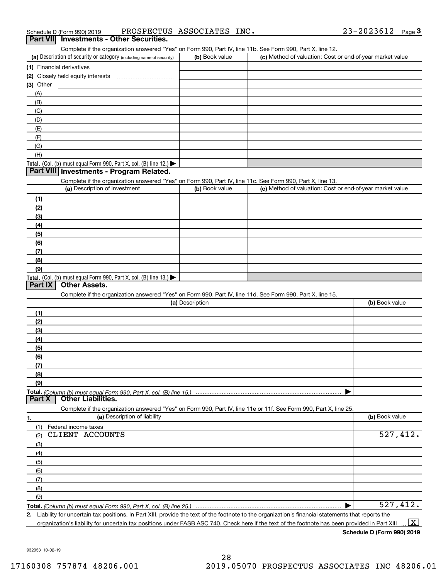Complete if the organization answered "Yes" on Form 990, Part IV, line 11b. See Form 990, Part X, line 12.

| (a) Description of security or category (including name of security)                   | (b) Book value | (c) Method of valuation: Cost or end-of-year market value |
|----------------------------------------------------------------------------------------|----------------|-----------------------------------------------------------|
| (1) Financial derivatives                                                              |                |                                                           |
| (2) Closely held equity interests                                                      |                |                                                           |
| $(3)$ Other                                                                            |                |                                                           |
| (A)                                                                                    |                |                                                           |
| (B)                                                                                    |                |                                                           |
| (C)                                                                                    |                |                                                           |
| (D)                                                                                    |                |                                                           |
| (E)                                                                                    |                |                                                           |
| (F)                                                                                    |                |                                                           |
| (G)                                                                                    |                |                                                           |
| (H)                                                                                    |                |                                                           |
| Total. (Col. (b) must equal Form 990, Part X, col. (B) line 12.) $\blacktriangleright$ |                |                                                           |

#### **Part VIII Investments - Program Related.**

Complete if the organization answered "Yes" on Form 990, Part IV, line 11c. See Form 990, Part X, line 13.

| (a) Description of investment                                       | (b) Book value | (c) Method of valuation: Cost or end-of-year market value |
|---------------------------------------------------------------------|----------------|-----------------------------------------------------------|
| (1)                                                                 |                |                                                           |
| (2)                                                                 |                |                                                           |
| $\frac{1}{2}$                                                       |                |                                                           |
| (4)                                                                 |                |                                                           |
| $\left(5\right)$                                                    |                |                                                           |
| (6)                                                                 |                |                                                           |
| (7)                                                                 |                |                                                           |
| (8)                                                                 |                |                                                           |
| (9)                                                                 |                |                                                           |
| Total. (Col. (b) must equal Form 990, Part X, col. (B) line $13.$ ) |                |                                                           |

#### **Part IX Other Assets.**

Complete if the organization answered "Yes" on Form 990, Part IV, line 11d. See Form 990, Part X, line 15.

| (a) Description                                                                                                                       | (b) Book value |
|---------------------------------------------------------------------------------------------------------------------------------------|----------------|
| (1)                                                                                                                                   |                |
| (2)                                                                                                                                   |                |
| (3)                                                                                                                                   |                |
| (4)                                                                                                                                   |                |
| (5)                                                                                                                                   |                |
| (6)                                                                                                                                   |                |
|                                                                                                                                       |                |
| (8)                                                                                                                                   |                |
| (9)                                                                                                                                   |                |
|                                                                                                                                       |                |
| Total. (Column (b) must equal Form 990, Part X, col. (B) line 15.) ………………………………………………………………………………………<br>  Part X   Other Liabilities. |                |

**1.(a)** Description of liability **Book value** Book value Book value Book value Book value **Total.**  *(Column (b) must equal Form 990, Part X, col. (B) line 25.)* Complete if the organization answered "Yes" on Form 990, Part IV, line 11e or 11f. See Form 990, Part X, line 25. (1)Federal income taxes (2)(3)(4)(5) (6)(7)(8)(9) $\blacktriangleright$ CLIENT ACCOUNTS 527,412. 527,412.

**2.**Liability for uncertain tax positions. In Part XIII, provide the text of the footnote to the organization's financial statements that reports the organization's liability for uncertain tax positions under FASB ASC 740. Check here if the text of the footnote has been provided in Part XIII  $\boxed{\text{X}}$ 

**Schedule D (Form 990) 2019**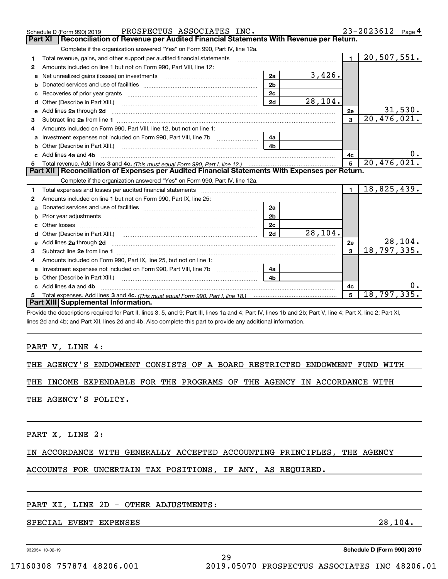|   | PROSPECTUS ASSOCIATES INC.<br>Schedule D (Form 990) 2019                                                                                                                                                                                                                                                                                                                                                                                                              |                |         |                | 23-2023612 Page 4          |    |
|---|-----------------------------------------------------------------------------------------------------------------------------------------------------------------------------------------------------------------------------------------------------------------------------------------------------------------------------------------------------------------------------------------------------------------------------------------------------------------------|----------------|---------|----------------|----------------------------|----|
|   | Reconciliation of Revenue per Audited Financial Statements With Revenue per Return.<br>Part XI                                                                                                                                                                                                                                                                                                                                                                        |                |         |                |                            |    |
|   | Complete if the organization answered "Yes" on Form 990, Part IV, line 12a.                                                                                                                                                                                                                                                                                                                                                                                           |                |         |                |                            |    |
| 1 | Total revenue, gains, and other support per audited financial statements                                                                                                                                                                                                                                                                                                                                                                                              |                |         | $\mathbf{1}$   | $\overline{20, 507, 551.}$ |    |
| 2 | Amounts included on line 1 but not on Form 990, Part VIII, line 12:                                                                                                                                                                                                                                                                                                                                                                                                   |                |         |                |                            |    |
| a |                                                                                                                                                                                                                                                                                                                                                                                                                                                                       | 2a             | 3,426.  |                |                            |    |
|   |                                                                                                                                                                                                                                                                                                                                                                                                                                                                       | 2 <sub>b</sub> |         |                |                            |    |
| c |                                                                                                                                                                                                                                                                                                                                                                                                                                                                       | 2c             |         |                |                            |    |
| d | Other (Describe in Part XIII.)                                                                                                                                                                                                                                                                                                                                                                                                                                        | 2d             | 28,104. |                |                            |    |
| е | Add lines 2a through 2d                                                                                                                                                                                                                                                                                                                                                                                                                                               |                |         | 2e             | 31,530.                    |    |
| 3 |                                                                                                                                                                                                                                                                                                                                                                                                                                                                       |                |         | $\mathbf{3}$   | $\overline{20, 476, 021.}$ |    |
| 4 | Amounts included on Form 990, Part VIII, line 12, but not on line 1:                                                                                                                                                                                                                                                                                                                                                                                                  |                |         |                |                            |    |
| a |                                                                                                                                                                                                                                                                                                                                                                                                                                                                       | 4a             |         |                |                            |    |
|   | Other (Describe in Part XIII.)                                                                                                                                                                                                                                                                                                                                                                                                                                        | 4 <sub>b</sub> |         |                |                            |    |
|   | c Add lines 4a and 4b                                                                                                                                                                                                                                                                                                                                                                                                                                                 |                |         | 4c             |                            |    |
|   |                                                                                                                                                                                                                                                                                                                                                                                                                                                                       |                |         | 5              | 20,476,021.                |    |
|   | Part XII   Reconciliation of Expenses per Audited Financial Statements With Expenses per Return.                                                                                                                                                                                                                                                                                                                                                                      |                |         |                |                            |    |
|   | Complete if the organization answered "Yes" on Form 990, Part IV, line 12a.                                                                                                                                                                                                                                                                                                                                                                                           |                |         |                |                            |    |
| 1 | Total expenses and losses per audited financial statements [11] [12] manuscription control expenses and losses per audited financial statements [12] [12] manuscription of the statements [12] manuscription of the statements                                                                                                                                                                                                                                        |                |         | $\blacksquare$ | 18,825,439.                |    |
| 2 | Amounts included on line 1 but not on Form 990, Part IX, line 25:                                                                                                                                                                                                                                                                                                                                                                                                     |                |         |                |                            |    |
| a |                                                                                                                                                                                                                                                                                                                                                                                                                                                                       | 2a             |         |                |                            |    |
| b | Prior year adjustments manufactured and contract and contract and contract and contract and contract and contract and contract and contract and contract and contract and contract and contract and contract and contract and                                                                                                                                                                                                                                         | 2 <sub>b</sub> |         |                |                            |    |
|   |                                                                                                                                                                                                                                                                                                                                                                                                                                                                       | 2 <sub>c</sub> |         |                |                            |    |
|   |                                                                                                                                                                                                                                                                                                                                                                                                                                                                       | 2d             | 28,104. |                |                            |    |
| e | Add lines 2a through 2d <b>contained a contained a contained a contained a</b> contained a contact the state of the state of the state of the state of the state of the state of the state of the state of the state of the state o                                                                                                                                                                                                                                   |                |         | 2e             | 28, 104.                   |    |
| 3 |                                                                                                                                                                                                                                                                                                                                                                                                                                                                       |                |         | 3              | 18,797,335.                |    |
|   | Amounts included on Form 990, Part IX, line 25, but not on line 1:                                                                                                                                                                                                                                                                                                                                                                                                    |                |         |                |                            |    |
| a |                                                                                                                                                                                                                                                                                                                                                                                                                                                                       | 4a             |         |                |                            |    |
|   | <b>b</b> Other (Describe in Part XIII.)<br>$\overline{a_1, \ldots, a_n, \ldots, a_n, \ldots, a_n, \ldots, a_n, \ldots, a_n, \ldots, a_n, \ldots, a_n, \ldots, a_n, \ldots, a_n, \ldots, a_n, \ldots, a_n, \ldots, a_n, \ldots, a_n, \ldots, a_n, \ldots, a_n, \ldots, a_n, \ldots, a_n, \ldots, a_n, \ldots, a_n, \ldots, a_n, \ldots, a_n, \ldots, a_n, \ldots, a_n, \ldots, a_n, \ldots, a_n, \ldots, a_n, \ldots, a_n, \ldots, a_n, \ldots, a_n, \ldots, a_n, \ld$ | 4 <sub>b</sub> |         |                |                            |    |
|   | Add lines 4a and 4b                                                                                                                                                                                                                                                                                                                                                                                                                                                   |                |         | 4c             |                            | 0. |
| 5 |                                                                                                                                                                                                                                                                                                                                                                                                                                                                       |                |         | 5              | 18, 797, 335.              |    |
|   | Part XIII Supplemental Information.                                                                                                                                                                                                                                                                                                                                                                                                                                   |                |         |                |                            |    |
|   | Dravide the descriptions required for Dort II, lines 2, E. and O: Dort III, lines 10 and 4: Dort IV, lines 16 and Ob: Dort V, line, 4: Dort V, line, 2: Dort VI                                                                                                                                                                                                                                                                                                       |                |         |                |                            |    |

Provide the descriptions required for Part II, lines 3, 5, and 9; Part III, lines 1a and 4; Part IV, lines 1b and 2b; Part V, line 4; Part X, line 2; Part XI, lines 2d and 4b; and Part XII, lines 2d and 4b. Also complete this part to provide any additional information.

#### PART V, LINE 4:

|  |  |  |  |  |  |  |  | THE AGENCY'S ENDOWMENT CONSISTS OF A BOARD RESTRICTED ENDOWMENT FUND WITH |  |  |  |
|--|--|--|--|--|--|--|--|---------------------------------------------------------------------------|--|--|--|
|--|--|--|--|--|--|--|--|---------------------------------------------------------------------------|--|--|--|

### THE INCOME EXPENDABLE FOR THE PROGRAMS OF THE AGENCY IN ACCORDANCE WITH

THE AGENCY'S POLICY.

PART X, LINE 2:

#### IN ACCORDANCE WITH GENERALLY ACCEPTED ACCOUNTING PRINCIPLES, THE AGENCY

# ACCOUNTS FOR UNCERTAIN TAX POSITIONS, IF ANY, AS REQUIRED.

#### PART XI, LINE 2D - OTHER ADJUSTMENTS:

### SPECIAL EVENT EXPENSES 28, 2014.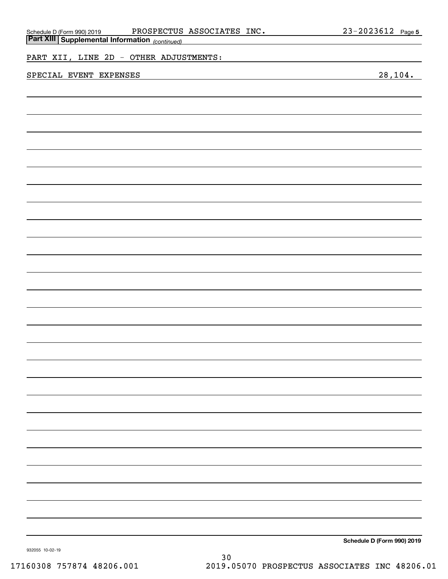| Schedule D (Form 990) 2019 PROSPECTUS<br>Part XIII Supplemental Information (continued) | PROSPECTUS ASSOCIATES INC. | 23-2023612 Page 5 |
|-----------------------------------------------------------------------------------------|----------------------------|-------------------|
|                                                                                         |                            |                   |
| PART XII, LINE 2D - OTHER ADJUSTMENTS:                                                  |                            |                   |
| SPECIAL EVENT EXPENSES                                                                  |                            | 28, 104.          |
|                                                                                         |                            |                   |
|                                                                                         |                            |                   |
|                                                                                         |                            |                   |
|                                                                                         |                            |                   |
|                                                                                         |                            |                   |
|                                                                                         |                            |                   |
|                                                                                         |                            |                   |
|                                                                                         |                            |                   |
|                                                                                         |                            |                   |
|                                                                                         |                            |                   |
|                                                                                         |                            |                   |
|                                                                                         |                            |                   |
|                                                                                         |                            |                   |
|                                                                                         |                            |                   |
|                                                                                         |                            |                   |
|                                                                                         |                            |                   |
|                                                                                         |                            |                   |
|                                                                                         |                            |                   |
|                                                                                         |                            |                   |
|                                                                                         |                            |                   |
|                                                                                         |                            |                   |
|                                                                                         |                            |                   |
|                                                                                         |                            |                   |
|                                                                                         |                            |                   |
|                                                                                         |                            |                   |
|                                                                                         |                            |                   |
|                                                                                         |                            |                   |
|                                                                                         |                            |                   |
|                                                                                         |                            |                   |
|                                                                                         |                            |                   |
|                                                                                         |                            |                   |
|                                                                                         |                            |                   |
|                                                                                         |                            |                   |
|                                                                                         |                            |                   |
|                                                                                         |                            |                   |

**Schedule D (Form 990) 2019**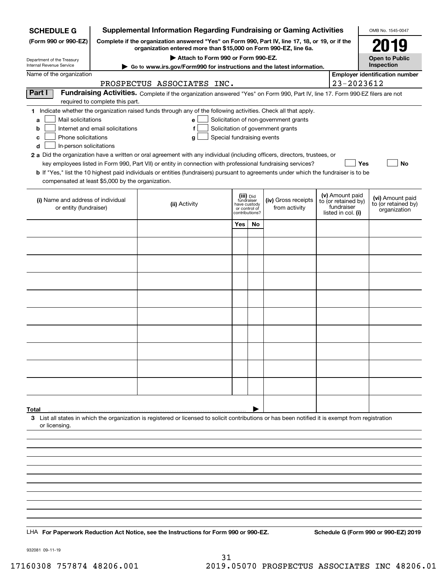| <b>SCHEDULE G</b>                                                                 |                                  | <b>Supplemental Information Regarding Fundraising or Gaming Activities</b>                                                                                                                                                                                                                                                                                                                |                                                 |                         |                                                                            |                                                                            | OMB No. 1545-0047                                       |
|-----------------------------------------------------------------------------------|----------------------------------|-------------------------------------------------------------------------------------------------------------------------------------------------------------------------------------------------------------------------------------------------------------------------------------------------------------------------------------------------------------------------------------------|-------------------------------------------------|-------------------------|----------------------------------------------------------------------------|----------------------------------------------------------------------------|---------------------------------------------------------|
| (Form 990 or 990-EZ)                                                              |                                  | Complete if the organization answered "Yes" on Form 990, Part IV, line 17, 18, or 19, or if the<br>organization entered more than \$15,000 on Form 990-EZ, line 6a.                                                                                                                                                                                                                       |                                                 |                         |                                                                            |                                                                            | FL.                                                     |
| Department of the Treasury                                                        |                                  | Attach to Form 990 or Form 990-EZ.                                                                                                                                                                                                                                                                                                                                                        |                                                 |                         |                                                                            |                                                                            | <b>Open to Public</b>                                   |
| Internal Revenue Service                                                          |                                  | ► Go to www.irs.gov/Form990 for instructions and the latest information.                                                                                                                                                                                                                                                                                                                  |                                                 |                         |                                                                            |                                                                            | Inspection                                              |
| Name of the organization                                                          |                                  | PROSPECTUS ASSOCIATES INC.                                                                                                                                                                                                                                                                                                                                                                |                                                 |                         |                                                                            | 23-2023612                                                                 | <b>Employer identification number</b>                   |
| Part I                                                                            | required to complete this part.  | Fundraising Activities. Complete if the organization answered "Yes" on Form 990, Part IV, line 17. Form 990-EZ filers are not                                                                                                                                                                                                                                                             |                                                 |                         |                                                                            |                                                                            |                                                         |
| Mail solicitations<br>a<br>b<br>Phone solicitations<br>с                          | Internet and email solicitations | 1 Indicate whether the organization raised funds through any of the following activities. Check all that apply.<br>$\mathbf{e}$<br>f<br>Special fundraising events<br>g                                                                                                                                                                                                                   |                                                 |                         | Solicitation of non-government grants<br>Solicitation of government grants |                                                                            |                                                         |
| In-person solicitations<br>d<br>compensated at least \$5,000 by the organization. |                                  | 2 a Did the organization have a written or oral agreement with any individual (including officers, directors, trustees, or<br>key employees listed in Form 990, Part VII) or entity in connection with professional fundraising services?<br><b>b</b> If "Yes," list the 10 highest paid individuals or entities (fundraisers) pursuant to agreements under which the fundraiser is to be |                                                 |                         |                                                                            | Yes                                                                        | No                                                      |
| (i) Name and address of individual<br>or entity (fundraiser)                      |                                  | (ii) Activity                                                                                                                                                                                                                                                                                                                                                                             | have custody<br>or control of<br>contributions? | (iii) Did<br>fundraiser | (iv) Gross receipts<br>from activity                                       | (v) Amount paid<br>to (or retained by)<br>fundraiser<br>listed in col. (i) | (vi) Amount paid<br>to (or retained by)<br>organization |
|                                                                                   |                                  |                                                                                                                                                                                                                                                                                                                                                                                           | Yes                                             | No                      |                                                                            |                                                                            |                                                         |
|                                                                                   |                                  |                                                                                                                                                                                                                                                                                                                                                                                           |                                                 |                         |                                                                            |                                                                            |                                                         |
|                                                                                   |                                  |                                                                                                                                                                                                                                                                                                                                                                                           |                                                 |                         |                                                                            |                                                                            |                                                         |
|                                                                                   |                                  |                                                                                                                                                                                                                                                                                                                                                                                           |                                                 |                         |                                                                            |                                                                            |                                                         |
|                                                                                   |                                  |                                                                                                                                                                                                                                                                                                                                                                                           |                                                 |                         |                                                                            |                                                                            |                                                         |
|                                                                                   |                                  |                                                                                                                                                                                                                                                                                                                                                                                           |                                                 |                         |                                                                            |                                                                            |                                                         |
|                                                                                   |                                  |                                                                                                                                                                                                                                                                                                                                                                                           |                                                 |                         |                                                                            |                                                                            |                                                         |
|                                                                                   |                                  |                                                                                                                                                                                                                                                                                                                                                                                           |                                                 |                         |                                                                            |                                                                            |                                                         |
|                                                                                   |                                  |                                                                                                                                                                                                                                                                                                                                                                                           |                                                 |                         |                                                                            |                                                                            |                                                         |
|                                                                                   |                                  |                                                                                                                                                                                                                                                                                                                                                                                           |                                                 |                         |                                                                            |                                                                            |                                                         |
|                                                                                   |                                  |                                                                                                                                                                                                                                                                                                                                                                                           |                                                 |                         |                                                                            |                                                                            |                                                         |
|                                                                                   |                                  |                                                                                                                                                                                                                                                                                                                                                                                           |                                                 |                         |                                                                            |                                                                            |                                                         |
| Total<br>or licensing.                                                            |                                  | 3 List all states in which the organization is registered or licensed to solicit contributions or has been notified it is exempt from registration                                                                                                                                                                                                                                        |                                                 |                         |                                                                            |                                                                            |                                                         |
|                                                                                   |                                  |                                                                                                                                                                                                                                                                                                                                                                                           |                                                 |                         |                                                                            |                                                                            |                                                         |
|                                                                                   |                                  |                                                                                                                                                                                                                                                                                                                                                                                           |                                                 |                         |                                                                            |                                                                            |                                                         |
|                                                                                   |                                  |                                                                                                                                                                                                                                                                                                                                                                                           |                                                 |                         |                                                                            |                                                                            |                                                         |
|                                                                                   |                                  |                                                                                                                                                                                                                                                                                                                                                                                           |                                                 |                         |                                                                            |                                                                            |                                                         |
|                                                                                   |                                  |                                                                                                                                                                                                                                                                                                                                                                                           |                                                 |                         |                                                                            |                                                                            |                                                         |
|                                                                                   |                                  |                                                                                                                                                                                                                                                                                                                                                                                           |                                                 |                         |                                                                            |                                                                            |                                                         |
|                                                                                   |                                  |                                                                                                                                                                                                                                                                                                                                                                                           |                                                 |                         |                                                                            |                                                                            |                                                         |
|                                                                                   |                                  |                                                                                                                                                                                                                                                                                                                                                                                           |                                                 |                         |                                                                            |                                                                            |                                                         |
|                                                                                   |                                  | LHA For Paperwork Reduction Act Notice, see the Instructions for Form 990 or 990-EZ.                                                                                                                                                                                                                                                                                                      |                                                 |                         |                                                                            |                                                                            | Schedule G (Form 990 or 990-EZ) 2019                    |

932081 09-11-19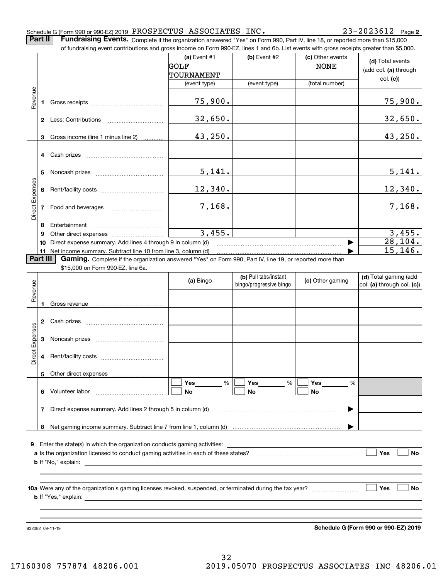**2**

**Part II** | Fundraising Events. Complete if the organization answered "Yes" on Form 990, Part IV, line 18, or reported more than \$15,000

|                 |    | of fundraising event contributions and gross income on Form 990-EZ, lines 1 and 6b. List events with gross receipts greater than \$5,000. |                            |                                                  |                                 |                                                     |
|-----------------|----|-------------------------------------------------------------------------------------------------------------------------------------------|----------------------------|--------------------------------------------------|---------------------------------|-----------------------------------------------------|
|                 |    |                                                                                                                                           | (a) Event $#1$<br>GOLF     | (b) Event #2                                     | (c) Other events<br><b>NONE</b> | (d) Total events<br>(add col. (a) through           |
|                 |    |                                                                                                                                           | TOURNAMENT<br>(event type) | (event type)                                     | (total number)                  | col. (c)                                            |
|                 |    |                                                                                                                                           |                            |                                                  |                                 |                                                     |
| Revenue         |    |                                                                                                                                           | 75,900.                    |                                                  |                                 | 75,900.                                             |
|                 |    |                                                                                                                                           | 32,650.                    |                                                  |                                 | 32,650.                                             |
|                 | 3  | Gross income (line 1 minus line 2)                                                                                                        | 43,250.                    |                                                  |                                 | 43,250.                                             |
|                 |    |                                                                                                                                           |                            |                                                  |                                 |                                                     |
|                 | 5  |                                                                                                                                           | 5,141.                     |                                                  |                                 | 5,141.                                              |
|                 |    |                                                                                                                                           | 12,340.                    |                                                  |                                 | 12,340.                                             |
| Direct Expenses |    |                                                                                                                                           | 7,168.                     |                                                  |                                 | 7,168.                                              |
|                 | 8  |                                                                                                                                           |                            |                                                  |                                 |                                                     |
|                 | 9  |                                                                                                                                           | 3,455.                     |                                                  |                                 | 3,455.                                              |
|                 | 10 | Direct expense summary. Add lines 4 through 9 in column (d)                                                                               |                            |                                                  |                                 | 28, 104.                                            |
|                 |    | 11 Net income summary. Subtract line 10 from line 3, column (d)                                                                           |                            |                                                  |                                 | 15, 146.                                            |
| Part III        |    | Gaming. Complete if the organization answered "Yes" on Form 990, Part IV, line 19, or reported more than                                  |                            |                                                  |                                 |                                                     |
|                 |    | \$15,000 on Form 990-EZ, line 6a.                                                                                                         |                            |                                                  |                                 |                                                     |
| Revenue         |    |                                                                                                                                           | (a) Bingo                  | (b) Pull tabs/instant<br>bingo/progressive bingo | (c) Other gaming                | (d) Total gaming (add<br>col. (a) through col. (c)) |
|                 | 1  |                                                                                                                                           |                            |                                                  |                                 |                                                     |
|                 |    |                                                                                                                                           |                            |                                                  |                                 |                                                     |
|                 |    |                                                                                                                                           |                            |                                                  |                                 |                                                     |
| Expenses        |    |                                                                                                                                           |                            |                                                  |                                 |                                                     |
| <b>Direct</b>   |    |                                                                                                                                           |                            |                                                  |                                 |                                                     |
|                 |    |                                                                                                                                           |                            |                                                  |                                 |                                                     |
|                 |    |                                                                                                                                           | Yes<br>%                   | Yes<br>$\%$                                      | Yes<br>%                        |                                                     |
|                 |    | 6 Volunteer labor                                                                                                                         | No                         | No                                               | No                              |                                                     |
|                 |    | 7 Direct expense summary. Add lines 2 through 5 in column (d)                                                                             |                            |                                                  |                                 |                                                     |
|                 |    |                                                                                                                                           |                            |                                                  |                                 |                                                     |
|                 | 8  |                                                                                                                                           |                            |                                                  |                                 |                                                     |
|                 |    |                                                                                                                                           |                            |                                                  |                                 |                                                     |
|                 |    |                                                                                                                                           |                            |                                                  |                                 | Yes<br>No                                           |
|                 |    |                                                                                                                                           |                            |                                                  |                                 |                                                     |
|                 |    |                                                                                                                                           |                            |                                                  |                                 | Yes<br>No                                           |
|                 |    |                                                                                                                                           |                            |                                                  |                                 |                                                     |

932082 09-11-19

**Schedule G (Form 990 or 990-EZ) 2019**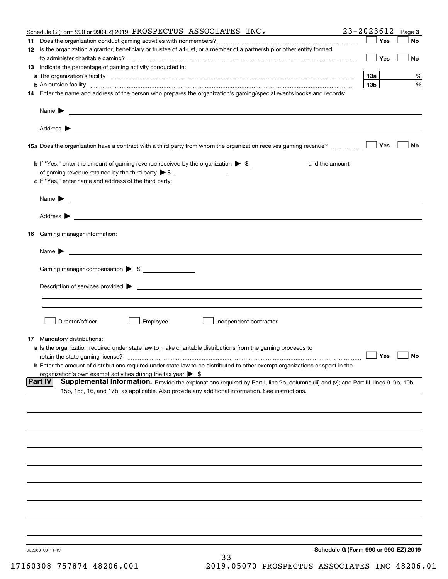|    | Schedule G (Form 990 or 990-EZ) 2019 PROSPECTUS ASSOCIATES $INC$ .                                                                                                                                                                        | 23-2023612<br>Page 3                 |
|----|-------------------------------------------------------------------------------------------------------------------------------------------------------------------------------------------------------------------------------------------|--------------------------------------|
| 11 |                                                                                                                                                                                                                                           | Yes<br>No                            |
|    | 12 Is the organization a grantor, beneficiary or trustee of a trust, or a member of a partnership or other entity formed                                                                                                                  | Yes<br>No                            |
|    | 13 Indicate the percentage of gaming activity conducted in:                                                                                                                                                                               |                                      |
|    |                                                                                                                                                                                                                                           | 1За<br>%                             |
|    | <b>b</b> An outside facility <b>contained an according to the contract of the contract of the contract of the contract of the contract of the contract of the contract of the contract of the contract of the contract of the contrac</b> | 13 <sub>b</sub><br>%                 |
|    | 14 Enter the name and address of the person who prepares the organization's gaming/special events books and records:                                                                                                                      |                                      |
|    |                                                                                                                                                                                                                                           |                                      |
|    |                                                                                                                                                                                                                                           |                                      |
|    |                                                                                                                                                                                                                                           | Yes<br>No                            |
|    |                                                                                                                                                                                                                                           |                                      |
|    | of gaming revenue retained by the third party $\triangleright$ \$                                                                                                                                                                         |                                      |
|    | c If "Yes," enter name and address of the third party:                                                                                                                                                                                    |                                      |
|    | Name $\blacktriangleright$ $\bot$                                                                                                                                                                                                         |                                      |
|    |                                                                                                                                                                                                                                           |                                      |
|    | 16 Gaming manager information:                                                                                                                                                                                                            |                                      |
|    |                                                                                                                                                                                                                                           |                                      |
|    | $Name \rightarrow$                                                                                                                                                                                                                        |                                      |
|    | Gaming manager compensation > \$                                                                                                                                                                                                          |                                      |
|    |                                                                                                                                                                                                                                           |                                      |
|    |                                                                                                                                                                                                                                           |                                      |
|    |                                                                                                                                                                                                                                           |                                      |
|    | Employee<br>Director/officer<br>Independent contractor                                                                                                                                                                                    |                                      |
|    |                                                                                                                                                                                                                                           |                                      |
|    | 17 Mandatory distributions:                                                                                                                                                                                                               |                                      |
|    | a Is the organization required under state law to make charitable distributions from the gaming proceeds to                                                                                                                               | $\Box$ Yes                           |
|    | retain the state gaming license?                                                                                                                                                                                                          | $\Box$ No                            |
|    | <b>b</b> Enter the amount of distributions required under state law to be distributed to other exempt organizations or spent in the<br>organization's own exempt activities during the tax year $\triangleright$ \$                       |                                      |
|    | Part IV<br>Supplemental Information. Provide the explanations required by Part I, line 2b, columns (iii) and (v); and Part III, lines 9, 9b, 10b,                                                                                         |                                      |
|    | 15b, 15c, 16, and 17b, as applicable. Also provide any additional information. See instructions.                                                                                                                                          |                                      |
|    |                                                                                                                                                                                                                                           |                                      |
|    |                                                                                                                                                                                                                                           |                                      |
|    |                                                                                                                                                                                                                                           |                                      |
|    |                                                                                                                                                                                                                                           |                                      |
|    |                                                                                                                                                                                                                                           |                                      |
|    |                                                                                                                                                                                                                                           |                                      |
|    |                                                                                                                                                                                                                                           |                                      |
|    |                                                                                                                                                                                                                                           |                                      |
|    |                                                                                                                                                                                                                                           |                                      |
|    |                                                                                                                                                                                                                                           |                                      |
|    | 932083 09-11-19<br>33                                                                                                                                                                                                                     | Schedule G (Form 990 or 990-EZ) 2019 |
|    |                                                                                                                                                                                                                                           |                                      |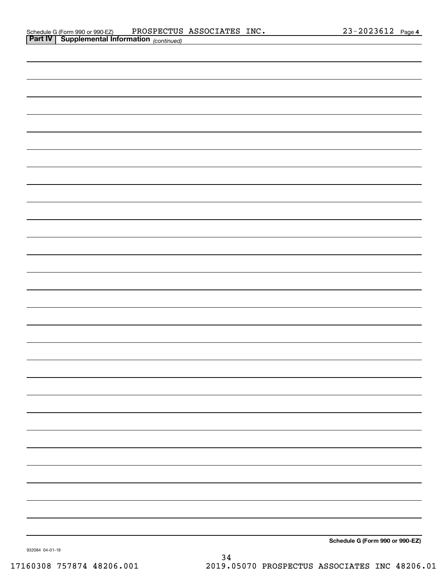| <b>Part IV   Supplemental Information</b> (continued) |  |                                 |
|-------------------------------------------------------|--|---------------------------------|
|                                                       |  |                                 |
|                                                       |  |                                 |
|                                                       |  |                                 |
|                                                       |  |                                 |
|                                                       |  |                                 |
|                                                       |  |                                 |
|                                                       |  |                                 |
|                                                       |  |                                 |
|                                                       |  |                                 |
|                                                       |  |                                 |
|                                                       |  |                                 |
|                                                       |  |                                 |
|                                                       |  |                                 |
|                                                       |  |                                 |
|                                                       |  |                                 |
|                                                       |  |                                 |
|                                                       |  |                                 |
|                                                       |  |                                 |
|                                                       |  |                                 |
|                                                       |  |                                 |
|                                                       |  |                                 |
|                                                       |  |                                 |
|                                                       |  |                                 |
|                                                       |  |                                 |
|                                                       |  |                                 |
|                                                       |  |                                 |
|                                                       |  |                                 |
|                                                       |  |                                 |
|                                                       |  |                                 |
|                                                       |  | Schodule C (Form 000 or 000 EZ) |

**Schedule G (Form 990 or 990-EZ)**

932084 04-01-19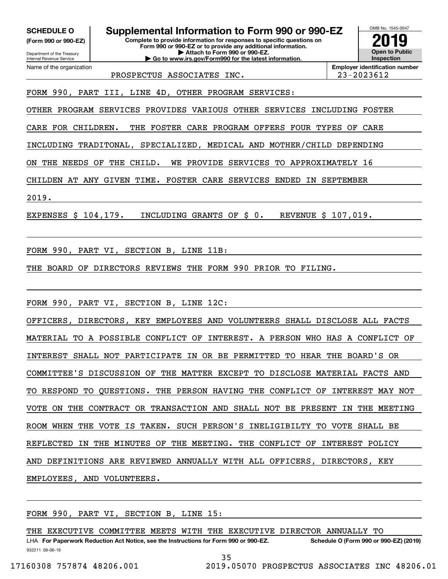**(Form 990 or 990-EZ)**

Department of the Treasury Internal Revenue Service Name of the organization

**SCHEDULE O Supplemental Information to Form 990 or 990-EZ**

**Complete to provide information for responses to specific questions on Form 990 or 990-EZ or to provide any additional information. | Attach to Form 990 or 990-EZ. | Go to www.irs.gov/Form990 for the latest information.**



PROSPECTUS ASSOCIATES INC. 23-2023612

FORM 990, PART III, LINE 4D, OTHER PROGRAM SERVICES:

OTHER PROGRAM SERVICES PROVIDES VARIOUS OTHER SERVICES INCLUDING FOSTER

CARE FOR CHILDREN. THE FOSTER CARE PROGRAM OFFERS FOUR TYPES OF CARE

INCLUDING TRADITONAL, SPECIALIZED, MEDICAL AND MOTHER/CHILD DEPENDING

ON THE NEEDS OF THE CHILD. WE PROVIDE SERVICES TO APPROXIMATELY 16

CHILDEN AT ANY GIVEN TIME. FOSTER CARE SERVICES ENDED IN SEPTEMBER

2019.

EXPENSES \$ 104,179. INCLUDING GRANTS OF \$ 0. REVENUE \$ 107,019.

FORM 990, PART VI, SECTION B, LINE 11B:

THE BOARD OF DIRECTORS REVIEWS THE FORM 990 PRIOR TO FILING.

FORM 990, PART VI, SECTION B, LINE 12C:

OFFICERS, DIRECTORS, KEY EMPLOYEES AND VOLUNTEERS SHALL DISCLOSE ALL FACTS MATERIAL TO A POSSIBLE CONFLICT OF INTEREST. A PERSON WHO HAS A CONFLICT OF INTEREST SHALL NOT PARTICIPATE IN OR BE PERMITTED TO HEAR THE BOARD'S OR COMMITTEE'S DISCUSSION OF THE MATTER EXCEPT TO DISCLOSE MATERIAL FACTS AND TO RESPOND TO QUESTIONS. THE PERSON HAVING THE CONFLICT OF INTEREST MAY NOT VOTE ON THE CONTRACT OR TRANSACTION AND SHALL NOT BE PRESENT IN THE MEETING ROOM WHEN THE VOTE IS TAKEN. SUCH PERSON'S INELIGIBILTY TO VOTE SHALL BE REFLECTED IN THE MINUTES OF THE MEETING. THE CONFLICT OF INTEREST POLICY AND DEFINITIONS ARE REVIEWED ANNUALLY WITH ALL OFFICERS, DIRECTORS, KEY EMPLOYEES, AND VOLUNTEERS.

FORM 990, PART VI, SECTION B, LINE 15:

THE EXECUTIVE COMMITTEE MEETS WITH THE EXECUTIVE DIRECTOR ANNUALLY TO

932211 09-06-19 LHA For Paperwork Reduction Act Notice, see the Instructions for Form 990 or 990-EZ. Schedule O (Form 990 or 990-EZ) (2019) 35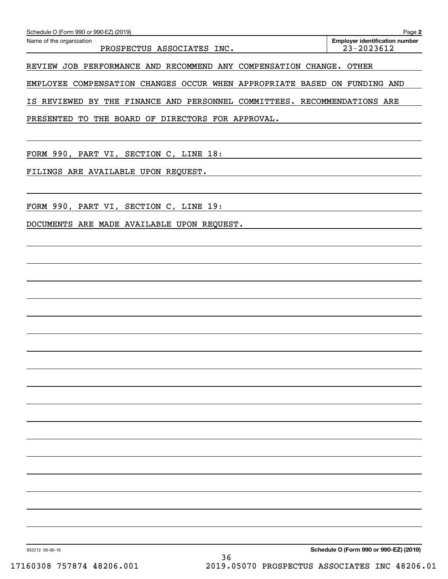| Schedule O (Form 990 or 990-EZ) (2019)<br>Name of the organization        | Page 2<br><b>Employer identification number</b> |
|---------------------------------------------------------------------------|-------------------------------------------------|
| PROSPECTUS ASSOCIATES INC.                                                | $23 - 2023612$                                  |
| REVIEW JOB PERFORMANCE AND RECOMMEND ANY COMPENSATION CHANGE. OTHER       |                                                 |
| EMPLOYEE COMPENSATION CHANGES OCCUR WHEN APPROPRIATE BASED ON FUNDING AND |                                                 |
| IS REVIEWED BY THE FINANCE AND PERSONNEL COMMITTEES. RECOMMENDATIONS ARE  |                                                 |
| PRESENTED TO THE BOARD OF DIRECTORS FOR APPROVAL.                         |                                                 |
|                                                                           |                                                 |
| FORM 990, PART VI, SECTION C, LINE 18:                                    |                                                 |
| FILINGS ARE AVAILABLE UPON REQUEST.                                       |                                                 |
|                                                                           |                                                 |
| FORM 990, PART VI, SECTION C, LINE 19:                                    |                                                 |
| DOCUMENTS ARE MADE AVAILABLE UPON REQUEST.                                |                                                 |
|                                                                           |                                                 |
|                                                                           |                                                 |
|                                                                           |                                                 |
|                                                                           |                                                 |
|                                                                           |                                                 |
|                                                                           |                                                 |
|                                                                           |                                                 |
|                                                                           |                                                 |
|                                                                           |                                                 |
|                                                                           |                                                 |
|                                                                           |                                                 |
|                                                                           |                                                 |
|                                                                           |                                                 |
|                                                                           |                                                 |
|                                                                           |                                                 |
|                                                                           |                                                 |
|                                                                           |                                                 |
|                                                                           |                                                 |
| 932212 09-06-19                                                           | Schedule O (Form 990 or 990-EZ) (2019)          |
| 36                                                                        |                                                 |

Schedule O (Form 990 or 990-EZ) (2019)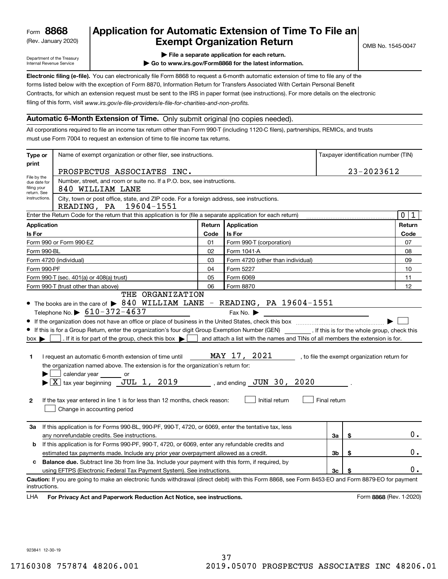(Rev. January 2020)

# **Application for Automatic Extension of Time To File an Exempt Organization Return**

Department of the Treasury Internal Revenue Service

- **| File a separate application for each return.**
- **| Go to www.irs.gov/Form8868 for the latest information.**

**Electronic filing (e-file).**  You can electronically file Form 8868 to request a 6-month automatic extension of time to file any of the filing of this form, visit www.irs.gov/e-file-providers/e-file-for-charities-and-non-profits. forms listed below with the exception of Form 8870, Information Return for Transfers Associated With Certain Personal Benefit Contracts, for which an extension request must be sent to the IRS in paper format (see instructions). For more details on the electronic

#### **Automatic 6-Month Extension of Time.** Only submit original (no copies needed).

All corporations required to file an income tax return other than Form 990-T (including 1120-C filers), partnerships, REMICs, and trusts must use Form 7004 to request an extension of time to file income tax returns.

| print<br>PROSPECTUS ASSOCIATES INC.<br>File by the<br>Number, street, and room or suite no. If a P.O. box, see instructions.<br>due date for<br>filing your<br>840 WILLIAM LANE<br>return. See<br>instructions.<br>City, town or post office, state, and ZIP code. For a foreign address, see instructions.<br>READING, PA 19604-1551<br>Enter the Return Code for the return that this application is for (file a separate application for each return)<br><b>Application</b><br>Return<br><b>Application</b><br>Is For<br>Is For<br>Code<br>Form 990 or Form 990-EZ<br>Form 990-T (corporation)<br>01<br>02<br>Form 1041-A<br>Form 990-BL<br>03<br>Form 4720 (other than individual)<br>Form 4720 (individual)<br>Form 5227<br>Form 990-PF<br>04<br>Form 990-T (sec. 401(a) or 408(a) trust)<br>05<br>Form 6069<br>06<br>Form 8870<br>Form 990-T (trust other than above)<br>THE ORGANIZATION<br>• The books are in the care of $\triangleright$ 840 WILLIAM LANE - READING, PA 19604-1551<br>Telephone No. $\triangleright$ 610-372-4637<br>Fax No.<br>• If this is for a Group Return, enter the organization's four digit Group Exemption Number (GEN) [167]. If this is for the whole group, check this<br>. If it is for part of the group, check this box $\blacktriangleright$<br>and attach a list with the names and TINs of all members the extension is for.<br>$box \blacktriangleright$ |                               |
|--------------------------------------------------------------------------------------------------------------------------------------------------------------------------------------------------------------------------------------------------------------------------------------------------------------------------------------------------------------------------------------------------------------------------------------------------------------------------------------------------------------------------------------------------------------------------------------------------------------------------------------------------------------------------------------------------------------------------------------------------------------------------------------------------------------------------------------------------------------------------------------------------------------------------------------------------------------------------------------------------------------------------------------------------------------------------------------------------------------------------------------------------------------------------------------------------------------------------------------------------------------------------------------------------------------------------------------------------------------------------------------------------------|-------------------------------|
|                                                                                                                                                                                                                                                                                                                                                                                                                                                                                                                                                                                                                                                                                                                                                                                                                                                                                                                                                                                                                                                                                                                                                                                                                                                                                                                                                                                                        | 23-2023612                    |
|                                                                                                                                                                                                                                                                                                                                                                                                                                                                                                                                                                                                                                                                                                                                                                                                                                                                                                                                                                                                                                                                                                                                                                                                                                                                                                                                                                                                        |                               |
|                                                                                                                                                                                                                                                                                                                                                                                                                                                                                                                                                                                                                                                                                                                                                                                                                                                                                                                                                                                                                                                                                                                                                                                                                                                                                                                                                                                                        |                               |
|                                                                                                                                                                                                                                                                                                                                                                                                                                                                                                                                                                                                                                                                                                                                                                                                                                                                                                                                                                                                                                                                                                                                                                                                                                                                                                                                                                                                        | 0 <sup>1</sup><br>$\mathbf 1$ |
|                                                                                                                                                                                                                                                                                                                                                                                                                                                                                                                                                                                                                                                                                                                                                                                                                                                                                                                                                                                                                                                                                                                                                                                                                                                                                                                                                                                                        | Return                        |
|                                                                                                                                                                                                                                                                                                                                                                                                                                                                                                                                                                                                                                                                                                                                                                                                                                                                                                                                                                                                                                                                                                                                                                                                                                                                                                                                                                                                        | Code                          |
|                                                                                                                                                                                                                                                                                                                                                                                                                                                                                                                                                                                                                                                                                                                                                                                                                                                                                                                                                                                                                                                                                                                                                                                                                                                                                                                                                                                                        | 07                            |
|                                                                                                                                                                                                                                                                                                                                                                                                                                                                                                                                                                                                                                                                                                                                                                                                                                                                                                                                                                                                                                                                                                                                                                                                                                                                                                                                                                                                        | 08                            |
|                                                                                                                                                                                                                                                                                                                                                                                                                                                                                                                                                                                                                                                                                                                                                                                                                                                                                                                                                                                                                                                                                                                                                                                                                                                                                                                                                                                                        | 09                            |
|                                                                                                                                                                                                                                                                                                                                                                                                                                                                                                                                                                                                                                                                                                                                                                                                                                                                                                                                                                                                                                                                                                                                                                                                                                                                                                                                                                                                        | 10                            |
|                                                                                                                                                                                                                                                                                                                                                                                                                                                                                                                                                                                                                                                                                                                                                                                                                                                                                                                                                                                                                                                                                                                                                                                                                                                                                                                                                                                                        | 11                            |
|                                                                                                                                                                                                                                                                                                                                                                                                                                                                                                                                                                                                                                                                                                                                                                                                                                                                                                                                                                                                                                                                                                                                                                                                                                                                                                                                                                                                        | 12                            |
| MAY 17, 2021<br>I request an automatic 6-month extension of time until<br>, to file the exempt organization return for<br>1.<br>the organization named above. The extension is for the organization's return for:<br>calendar year or<br>$\blacktriangleright$ $\boxed{\text{X}}$ tax year beginning $\boxed{\text{JUL}}$ 1, 2019<br>, and ending $JUN$ 30, 2020<br>Initial return<br>Final return<br>If the tax year entered in line 1 is for less than 12 months, check reason:<br>$\mathbf{2}$<br>Change in accounting period                                                                                                                                                                                                                                                                                                                                                                                                                                                                                                                                                                                                                                                                                                                                                                                                                                                                       |                               |
| If this application is for Forms 990-BL, 990-PF, 990-T, 4720, or 6069, enter the tentative tax, less<br>3a<br>\$<br>any nonrefundable credits. See instructions.<br>За                                                                                                                                                                                                                                                                                                                                                                                                                                                                                                                                                                                                                                                                                                                                                                                                                                                                                                                                                                                                                                                                                                                                                                                                                                 | $0$ .                         |
| If this application is for Forms 990-PF, 990-T, 4720, or 6069, enter any refundable credits and<br>b                                                                                                                                                                                                                                                                                                                                                                                                                                                                                                                                                                                                                                                                                                                                                                                                                                                                                                                                                                                                                                                                                                                                                                                                                                                                                                   |                               |
| 3 <sub>b</sub><br>estimated tax payments made. Include any prior year overpayment allowed as a credit.<br>\$                                                                                                                                                                                                                                                                                                                                                                                                                                                                                                                                                                                                                                                                                                                                                                                                                                                                                                                                                                                                                                                                                                                                                                                                                                                                                           | 0.                            |
| <b>Balance due.</b> Subtract line 3b from line 3a. Include your payment with this form, if required, by<br>c                                                                                                                                                                                                                                                                                                                                                                                                                                                                                                                                                                                                                                                                                                                                                                                                                                                                                                                                                                                                                                                                                                                                                                                                                                                                                           |                               |
| 3 <sub>c</sub><br>\$<br>using EFTPS (Electronic Federal Tax Payment System). See instructions.                                                                                                                                                                                                                                                                                                                                                                                                                                                                                                                                                                                                                                                                                                                                                                                                                                                                                                                                                                                                                                                                                                                                                                                                                                                                                                         | $0$ .                         |
| Caution: If you are going to make an electronic funds withdrawal (direct debit) with this Form 8868, see Form 8453-EO and Form 8879-EO for payment<br>instructions.<br>LHA<br>For Privacy Act and Paperwork Reduction Act Notice, see instructions.                                                                                                                                                                                                                                                                                                                                                                                                                                                                                                                                                                                                                                                                                                                                                                                                                                                                                                                                                                                                                                                                                                                                                    | Form 8868 (Rev. 1-2020)       |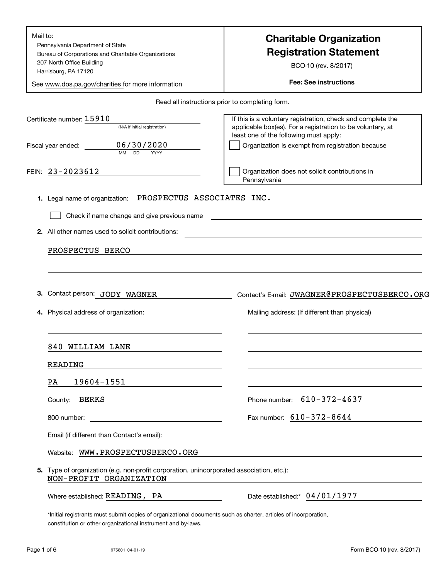| Mail to:<br>Pennsylvania Department of State<br>Bureau of Corporations and Charitable Organizations<br>207 North Office Building<br>Harrisburg, PA 17120<br>See www.dos.pa.gov/charities for more information | <b>Charitable Organization</b><br><b>Registration Statement</b><br>BCO-10 (rev. 8/2017)<br><b>Fee: See instructions</b>                                                                                                       |
|---------------------------------------------------------------------------------------------------------------------------------------------------------------------------------------------------------------|-------------------------------------------------------------------------------------------------------------------------------------------------------------------------------------------------------------------------------|
|                                                                                                                                                                                                               | Read all instructions prior to completing form.                                                                                                                                                                               |
| Certificate number: 15910<br>(N/A if initial registration)<br>06/30/2020<br>Fiscal year ended:<br><b>MM</b><br><b>DD</b><br>YYYY                                                                              | If this is a voluntary registration, check and complete the<br>applicable box(es). For a registration to be voluntary, at<br>least one of the following must apply:<br>Organization is exempt from registration because       |
| FEIN: 23-2023612                                                                                                                                                                                              | Organization does not solicit contributions in<br>Pennsylvania                                                                                                                                                                |
| PROSPECTUS ASSOCIATES INC.<br>1. Legal name of organization:                                                                                                                                                  |                                                                                                                                                                                                                               |
| Check if name change and give previous name                                                                                                                                                                   | the control of the control of the control of the control of the control of the control of the control of the control of the control of the control of the control of the control of the control of the control of the control |
| 2. All other names used to solicit contributions:                                                                                                                                                             | the control of the control of the control of the control of the control of the control of the control of the control of the control of the control of the control of the control of the control of the control of the control |
| PROSPECTUS BERCO                                                                                                                                                                                              | and the control of the control of the control of the control of the control of the control of the control of the                                                                                                              |
| Contact person: JODY WAGNER<br>З.<br>Physical address of organization:                                                                                                                                        | Contact's E-mail: JWAGNER@PROSPECTUSBERCO.ORG<br>Mailing address: (If different than physical)                                                                                                                                |
| 840 WILLIAM LANE                                                                                                                                                                                              |                                                                                                                                                                                                                               |
| READING                                                                                                                                                                                                       |                                                                                                                                                                                                                               |
| 19604-1551<br>PA                                                                                                                                                                                              |                                                                                                                                                                                                                               |
| BERKS<br>County:                                                                                                                                                                                              | Phone number: $610 - 372 - 4637$                                                                                                                                                                                              |
| <u> 1989 - Johann Stein, fransk politiker (</u><br>800 number:                                                                                                                                                | Fax number: $610 - 372 - 8644$                                                                                                                                                                                                |
| Email (if different than Contact's email):                                                                                                                                                                    | <u> 1980 - John Stein, Amerikaansk politiker (* 1918)</u>                                                                                                                                                                     |
| Website: WWW.PROSPECTUSBERCO.ORG                                                                                                                                                                              |                                                                                                                                                                                                                               |
| 5. Type of organization (e.g. non-profit corporation, unincorporated association, etc.):<br>NON-PROFIT ORGANIZATION                                                                                           |                                                                                                                                                                                                                               |
| Where established: READING, PA                                                                                                                                                                                | Date established:* 04/01/1977                                                                                                                                                                                                 |
| *Initial registrants must submit copies of organizational documents such as charter, articles of incorporation,<br>constitution or other organizational instrument and by-laws.                               |                                                                                                                                                                                                                               |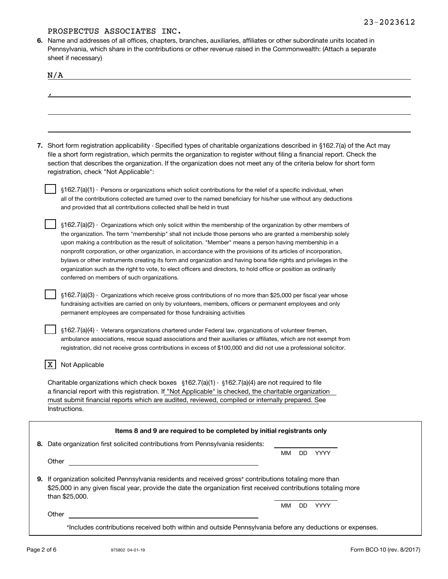**6.**Name and addresses of all offices, chapters, branches, auxiliaries, affiliates or other subordinate units located in Pennsylvania, which share in the contributions or other revenue raised in the Commonwealth: (Attach a separate sheet if necessary)

| onoven novoodiy                                                                                                                                                                                                                                                                                                                                                                                                                                                                                                                                                                                                                                                                                                                                          |    |     |      |  |
|----------------------------------------------------------------------------------------------------------------------------------------------------------------------------------------------------------------------------------------------------------------------------------------------------------------------------------------------------------------------------------------------------------------------------------------------------------------------------------------------------------------------------------------------------------------------------------------------------------------------------------------------------------------------------------------------------------------------------------------------------------|----|-----|------|--|
| N/A                                                                                                                                                                                                                                                                                                                                                                                                                                                                                                                                                                                                                                                                                                                                                      |    |     |      |  |
|                                                                                                                                                                                                                                                                                                                                                                                                                                                                                                                                                                                                                                                                                                                                                          |    |     |      |  |
|                                                                                                                                                                                                                                                                                                                                                                                                                                                                                                                                                                                                                                                                                                                                                          |    |     |      |  |
|                                                                                                                                                                                                                                                                                                                                                                                                                                                                                                                                                                                                                                                                                                                                                          |    |     |      |  |
|                                                                                                                                                                                                                                                                                                                                                                                                                                                                                                                                                                                                                                                                                                                                                          |    |     |      |  |
| 7. Short form registration applicability - Specified types of charitable organizations described in §162.7(a) of the Act may<br>file a short form registration, which permits the organization to register without filing a financial report. Check the<br>section that describes the organization. If the organization does not meet any of the criteria below for short form<br>registration, check "Not Applicable":                                                                                                                                                                                                                                                                                                                                  |    |     |      |  |
| §162.7(a)(1) - Persons or organizations which solicit contributions for the relief of a specific individual, when<br>all of the contributions collected are turned over to the named beneficiary for his/her use without any deductions<br>and provided that all contributions collected shall be held in trust                                                                                                                                                                                                                                                                                                                                                                                                                                          |    |     |      |  |
| $\S162.7(a)(2)$ - Organizations which only solicit within the membership of the organization by other members of<br>the organization. The term "membership" shall not include those persons who are granted a membership solely<br>upon making a contribution as the result of solicitation. "Member" means a person having membership in a<br>nonprofit corporation, or other organization, in accordance with the provisions of its articles of incorporation,<br>bylaws or other instruments creating its form and organization and having bona fide rights and privileges in the<br>organization such as the right to vote, to elect officers and directors, to hold office or position as ordinarily<br>conferred on members of such organizations. |    |     |      |  |
| §162.7(a)(3) - Organizations which receive gross contributions of no more than \$25,000 per fiscal year whose<br>fundraising activities are carried on only by volunteers, members, officers or permanent employees and only<br>permanent employees are compensated for those fundraising activities                                                                                                                                                                                                                                                                                                                                                                                                                                                     |    |     |      |  |
| $\S162.7(a)(4)$ - Veterans organizations chartered under Federal law, organizations of volunteer firemen,<br>ambulance associations, rescue squad associations and their auxiliaries or affiliates, which are not exempt from<br>registration, did not receive gross contributions in excess of \$100,000 and did not use a professional solicitor.                                                                                                                                                                                                                                                                                                                                                                                                      |    |     |      |  |
| Not Applicable<br>х                                                                                                                                                                                                                                                                                                                                                                                                                                                                                                                                                                                                                                                                                                                                      |    |     |      |  |
| Charitable organizations which check boxes $\S162.7(a)(1) \cdot \S162.7(a)(4)$ are not required to file<br>a financial report with this registration. If "Not Applicable" is checked, the charitable organization<br>must submit financial reports which are audited, reviewed, compiled or internally prepared. See<br>Instructions.                                                                                                                                                                                                                                                                                                                                                                                                                    |    |     |      |  |
| Items 8 and 9 are required to be completed by initial registrants only                                                                                                                                                                                                                                                                                                                                                                                                                                                                                                                                                                                                                                                                                   |    |     |      |  |
| 8. Date organization first solicited contributions from Pennsylvania residents:                                                                                                                                                                                                                                                                                                                                                                                                                                                                                                                                                                                                                                                                          |    |     |      |  |
| Other                                                                                                                                                                                                                                                                                                                                                                                                                                                                                                                                                                                                                                                                                                                                                    | MМ | DD. | YYYY |  |
|                                                                                                                                                                                                                                                                                                                                                                                                                                                                                                                                                                                                                                                                                                                                                          |    |     |      |  |
| 9. If organization solicited Pennsylvania residents and received gross* contributions totaling more than<br>\$25,000 in any given fiscal year, provide the date the organization first received contributions totaling more<br>than \$25,000.                                                                                                                                                                                                                                                                                                                                                                                                                                                                                                            |    |     |      |  |
| Other                                                                                                                                                                                                                                                                                                                                                                                                                                                                                                                                                                                                                                                                                                                                                    | ΜМ | DD. | YYYY |  |
|                                                                                                                                                                                                                                                                                                                                                                                                                                                                                                                                                                                                                                                                                                                                                          |    |     |      |  |

\*Includes contributions received both within and outside Pennsylvania before any deductions or expenses.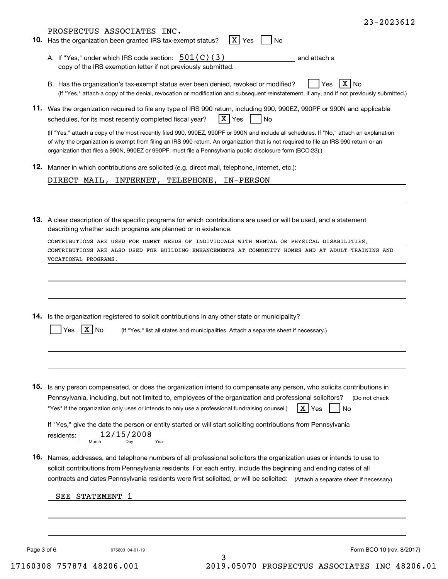| PROSPECTUS ASSOCIATES INC.                                                                                                                                                                                                                                                                                                                                                                     |
|------------------------------------------------------------------------------------------------------------------------------------------------------------------------------------------------------------------------------------------------------------------------------------------------------------------------------------------------------------------------------------------------|
| X Yes<br>10. Has the organization been granted IRS tax-exempt status?<br><b>No</b>                                                                                                                                                                                                                                                                                                             |
| A. If "Yes," under which IRS code section: $501(C)(3)$<br>and attach a<br>copy of the IRS exemption letter if not previously submitted.                                                                                                                                                                                                                                                        |
| $X $ No<br>B. Has the organization's tax-exempt status ever been denied, revoked or modified?<br>Yes<br>(If "Yes," attach a copy of the denial, revocation or modification and subsequent reinstatement, if any, and if not previously submitted.)                                                                                                                                             |
| 11. Was the organization required to file any type of IRS 990 return, including 990, 990EZ, 990PF or 990N and applicable<br>X Yes<br>schedules, for its most recently completed fiscal year?<br>$\overline{\phantom{a}}$ No                                                                                                                                                                    |
| (If "Yes," attach a copy of the most recently filed 990, 990EZ, 990PF or 990N and include all schedules. If "No," attach an explanation<br>of why the organization is exempt from filing an IRS 990 return. An organization that is not required to file an IRS 990 return or an<br>organization that files a 990N, 990EZ or 990PF, must file a Pennsylvania public disclosure form (BCO-23).) |
| 12. Manner in which contributions are solicited (e.g. direct mail, telephone, internet, etc.):                                                                                                                                                                                                                                                                                                 |
| DIRECT MAIL, INTERNET, TELEPHONE, IN-PERSON                                                                                                                                                                                                                                                                                                                                                    |
| 13. A clear description of the specific programs for which contributions are used or will be used, and a statement<br>describing whether such programs are planned or in existence.                                                                                                                                                                                                            |
| CONTRIBUTIONS ARE USED FOR UNMET NEEDS OF INDIVIDUALS WITH MENTAL OR PHYSICAL DISABILITIES.                                                                                                                                                                                                                                                                                                    |
| CONTRIBUTIONS ARE ALSO USED FOR BUILDING ENHANCEMENTS AT COMMUNITY HOMES AND AT ADULT TRAINING AND<br>VOCATIONAL PROGRAMS.                                                                                                                                                                                                                                                                     |
|                                                                                                                                                                                                                                                                                                                                                                                                |
| 14. Is the organization registered to solicit contributions in any other state or municipality?<br>(If "Yes," list all states and municipalities. Attach a separate sheet if necessary.)<br>No<br>Yes                                                                                                                                                                                          |
|                                                                                                                                                                                                                                                                                                                                                                                                |
| 15. Is any person compensated, or does the organization intend to compensate any person, who solicits contributions in<br>Pennsylvania, including, but not limited to, employees of the organization and professional solicitors?<br>(Do not check<br>X Yes<br>"Yes" if the organization only uses or intends to only use a professional fundraising counsel.)<br>$\overline{\phantom{a}}$ No  |
| If "Yes," give the date the person or entity started or will start soliciting contributions from Pennsylvania<br>residents: $\frac{12/15/2008}{\text{Mont}}$                                                                                                                                                                                                                                   |
| 16. Names, addresses, and telephone numbers of all professional solicitors the organization uses or intends to use to<br>solicit contributions from Pennsylvania residents. For each entry, include the beginning and ending dates of all<br>contracts and dates Pennsylvania residents were first solicited, or will be solicited: (Attach a separate sheet if necessary)                     |
| SEE STATEMENT 1                                                                                                                                                                                                                                                                                                                                                                                |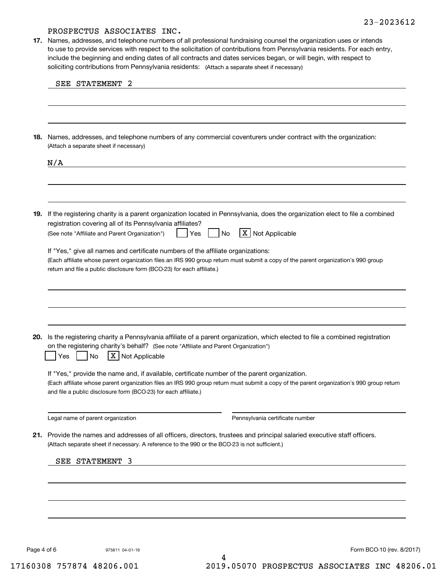soliciting contributions from Pennsylvania residents: (Attach a separate sheet if necessary) **17.** Names, addresses, and telephone numbers of all professional fundraising counsel the organization uses or intends to use to provide services with respect to the solicitation of contributions from Pennsylvania residents. For each entry, include the beginning and ending dates of all contracts and dates services began, or will begin, with respect to

| 18. Names, addresses, and telephone numbers of any commercial coventurers under contract with the organization:<br>(Attach a separate sheet if necessary)                                                                                                                                                                                                      |
|----------------------------------------------------------------------------------------------------------------------------------------------------------------------------------------------------------------------------------------------------------------------------------------------------------------------------------------------------------------|
| N/A                                                                                                                                                                                                                                                                                                                                                            |
| 19. If the registering charity is a parent organization located in Pennsylvania, does the organization elect to file a combined<br>registration covering all of its Pennsylvania affiliates?<br>X Not Applicable                                                                                                                                               |
| (See note "Affiliate and Parent Organization")<br>No<br>Yes<br>If "Yes," give all names and certificate numbers of the affiliate organizations:<br>(Each affiliate whose parent organization files an IRS 990 group return must submit a copy of the parent organization's 990 group<br>return and file a public disclosure form (BCO-23) for each affiliate.) |
| 20. Is the registering charity a Pennsylvania affiliate of a parent organization, which elected to file a combined registration<br>on the registering charity's behalf? (See note "Affiliate and Parent Organization")                                                                                                                                         |
| X   Not Applicable<br>No<br>Yes<br>If "Yes," provide the name and, if available, certificate number of the parent organization.<br>(Each affiliate whose parent organization files an IRS 990 group return must submit a copy of the parent organization's 990 group return<br>and file a public disclosure form (BCO-23) for each affiliate.)                 |
| Legal name of parent organization<br>Pennsylvania certificate number                                                                                                                                                                                                                                                                                           |
| 21. Provide the names and addresses of all officers, directors, trustees and principal salaried executive staff officers.<br>(Attach separate sheet if necessary. A reference to the 990 or the BCO-23 is not sufficient.)<br>SEE STATEMENT 3                                                                                                                  |
|                                                                                                                                                                                                                                                                                                                                                                |
|                                                                                                                                                                                                                                                                                                                                                                |

4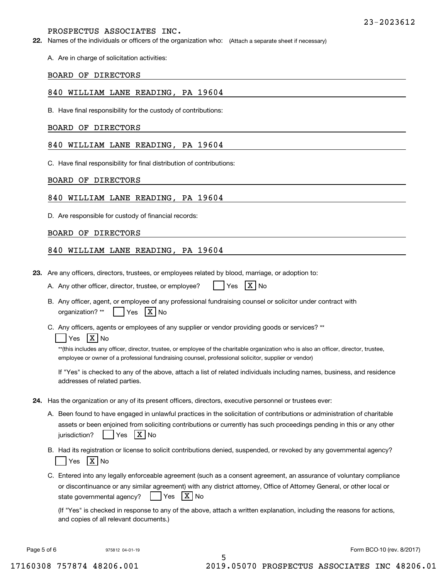A. Are in charge of solicitation activities:

#### BOARD OF DIRECTORS

#### 840 WILLIAM LANE READING, PA 19604

B. Have final responsibility for the custody of contributions:

#### BOARD OF DIRECTORS

## 840 WILLIAM LANE READING, PA 19604

C. Have final responsibility for final distribution of contributions:

#### BOARD OF DIRECTORS

#### 840 WILLIAM LANE READING, PA 19604

D. Are responsible for custody of financial records:

#### BOARD OF DIRECTORS

#### 840 WILLIAM LANE READING, PA 19604

**23.**Are any officers, directors, trustees, or employees related by blood, marriage, or adoption to:

|  | A. Any other officer, director, trustee, or employee? |  | $Yes$ $X$ No |  |  |
|--|-------------------------------------------------------|--|--------------|--|--|
|--|-------------------------------------------------------|--|--------------|--|--|

B. Any officer, agent, or employee of any professional fundraising counsel or solicitor under contract with

organization?  $^{\star\star}$  | Yes  $\mathsf{X} \mathsf{N}$ o

C. Any officers, agents or employees of any supplier or vendor providing goods or services? \*\*

## Yes |X|No

\*\*(this includes any officer, director, trustee, or employee of the charitable organization who is also an officer, director, trustee, employee or owner of a professional fundraising counsel, professional solicitor, supplier or vendor)

If "Yes" is checked to any of the above, attach a list of related individuals including names, business, and residence addresses of related parties.

- **24.**Has the organization or any of its present officers, directors, executive personnel or trustees ever:
	- A. Been found to have engaged in unlawful practices in the solicitation of contributions or administration of charitable assets or been enjoined from soliciting contributions or currently has such proceedings pending in this or any other jurisdiction?n? | |Yes |X|No
	- B. Had its registration or license to solicit contributions denied, suspended, or revoked by any governmental agency? Yes |X|No
	- C. Entered into any legally enforceable agreement (such as a consent agreement, an assurance of voluntary compliance or discontinuance or any similar agreement) with any district attorney, Office of Attorney General, or other local or state governmental agency?  $|$   $|$  Yes  $|X|$  No

(If "Yes" is checked in response to any of the above, attach a written explanation, including the reasons for actions, and copies of all relevant documents.)

5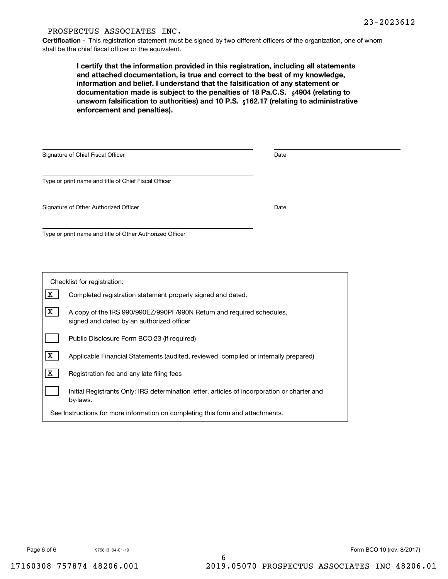**Certification -** This registration statement must be signed by two different officers of the organization, one of whom shall be the chief fiscal officer or the equivalent.

documentation made is subject to the penalties of 18 Pa.C.S.  $\ _{\S}$ 4904 (relating to **<b>unsworn falsification to authorities) and 10 P.S.** <sub>§</sub>162.17 (relating to administrative **I certify that the information provided in this registration, including all statements and attached documentation, is true and correct to the best of my knowledge, information and belief. I understand that the falsification of any statement or enforcement and penalties).**

| Signature of Chief Fiscal Officer                        | Date |  |
|----------------------------------------------------------|------|--|
| Type or print name and title of Chief Fiscal Officer     |      |  |
| Signature of Other Authorized Officer                    | Date |  |
| Type or print name and title of Other Authorized Officer |      |  |

| Checklist for registration:                                                    |                                                                                                                    |  |  |  |  |
|--------------------------------------------------------------------------------|--------------------------------------------------------------------------------------------------------------------|--|--|--|--|
| x                                                                              | Completed registration statement properly signed and dated.                                                        |  |  |  |  |
| x                                                                              | A copy of the IRS 990/990EZ/990PF/990N Return and required schedules,<br>signed and dated by an authorized officer |  |  |  |  |
|                                                                                | Public Disclosure Form BCO-23 (if required)                                                                        |  |  |  |  |
| x                                                                              | Applicable Financial Statements (audited, reviewed, compiled or internally prepared)                               |  |  |  |  |
| x                                                                              | Registration fee and any late filing fees                                                                          |  |  |  |  |
|                                                                                | Initial Registrants Only: IRS determination letter, articles of incorporation or charter and<br>by-laws.           |  |  |  |  |
| See Instructions for more information on completing this form and attachments. |                                                                                                                    |  |  |  |  |

975813 04-01-19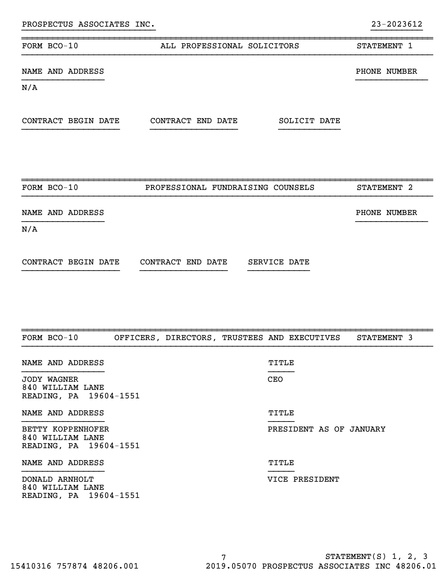| FORM BCO-10             | ALL PROFESSIONAL SOLICITORS       | STATEMENT 1  |
|-------------------------|-----------------------------------|--------------|
| NAME AND ADDRESS<br>N/A |                                   | PHONE NUMBER |
| CONTRACT BEGIN DATE     | CONTRACT END DATE<br>SOLICIT DATE |              |
| FORM BCO-10             | PROFESSIONAL FUNDRAISING COUNSELS | STATEMENT 2  |
| NAME AND ADDRESS        |                                   | PHONE NUMBER |

}}}}}}}}}}}}}}}} }}}}}}}}}}}}}}

}}}}}}}}}}}}}}}}}}}}}}}}}} }}}}}}}}}}

N/A

| CONTRACT BEGIN DATE |  | CONTRACT END DATE |  | SERVICE DATE |  |
|---------------------|--|-------------------|--|--------------|--|
|                     |  |                   |  |              |  |

| FORM BCO-10                                                     |  |            | OFFICERS, DIRECTORS, TRUSTEES AND EXECUTIVES | STATEMENT 3 |  |
|-----------------------------------------------------------------|--|------------|----------------------------------------------|-------------|--|
| NAME AND ADDRESS                                                |  | TITLE      |                                              |             |  |
| JODY WAGNER<br>840 WILLIAM LANE<br>READING, PA 19604-1551       |  | <b>CEO</b> |                                              |             |  |
| NAME AND ADDRESS                                                |  | TITLE      |                                              |             |  |
| BETTY KOPPENHOFER<br>840 WILLIAM LANE<br>READING, PA 19604-1551 |  |            | PRESIDENT AS OF JANUARY                      |             |  |
| NAME AND ADDRESS                                                |  | TITLE      |                                              |             |  |
| DONALD ARNHOLT<br>840 WILLIAM LANE<br>READING, PA 19604-1551    |  |            | VICE PRESIDENT                               |             |  |

~~~~~~~~~~~~~~~~~~~~~~~~~~~~~~~~~~~~~~~~~~~~~~~~~~~~~~~~~~~~~~~~~~~~~~~~~~~~~~~~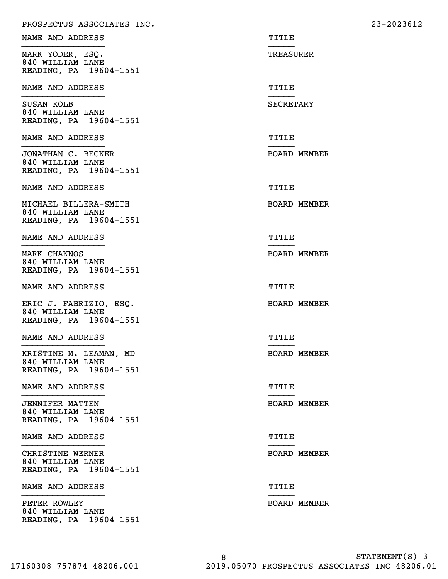| PROSPECTUS ASSOCIATES INC.                 |                     | 23-2023612 |
|--------------------------------------------|---------------------|------------|
| NAME AND ADDRESS                           | TITLE               |            |
| MARK YODER, ESQ.                           | TREASURER           |            |
| 840 WILLIAM LANE<br>READING, PA 19604-1551 |                     |            |
| NAME AND ADDRESS                           | TITLE               |            |
| SUSAN KOLB                                 | SECRETARY           |            |
| 840 WILLIAM LANE<br>READING, PA 19604-1551 |                     |            |
| NAME AND ADDRESS                           | TITLE               |            |
| JONATHAN C. BECKER                         | <b>BOARD MEMBER</b> |            |
| 840 WILLIAM LANE<br>READING, PA 19604-1551 |                     |            |
| NAME AND ADDRESS                           | TITLE               |            |
| MICHAEL BILLERA-SMITH                      | <b>BOARD MEMBER</b> |            |
| 840 WILLIAM LANE<br>READING, PA 19604-1551 |                     |            |
| NAME AND ADDRESS                           | TITLE               |            |
| MARK CHAKNOS                               | <b>BOARD MEMBER</b> |            |
| 840 WILLIAM LANE<br>READING, PA 19604-1551 |                     |            |
| NAME AND ADDRESS                           | TITLE               |            |
| ERIC J. FABRIZIO, ESQ.                     | <b>BOARD MEMBER</b> |            |
| 840 WILLIAM LANE<br>READING, PA 19604-1551 |                     |            |
| NAME AND ADDRESS                           | TITLE               |            |
| KRISTINE M. LEAMAN, MD                     | <b>BOARD MEMBER</b> |            |
| 840 WILLIAM LANE<br>READING, PA 19604-1551 |                     |            |
| NAME AND ADDRESS                           | TITLE               |            |
| <b>JENNIFER MATTEN</b>                     | <b>BOARD MEMBER</b> |            |
| 840 WILLIAM LANE<br>READING, PA 19604-1551 |                     |            |
| NAME AND ADDRESS                           | TITLE               |            |
| CHRISTINE WERNER                           | <b>BOARD MEMBER</b> |            |
| 840 WILLIAM LANE<br>READING, PA 19604-1551 |                     |            |
| NAME AND ADDRESS                           | TITLE               |            |
| PETER ROWLEY                               | <b>BOARD MEMBER</b> |            |
| 840 WILLIAM LANE<br>READING, PA 19604-1551 |                     |            |